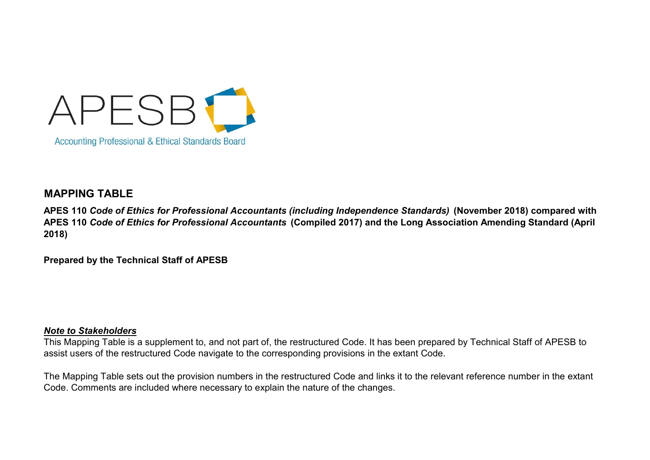

## MAPPING TABLE

APES 110 Code of Ethics for Professional Accountants (including Independence Standards) (November 2018) compared with APES 110 Code of Ethics for Professional Accountants (Compiled 2017) and the Long Association Amending Standard (April 2018)

Prepared by the Technical Staff of APESB

## Note to Stakeholders

This Mapping Table is a supplement to, and not part of, the restructured Code. It has been prepared by Technical Staff of APESB to assist users of the restructured Code navigate to the corresponding provisions in the extant Code.

The Mapping Table sets out the provision numbers in the restructured Code and links it to the relevant reference number in the extant Code. Comments are included where necessary to explain the nature of the changes.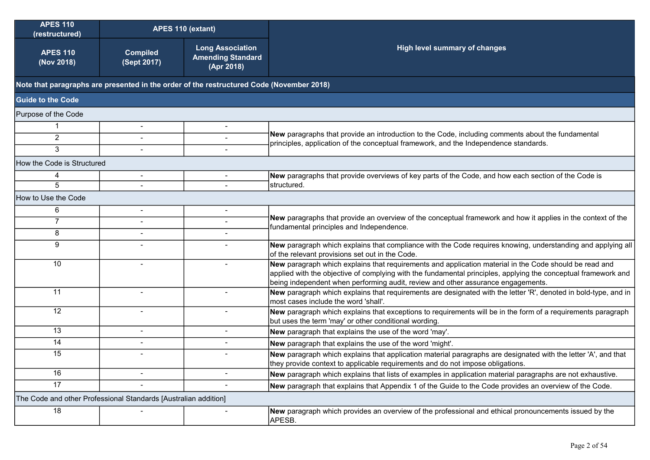| <b>APES 110</b><br>(restructured)                               | APES 110 (extant)              |                                                                                          |                                                                                                                                                                                                                                                                                                              |
|-----------------------------------------------------------------|--------------------------------|------------------------------------------------------------------------------------------|--------------------------------------------------------------------------------------------------------------------------------------------------------------------------------------------------------------------------------------------------------------------------------------------------------------|
| <b>APES 110</b><br>(Nov 2018)                                   | <b>Compiled</b><br>(Sept 2017) | <b>Long Association</b><br><b>Amending Standard</b><br>(Apr 2018)                        | <b>High level summary of changes</b>                                                                                                                                                                                                                                                                         |
|                                                                 |                                | Note that paragraphs are presented in the order of the restructured Code (November 2018) |                                                                                                                                                                                                                                                                                                              |
| <b>Guide to the Code</b>                                        |                                |                                                                                          |                                                                                                                                                                                                                                                                                                              |
| Purpose of the Code                                             |                                |                                                                                          |                                                                                                                                                                                                                                                                                                              |
|                                                                 | $\blacksquare$                 |                                                                                          |                                                                                                                                                                                                                                                                                                              |
| 2                                                               | $\sim$                         |                                                                                          | New paragraphs that provide an introduction to the Code, including comments about the fundamental<br>principles, application of the conceptual framework, and the Independence standards.                                                                                                                    |
| 3                                                               |                                |                                                                                          |                                                                                                                                                                                                                                                                                                              |
| How the Code is Structured                                      |                                |                                                                                          |                                                                                                                                                                                                                                                                                                              |
| 4                                                               |                                |                                                                                          | New paragraphs that provide overviews of key parts of the Code, and how each section of the Code is                                                                                                                                                                                                          |
| 5                                                               |                                |                                                                                          | structured.                                                                                                                                                                                                                                                                                                  |
| How to Use the Code                                             |                                |                                                                                          |                                                                                                                                                                                                                                                                                                              |
| 6                                                               |                                |                                                                                          |                                                                                                                                                                                                                                                                                                              |
| $\overline{7}$                                                  |                                |                                                                                          | New paragraphs that provide an overview of the conceptual framework and how it applies in the context of the<br>fundamental principles and Independence.                                                                                                                                                     |
| 8                                                               |                                |                                                                                          |                                                                                                                                                                                                                                                                                                              |
| 9                                                               |                                |                                                                                          | New paragraph which explains that compliance with the Code requires knowing, understanding and applying all<br>of the relevant provisions set out in the Code.                                                                                                                                               |
| 10                                                              |                                |                                                                                          | New paragraph which explains that requirements and application material in the Code should be read and<br>applied with the objective of complying with the fundamental principles, applying the conceptual framework and<br>being independent when performing audit, review and other assurance engagements. |
| 11                                                              |                                |                                                                                          | New paragraph which explains that requirements are designated with the letter 'R', denoted in bold-type, and in<br>most cases include the word 'shall'.                                                                                                                                                      |
| 12                                                              | $\sim$                         |                                                                                          | New paragraph which explains that exceptions to requirements will be in the form of a requirements paragraph<br>but uses the term 'may' or other conditional wording.                                                                                                                                        |
| 13                                                              | $\blacksquare$                 |                                                                                          | New paragraph that explains the use of the word 'may'.                                                                                                                                                                                                                                                       |
| 14                                                              |                                |                                                                                          | New paragraph that explains the use of the word 'might'.                                                                                                                                                                                                                                                     |
| 15                                                              |                                |                                                                                          | New paragraph which explains that application material paragraphs are designated with the letter 'A', and that<br>they provide context to applicable requirements and do not impose obligations.                                                                                                             |
| 16                                                              |                                |                                                                                          | New paragraph which explains that lists of examples in application material paragraphs are not exhaustive.                                                                                                                                                                                                   |
| 17                                                              |                                |                                                                                          | New paragraph that explains that Appendix 1 of the Guide to the Code provides an overview of the Code.                                                                                                                                                                                                       |
| The Code and other Professional Standards [Australian addition] |                                |                                                                                          |                                                                                                                                                                                                                                                                                                              |
| 18                                                              |                                |                                                                                          | New paragraph which provides an overview of the professional and ethical pronouncements issued by the<br>APESB.                                                                                                                                                                                              |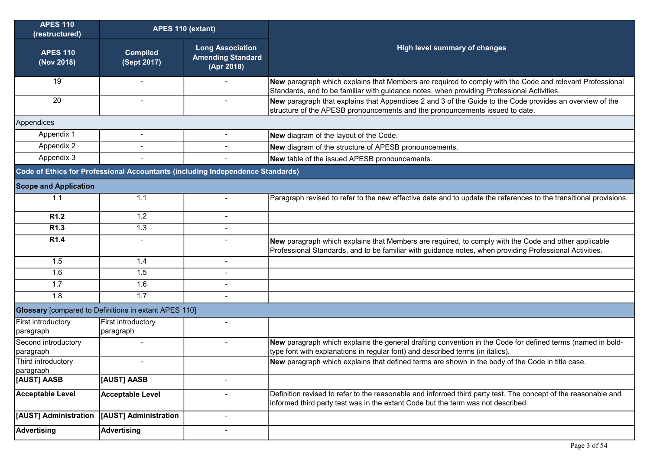| <b>APES 110</b><br>(restructured) | APES 110 (extant)                                                              |                                                                   |                                                                                                                                                                                                                 |
|-----------------------------------|--------------------------------------------------------------------------------|-------------------------------------------------------------------|-----------------------------------------------------------------------------------------------------------------------------------------------------------------------------------------------------------------|
| <b>APES 110</b><br>(Nov 2018)     | <b>Compiled</b><br>(Sept 2017)                                                 | <b>Long Association</b><br><b>Amending Standard</b><br>(Apr 2018) | High level summary of changes                                                                                                                                                                                   |
| 19                                | $\blacksquare$                                                                 |                                                                   | New paragraph which explains that Members are required to comply with the Code and relevant Professional<br>Standards, and to be familiar with guidance notes, when providing Professional Activities.          |
| 20                                | $\blacksquare$                                                                 |                                                                   | New paragraph that explains that Appendices 2 and 3 of the Guide to the Code provides an overview of the<br>structure of the APESB pronouncements and the pronouncements issued to date.                        |
| Appendices                        |                                                                                |                                                                   |                                                                                                                                                                                                                 |
| Appendix 1                        | $\overline{a}$                                                                 |                                                                   | New diagram of the layout of the Code.                                                                                                                                                                          |
| Appendix 2                        |                                                                                |                                                                   | New diagram of the structure of APESB pronouncements.                                                                                                                                                           |
| Appendix 3                        |                                                                                |                                                                   | New table of the issued APESB pronouncements.                                                                                                                                                                   |
|                                   | Code of Ethics for Professional Accountants (including Independence Standards) |                                                                   |                                                                                                                                                                                                                 |
| <b>Scope and Application</b>      |                                                                                |                                                                   |                                                                                                                                                                                                                 |
| 1.1                               | 1.1                                                                            | $\blacksquare$                                                    | Paragraph revised to refer to the new effective date and to update the references to the transitional provisions.                                                                                               |
| R <sub>1.2</sub>                  | 1.2                                                                            | $\blacksquare$                                                    |                                                                                                                                                                                                                 |
| R <sub>1.3</sub>                  | 1.3                                                                            |                                                                   |                                                                                                                                                                                                                 |
| R <sub>1.4</sub>                  | $\blacksquare$                                                                 |                                                                   | New paragraph which explains that Members are required, to comply with the Code and other applicable<br>Professional Standards, and to be familiar with guidance notes, when providing Professional Activities. |
| 1.5                               | 1.4                                                                            | $\overline{\phantom{0}}$                                          |                                                                                                                                                                                                                 |
| 1.6                               | 1.5                                                                            | $\overline{a}$                                                    |                                                                                                                                                                                                                 |
| 1.7                               | 1.6                                                                            |                                                                   |                                                                                                                                                                                                                 |
| 1.8                               | 1.7                                                                            | $\overline{a}$                                                    |                                                                                                                                                                                                                 |
|                                   | <b>Glossary</b> [compared to Definitions in extant APES 110]                   |                                                                   |                                                                                                                                                                                                                 |
| First introductory<br>paragraph   | First introductory<br>paragraph                                                | $\blacksquare$                                                    |                                                                                                                                                                                                                 |
| Second introductory<br>paragraph  |                                                                                |                                                                   | New paragraph which explains the general drafting convention in the Code for defined terms (named in bold-<br>type font with explanations in regular font) and described terms (in italics).                    |
| Third introductory<br>paragraph   | $\blacksquare$                                                                 |                                                                   | New paragraph which explains that defined terms are shown in the body of the Code in title case.                                                                                                                |
| [AUST] AASB                       | [AUST] AASB                                                                    |                                                                   |                                                                                                                                                                                                                 |
| <b>Acceptable Level</b>           | <b>Acceptable Level</b>                                                        |                                                                   | Definition revised to refer to the reasonable and informed third party test. The concept of the reasonable and<br>informed third party test was in the extant Code but the term was not described.              |
| [AUST] Administration             | [AUST] Administration                                                          | Ĭ.                                                                |                                                                                                                                                                                                                 |
| <b>Advertising</b>                | <b>Advertising</b>                                                             | $\overline{a}$                                                    |                                                                                                                                                                                                                 |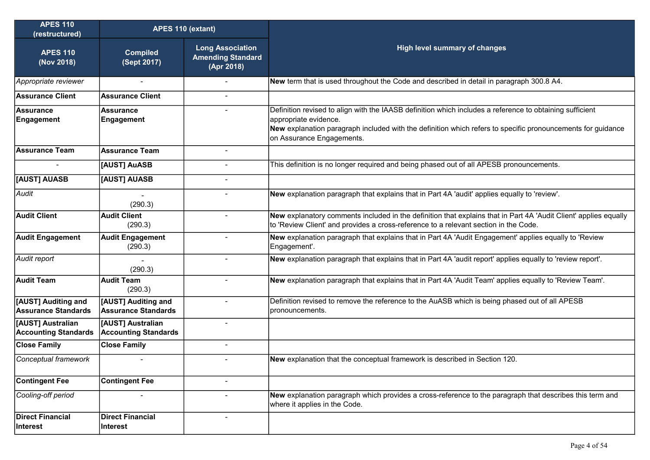| <b>APES 110</b><br>(restructured)                | APES 110 (extant)                                 |                                                                   |                                                                                                                                                                                                                                                                               |
|--------------------------------------------------|---------------------------------------------------|-------------------------------------------------------------------|-------------------------------------------------------------------------------------------------------------------------------------------------------------------------------------------------------------------------------------------------------------------------------|
| <b>APES 110</b><br>(Nov 2018)                    | <b>Compiled</b><br>(Sept 2017)                    | <b>Long Association</b><br><b>Amending Standard</b><br>(Apr 2018) | <b>High level summary of changes</b>                                                                                                                                                                                                                                          |
| Appropriate reviewer                             |                                                   |                                                                   | New term that is used throughout the Code and described in detail in paragraph 300.8 A4.                                                                                                                                                                                      |
| <b>Assurance Client</b>                          | <b>Assurance Client</b>                           |                                                                   |                                                                                                                                                                                                                                                                               |
| Assurance<br>Engagement                          | <b>Assurance</b><br>Engagement                    |                                                                   | Definition revised to align with the IAASB definition which includes a reference to obtaining sufficient<br>appropriate evidence.<br>New explanation paragraph included with the definition which refers to specific pronouncements for guidance<br>on Assurance Engagements. |
| Assurance Team                                   | <b>Assurance Team</b>                             | $\blacksquare$                                                    |                                                                                                                                                                                                                                                                               |
|                                                  | [AUST] AuASB                                      |                                                                   | This definition is no longer required and being phased out of all APESB pronouncements.                                                                                                                                                                                       |
| <b>[AUST] AUASB</b>                              | [AUST] AUASB                                      |                                                                   |                                                                                                                                                                                                                                                                               |
| Audit                                            | (290.3)                                           |                                                                   | New explanation paragraph that explains that in Part 4A 'audit' applies equally to 'review'.                                                                                                                                                                                  |
| <b>Audit Client</b>                              | <b>Audit Client</b><br>(290.3)                    | $\blacksquare$                                                    | New explanatory comments included in the definition that explains that in Part 4A 'Audit Client' applies equally<br>to 'Review Client' and provides a cross-reference to a relevant section in the Code.                                                                      |
| Audit Engagement                                 | <b>Audit Engagement</b><br>(290.3)                |                                                                   | New explanation paragraph that explains that in Part 4A 'Audit Engagement' applies equally to 'Review<br>Engagement'.                                                                                                                                                         |
| Audit report                                     | (290.3)                                           |                                                                   | New explanation paragraph that explains that in Part 4A 'audit report' applies equally to 'review report'.                                                                                                                                                                    |
| <b>Audit Team</b>                                | <b>Audit Team</b><br>(290.3)                      | $\blacksquare$                                                    | New explanation paragraph that explains that in Part 4A 'Audit Team' applies equally to 'Review Team'.                                                                                                                                                                        |
| [AUST] Auditing and<br>Assurance Standards       | [AUST] Auditing and<br><b>Assurance Standards</b> |                                                                   | Definition revised to remove the reference to the AuASB which is being phased out of all APESB<br>pronouncements.                                                                                                                                                             |
| [AUST] Australian<br><b>Accounting Standards</b> | [AUST] Australian<br><b>Accounting Standards</b>  | $\blacksquare$                                                    |                                                                                                                                                                                                                                                                               |
| <b>Close Family</b>                              | <b>Close Family</b>                               | $\blacksquare$                                                    |                                                                                                                                                                                                                                                                               |
| Conceptual framework                             | $\blacksquare$                                    | $\blacksquare$                                                    | New explanation that the conceptual framework is described in Section 120.                                                                                                                                                                                                    |
| <b>Contingent Fee</b>                            | <b>Contingent Fee</b>                             |                                                                   |                                                                                                                                                                                                                                                                               |
| Cooling-off period                               |                                                   | -                                                                 | New explanation paragraph which provides a cross-reference to the paragraph that describes this term and<br>where it applies in the Code.                                                                                                                                     |
| Direct Financial<br>Interest                     | <b>Direct Financial</b><br>Interest               |                                                                   |                                                                                                                                                                                                                                                                               |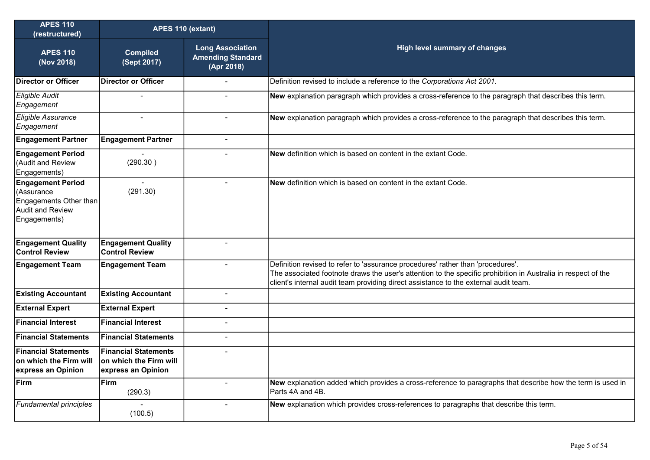| <b>APES 110</b><br>(restructured)                                                                           | APES 110 (extant)                                                           |                                                                   |                                                                                                                                                                                                                                                                                          |
|-------------------------------------------------------------------------------------------------------------|-----------------------------------------------------------------------------|-------------------------------------------------------------------|------------------------------------------------------------------------------------------------------------------------------------------------------------------------------------------------------------------------------------------------------------------------------------------|
| <b>APES 110</b><br>(Nov 2018)                                                                               | <b>Compiled</b><br>(Sept 2017)                                              | <b>Long Association</b><br><b>Amending Standard</b><br>(Apr 2018) | <b>High level summary of changes</b>                                                                                                                                                                                                                                                     |
| Director or Officer                                                                                         | Director or Officer                                                         |                                                                   | Definition revised to include a reference to the Corporations Act 2001.                                                                                                                                                                                                                  |
| <b>Eligible Audit</b><br>Engagement                                                                         | $\overline{\phantom{a}}$                                                    | $\blacksquare$                                                    | New explanation paragraph which provides a cross-reference to the paragraph that describes this term.                                                                                                                                                                                    |
| Eligible Assurance<br>Engagement                                                                            | $\blacksquare$                                                              | $\blacksquare$                                                    | New explanation paragraph which provides a cross-reference to the paragraph that describes this term.                                                                                                                                                                                    |
| <b>Engagement Partner</b>                                                                                   | <b>Engagement Partner</b>                                                   | $\sim$                                                            |                                                                                                                                                                                                                                                                                          |
| <b>Engagement Period</b><br>(Audit and Review<br>Engagements)                                               | (290.30)                                                                    |                                                                   | New definition which is based on content in the extant Code.                                                                                                                                                                                                                             |
| <b>Engagement Period</b><br>(Assurance<br>Engagements Other than<br><b>Audit and Review</b><br>Engagements) | (291.30)                                                                    | $\overline{a}$                                                    | New definition which is based on content in the extant Code.                                                                                                                                                                                                                             |
| <b>Engagement Quality</b><br><b>Control Review</b>                                                          | <b>Engagement Quality</b><br><b>Control Review</b>                          | $\overline{a}$                                                    |                                                                                                                                                                                                                                                                                          |
| <b>Engagement Team</b>                                                                                      | <b>Engagement Team</b>                                                      | $\blacksquare$                                                    | Definition revised to refer to 'assurance procedures' rather than 'procedures'.<br>The associated footnote draws the user's attention to the specific prohibition in Australia in respect of the<br>client's internal audit team providing direct assistance to the external audit team. |
| <b>Existing Accountant</b>                                                                                  | <b>Existing Accountant</b>                                                  | $\blacksquare$                                                    |                                                                                                                                                                                                                                                                                          |
| <b>External Expert</b>                                                                                      | <b>External Expert</b>                                                      | $\blacksquare$                                                    |                                                                                                                                                                                                                                                                                          |
| <b>Financial Interest</b>                                                                                   | <b>Financial Interest</b>                                                   |                                                                   |                                                                                                                                                                                                                                                                                          |
| <b>Financial Statements</b>                                                                                 | <b>Financial Statements</b>                                                 | $\blacksquare$                                                    |                                                                                                                                                                                                                                                                                          |
| <b>Financial Statements</b><br>on which the Firm will<br>express an Opinion                                 | <b>Financial Statements</b><br>on which the Firm will<br>express an Opinion |                                                                   |                                                                                                                                                                                                                                                                                          |
| Firm                                                                                                        | <b>Firm</b><br>(290.3)                                                      | $\sim$                                                            | New explanation added which provides a cross-reference to paragraphs that describe how the term is used in<br>Parts 4A and 4B.                                                                                                                                                           |
| <b>Fundamental principles</b>                                                                               | (100.5)                                                                     |                                                                   | New explanation which provides cross-references to paragraphs that describe this term.                                                                                                                                                                                                   |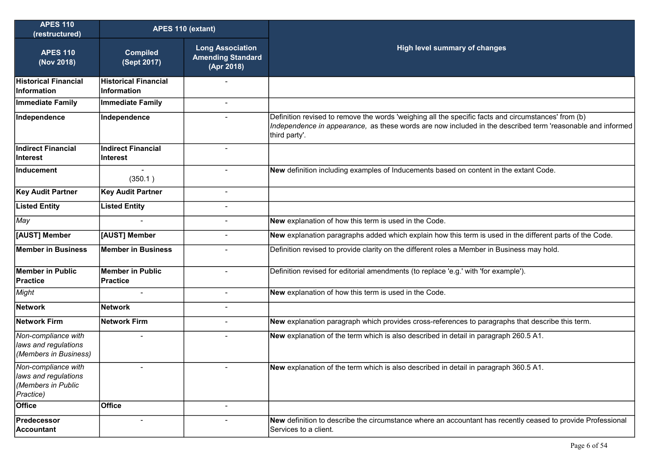| <b>APES 110</b><br>(restructured)                                              | APES 110 (extant)                                 |                                                                   |                                                                                                                                                                                                                                    |
|--------------------------------------------------------------------------------|---------------------------------------------------|-------------------------------------------------------------------|------------------------------------------------------------------------------------------------------------------------------------------------------------------------------------------------------------------------------------|
| <b>APES 110</b><br>(Nov 2018)                                                  | <b>Compiled</b><br>(Sept 2017)                    | <b>Long Association</b><br><b>Amending Standard</b><br>(Apr 2018) | <b>High level summary of changes</b>                                                                                                                                                                                               |
| <b>Historical Financial</b><br>Information                                     | <b>Historical Financial</b><br><b>Information</b> |                                                                   |                                                                                                                                                                                                                                    |
| <b>Immediate Family</b>                                                        | <b>Immediate Family</b>                           |                                                                   |                                                                                                                                                                                                                                    |
| Independence                                                                   | Independence                                      |                                                                   | Definition revised to remove the words 'weighing all the specific facts and circumstances' from (b)<br>Independence in appearance, as these words are now included in the described term 'reasonable and informed<br>third party'. |
| <b>Indirect Financial</b><br><b>Interest</b>                                   | <b>Indirect Financial</b><br><b>Interest</b>      |                                                                   |                                                                                                                                                                                                                                    |
| Inducement                                                                     | (350.1)                                           | $\blacksquare$                                                    | New definition including examples of Inducements based on content in the extant Code.                                                                                                                                              |
| <b>Key Audit Partner</b>                                                       | <b>Key Audit Partner</b>                          | $\blacksquare$                                                    |                                                                                                                                                                                                                                    |
| <b>Listed Entity</b>                                                           | <b>Listed Entity</b>                              | $\overline{a}$                                                    |                                                                                                                                                                                                                                    |
| May                                                                            |                                                   | $\blacksquare$                                                    | New explanation of how this term is used in the Code.                                                                                                                                                                              |
| [AUST] Member                                                                  | [AUST] Member                                     | $\overline{a}$                                                    | New explanation paragraphs added which explain how this term is used in the different parts of the Code.                                                                                                                           |
| <b>Member in Business</b>                                                      | <b>Member in Business</b>                         |                                                                   | Definition revised to provide clarity on the different roles a Member in Business may hold.                                                                                                                                        |
| Member in Public<br><b>Practice</b>                                            | <b>Member in Public</b><br><b>Practice</b>        | $\overline{a}$                                                    | Definition revised for editorial amendments (to replace 'e.g.' with 'for example').                                                                                                                                                |
| Might                                                                          |                                                   |                                                                   | New explanation of how this term is used in the Code.                                                                                                                                                                              |
| <b>Network</b>                                                                 | <b>Network</b>                                    |                                                                   |                                                                                                                                                                                                                                    |
| <b>Network Firm</b>                                                            | <b>Network Firm</b>                               | $\blacksquare$                                                    | New explanation paragraph which provides cross-references to paragraphs that describe this term.                                                                                                                                   |
| Non-compliance with<br>laws and regulations<br>(Members in Business)           |                                                   | -                                                                 | New explanation of the term which is also described in detail in paragraph 260.5 A1.                                                                                                                                               |
| Non-compliance with<br>laws and regulations<br>(Members in Public<br>Practice) |                                                   |                                                                   | New explanation of the term which is also described in detail in paragraph 360.5 A1.                                                                                                                                               |
| <b>Office</b>                                                                  | <b>Office</b>                                     | $\blacksquare$                                                    |                                                                                                                                                                                                                                    |
| Predecessor<br><b>Accountant</b>                                               |                                                   | $\blacksquare$                                                    | New definition to describe the circumstance where an accountant has recently ceased to provide Professional<br>Services to a client.                                                                                               |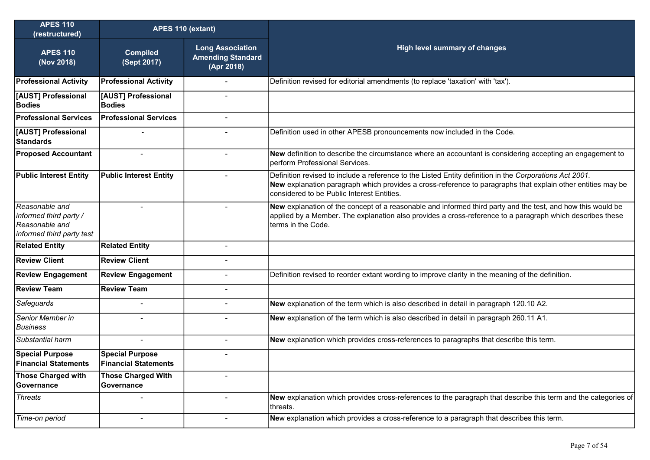| <b>APES 110</b><br>(restructured)                                                       | APES 110 (extant)                                     |                                                                   |                                                                                                                                                                                                                                                                      |
|-----------------------------------------------------------------------------------------|-------------------------------------------------------|-------------------------------------------------------------------|----------------------------------------------------------------------------------------------------------------------------------------------------------------------------------------------------------------------------------------------------------------------|
| <b>APES 110</b><br>(Nov 2018)                                                           | <b>Compiled</b><br>(Sept 2017)                        | <b>Long Association</b><br><b>Amending Standard</b><br>(Apr 2018) | High level summary of changes                                                                                                                                                                                                                                        |
| <b>Professional Activity</b>                                                            | <b>Professional Activity</b>                          |                                                                   | Definition revised for editorial amendments (to replace 'taxation' with 'tax').                                                                                                                                                                                      |
| [AUST] Professional<br><b>Bodies</b>                                                    | [AUST] Professional<br><b>Bodies</b>                  | Ē,                                                                |                                                                                                                                                                                                                                                                      |
| <b>Professional Services</b>                                                            | <b>Professional Services</b>                          | $\blacksquare$                                                    |                                                                                                                                                                                                                                                                      |
| [AUST] Professional<br>Standards                                                        |                                                       | $\blacksquare$                                                    | Definition used in other APESB pronouncements now included in the Code.                                                                                                                                                                                              |
| <b>Proposed Accountant</b>                                                              |                                                       |                                                                   | New definition to describe the circumstance where an accountant is considering accepting an engagement to<br>perform Professional Services.                                                                                                                          |
| <b>Public Interest Entity</b>                                                           | <b>Public Interest Entity</b>                         | $\blacksquare$                                                    | Definition revised to include a reference to the Listed Entity definition in the Corporations Act 2001.<br>New explanation paragraph which provides a cross-reference to paragraphs that explain other entities may be<br>considered to be Public Interest Entities. |
| Reasonable and<br>informed third party /<br>Reasonable and<br>informed third party test |                                                       | $\blacksquare$                                                    | New explanation of the concept of a reasonable and informed third party and the test, and how this would be<br>applied by a Member. The explanation also provides a cross-reference to a paragraph which describes these<br>terms in the Code.                       |
| <b>Related Entity</b>                                                                   | <b>Related Entity</b>                                 | L,                                                                |                                                                                                                                                                                                                                                                      |
| <b>Review Client</b>                                                                    | <b>Review Client</b>                                  |                                                                   |                                                                                                                                                                                                                                                                      |
| <b>Review Engagement</b>                                                                | <b>Review Engagement</b>                              |                                                                   | Definition revised to reorder extant wording to improve clarity in the meaning of the definition.                                                                                                                                                                    |
| <b>Review Team</b>                                                                      | <b>Review Team</b>                                    | $\blacksquare$                                                    |                                                                                                                                                                                                                                                                      |
| Safeguards                                                                              | $\blacksquare$                                        | $\overline{\phantom{0}}$                                          | New explanation of the term which is also described in detail in paragraph 120.10 A2.                                                                                                                                                                                |
| Senior Member in<br><b>Business</b>                                                     |                                                       |                                                                   | New explanation of the term which is also described in detail in paragraph 260.11 A1.                                                                                                                                                                                |
| Substantial harm                                                                        |                                                       | $\blacksquare$                                                    | New explanation which provides cross-references to paragraphs that describe this term.                                                                                                                                                                               |
| <b>Special Purpose</b><br><b>Financial Statements</b>                                   | <b>Special Purpose</b><br><b>Financial Statements</b> |                                                                   |                                                                                                                                                                                                                                                                      |
| Those Charged with<br><b>Governance</b>                                                 | <b>Those Charged With</b><br>Governance               |                                                                   |                                                                                                                                                                                                                                                                      |
| <b>Threats</b>                                                                          |                                                       | $\blacksquare$                                                    | New explanation which provides cross-references to the paragraph that describe this term and the categories of<br>threats.                                                                                                                                           |
| Time-on period                                                                          |                                                       | -                                                                 | New explanation which provides a cross-reference to a paragraph that describes this term.                                                                                                                                                                            |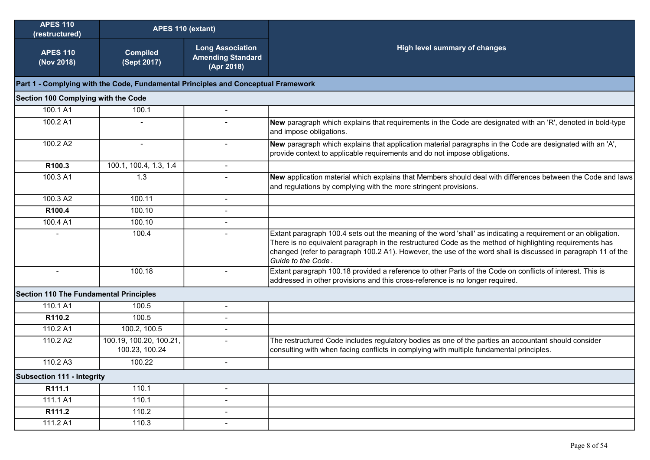| <b>APES 110</b><br>(restructured)      | APES 110 (extant)                                                                 |                                                                   |                                                                                                                                                                                                                                                                                                                                                                  |  |  |  |  |
|----------------------------------------|-----------------------------------------------------------------------------------|-------------------------------------------------------------------|------------------------------------------------------------------------------------------------------------------------------------------------------------------------------------------------------------------------------------------------------------------------------------------------------------------------------------------------------------------|--|--|--|--|
| <b>APES 110</b><br>(Nov 2018)          | <b>Compiled</b><br>(Sept 2017)                                                    | <b>Long Association</b><br><b>Amending Standard</b><br>(Apr 2018) | <b>High level summary of changes</b>                                                                                                                                                                                                                                                                                                                             |  |  |  |  |
|                                        | Part 1 - Complying with the Code, Fundamental Principles and Conceptual Framework |                                                                   |                                                                                                                                                                                                                                                                                                                                                                  |  |  |  |  |
| Section 100 Complying with the Code    |                                                                                   |                                                                   |                                                                                                                                                                                                                                                                                                                                                                  |  |  |  |  |
| 100.1 A1                               | 100.1                                                                             | $\overline{\phantom{0}}$                                          |                                                                                                                                                                                                                                                                                                                                                                  |  |  |  |  |
| 100.2 A1                               |                                                                                   |                                                                   | New paragraph which explains that requirements in the Code are designated with an 'R', denoted in bold-type<br>and impose obligations.                                                                                                                                                                                                                           |  |  |  |  |
| 100.2 A2                               |                                                                                   | $\overline{a}$                                                    | New paragraph which explains that application material paragraphs in the Code are designated with an 'A',<br>provide context to applicable requirements and do not impose obligations.                                                                                                                                                                           |  |  |  |  |
| R100.3                                 | 100.1, 100.4, 1.3, 1.4                                                            | $\blacksquare$                                                    |                                                                                                                                                                                                                                                                                                                                                                  |  |  |  |  |
| 100.3 A1                               | 1.3                                                                               |                                                                   | New application material which explains that Members should deal with differences between the Code and laws<br>and regulations by complying with the more stringent provisions.                                                                                                                                                                                  |  |  |  |  |
| 100.3 A2                               | 100.11                                                                            | $\blacksquare$                                                    |                                                                                                                                                                                                                                                                                                                                                                  |  |  |  |  |
| R100.4                                 | 100.10                                                                            | $\blacksquare$                                                    |                                                                                                                                                                                                                                                                                                                                                                  |  |  |  |  |
| 100.4 A1                               | 100.10                                                                            |                                                                   |                                                                                                                                                                                                                                                                                                                                                                  |  |  |  |  |
|                                        | 100.4                                                                             |                                                                   | Extant paragraph 100.4 sets out the meaning of the word 'shall' as indicating a requirement or an obligation.<br>There is no equivalent paragraph in the restructured Code as the method of highlighting requirements has<br>changed (refer to paragraph 100.2 A1). However, the use of the word shall is discussed in paragraph 11 of the<br>Guide to the Code. |  |  |  |  |
| $\overline{\phantom{a}}$               | 100.18                                                                            | $\blacksquare$                                                    | Extant paragraph 100.18 provided a reference to other Parts of the Code on conflicts of interest. This is<br>addressed in other provisions and this cross-reference is no longer required.                                                                                                                                                                       |  |  |  |  |
| Section 110 The Fundamental Principles |                                                                                   |                                                                   |                                                                                                                                                                                                                                                                                                                                                                  |  |  |  |  |
| 110.1 A1                               | 100.5                                                                             | $\overline{a}$                                                    |                                                                                                                                                                                                                                                                                                                                                                  |  |  |  |  |
| R110.2                                 | 100.5                                                                             | $\blacksquare$                                                    |                                                                                                                                                                                                                                                                                                                                                                  |  |  |  |  |
| 110.2 A1                               | 100.2, 100.5                                                                      |                                                                   |                                                                                                                                                                                                                                                                                                                                                                  |  |  |  |  |
| 110.2 A2                               | 100.19, 100.20, 100.21,<br>100.23, 100.24                                         |                                                                   | The restructured Code includes regulatory bodies as one of the parties an accountant should consider<br>consulting with when facing conflicts in complying with multiple fundamental principles.                                                                                                                                                                 |  |  |  |  |
| 110.2 A3                               | 100.22                                                                            | $\blacksquare$                                                    |                                                                                                                                                                                                                                                                                                                                                                  |  |  |  |  |
| <b>Subsection 111 - Integrity</b>      |                                                                                   |                                                                   |                                                                                                                                                                                                                                                                                                                                                                  |  |  |  |  |
| R111.1                                 | 110.1                                                                             | $\blacksquare$                                                    |                                                                                                                                                                                                                                                                                                                                                                  |  |  |  |  |
| 111.1 A1                               | 110.1                                                                             | $\overline{\phantom{a}}$                                          |                                                                                                                                                                                                                                                                                                                                                                  |  |  |  |  |
| R111.2                                 | 110.2                                                                             | $\overline{\phantom{a}}$                                          |                                                                                                                                                                                                                                                                                                                                                                  |  |  |  |  |
| 111.2 A1                               | 110.3                                                                             | $\blacksquare$                                                    |                                                                                                                                                                                                                                                                                                                                                                  |  |  |  |  |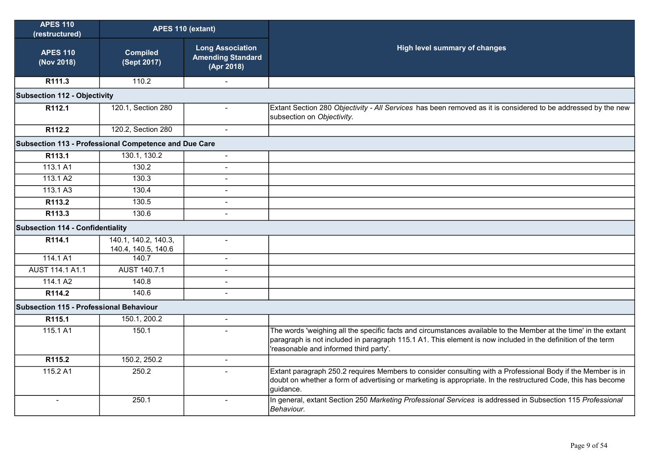| <b>APES 110</b><br>(restructured)                     | APES 110 (extant)                           |                                                                   |                                                                                                                                                                                                                                                                         |
|-------------------------------------------------------|---------------------------------------------|-------------------------------------------------------------------|-------------------------------------------------------------------------------------------------------------------------------------------------------------------------------------------------------------------------------------------------------------------------|
| <b>APES 110</b><br>(Nov 2018)                         | <b>Compiled</b><br>(Sept 2017)              | <b>Long Association</b><br><b>Amending Standard</b><br>(Apr 2018) | High level summary of changes                                                                                                                                                                                                                                           |
| R <sub>111.3</sub>                                    | 110.2                                       |                                                                   |                                                                                                                                                                                                                                                                         |
| <b>Subsection 112 - Objectivity</b>                   |                                             |                                                                   |                                                                                                                                                                                                                                                                         |
| R112.1                                                | 120.1, Section 280                          | $\blacksquare$                                                    | Extant Section 280 Objectivity - All Services has been removed as it is considered to be addressed by the new<br>subsection on Objectivity.                                                                                                                             |
| R112.2                                                | 120.2, Section 280                          | $\blacksquare$                                                    |                                                                                                                                                                                                                                                                         |
| Subsection 113 - Professional Competence and Due Care |                                             |                                                                   |                                                                                                                                                                                                                                                                         |
| R113.1                                                | 130.1, 130.2                                | $\blacksquare$                                                    |                                                                                                                                                                                                                                                                         |
| 113.1A1                                               | 130.2                                       | $\blacksquare$                                                    |                                                                                                                                                                                                                                                                         |
| 113.1 A2                                              | 130.3                                       | $\blacksquare$                                                    |                                                                                                                                                                                                                                                                         |
| 113.1 A3                                              | 130.4                                       | $\overline{a}$                                                    |                                                                                                                                                                                                                                                                         |
| R113.2                                                | 130.5                                       | $\overline{a}$                                                    |                                                                                                                                                                                                                                                                         |
| R113.3                                                | 130.6                                       | $\mathbf{r}$                                                      |                                                                                                                                                                                                                                                                         |
| Subsection 114 - Confidentiality                      |                                             |                                                                   |                                                                                                                                                                                                                                                                         |
| R114.1                                                | 140.1, 140.2, 140.3,<br>140.4, 140.5, 140.6 | $\overline{a}$                                                    |                                                                                                                                                                                                                                                                         |
| 114.1 A1                                              | 140.7                                       | $\blacksquare$                                                    |                                                                                                                                                                                                                                                                         |
| AUST 114.1 A1.1                                       | AUST 140.7.1                                | $\blacksquare$                                                    |                                                                                                                                                                                                                                                                         |
| 114.1 A2                                              | 140.8                                       | ÷.                                                                |                                                                                                                                                                                                                                                                         |
| R114.2                                                | 140.6                                       | $\overline{a}$                                                    |                                                                                                                                                                                                                                                                         |
| Subsection 115 - Professional Behaviour               |                                             |                                                                   |                                                                                                                                                                                                                                                                         |
| R115.1                                                | 150.1, 200.2                                | $\blacksquare$                                                    |                                                                                                                                                                                                                                                                         |
| 115.1A1                                               | 150.1                                       | $\overline{a}$                                                    | The words 'weighing all the specific facts and circumstances available to the Member at the time' in the extant<br>paragraph is not included in paragraph 115.1 A1. This element is now included in the definition of the term<br>reasonable and informed third party'. |
| R115.2                                                | 150.2, 250.2                                | $\mathbf{r}$                                                      |                                                                                                                                                                                                                                                                         |
| 115.2 A1                                              | 250.2                                       | $\sim$                                                            | Extant paragraph 250.2 requires Members to consider consulting with a Professional Body if the Member is in<br>doubt on whether a form of advertising or marketing is appropriate. In the restructured Code, this has become<br>guidance.                               |
| $\blacksquare$                                        | 250.1                                       | -                                                                 | In general, extant Section 250 Marketing Professional Services is addressed in Subsection 115 Professional<br>Behaviour.                                                                                                                                                |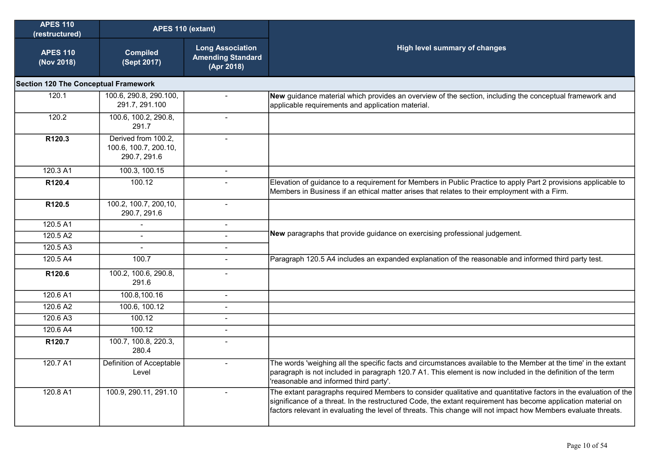| <b>APES 110</b><br>(restructured)           | APES 110 (extant)                                            |                                                                   |                                                                                                                                                                                                                                                                                                                                                     |
|---------------------------------------------|--------------------------------------------------------------|-------------------------------------------------------------------|-----------------------------------------------------------------------------------------------------------------------------------------------------------------------------------------------------------------------------------------------------------------------------------------------------------------------------------------------------|
| <b>APES 110</b><br>(Nov 2018)               | <b>Compiled</b><br>(Sept 2017)                               | <b>Long Association</b><br><b>Amending Standard</b><br>(Apr 2018) | <b>High level summary of changes</b>                                                                                                                                                                                                                                                                                                                |
| <b>Section 120 The Conceptual Framework</b> |                                                              |                                                                   |                                                                                                                                                                                                                                                                                                                                                     |
| 120.1                                       | 100.6, 290.8, 290.100,<br>291.7, 291.100                     | $\blacksquare$                                                    | New guidance material which provides an overview of the section, including the conceptual framework and<br>applicable requirements and application material.                                                                                                                                                                                        |
| 120.2                                       | 100.6, 100.2, 290.8,<br>291.7                                | $\blacksquare$                                                    |                                                                                                                                                                                                                                                                                                                                                     |
| R120.3                                      | Derived from 100.2,<br>100.6, 100.7, 200.10,<br>290.7, 291.6 | $\sim$                                                            |                                                                                                                                                                                                                                                                                                                                                     |
| 120.3 A1                                    | 100.3, 100.15                                                | $\sim$                                                            |                                                                                                                                                                                                                                                                                                                                                     |
| R120.4                                      | 100.12                                                       |                                                                   | Elevation of guidance to a requirement for Members in Public Practice to apply Part 2 provisions applicable to<br>Members in Business if an ethical matter arises that relates to their employment with a Firm.                                                                                                                                     |
| R120.5                                      | 100.2, 100.7, 200, 10,<br>290.7, 291.6                       | $\sim$                                                            |                                                                                                                                                                                                                                                                                                                                                     |
| 120.5 A1                                    |                                                              | $\blacksquare$                                                    |                                                                                                                                                                                                                                                                                                                                                     |
| 120.5 A2                                    |                                                              |                                                                   | New paragraphs that provide guidance on exercising professional judgement.                                                                                                                                                                                                                                                                          |
| 120.5 A3                                    |                                                              | $\blacksquare$                                                    |                                                                                                                                                                                                                                                                                                                                                     |
| 120.5 A4                                    | 100.7                                                        | $\sim$                                                            | Paragraph 120.5 A4 includes an expanded explanation of the reasonable and informed third party test.                                                                                                                                                                                                                                                |
| R120.6                                      | 100.2, 100.6, 290.8,<br>291.6                                |                                                                   |                                                                                                                                                                                                                                                                                                                                                     |
| 120.6 A1                                    | 100.8,100.16                                                 | $\blacksquare$                                                    |                                                                                                                                                                                                                                                                                                                                                     |
| 120.6 A2                                    | 100.6, 100.12                                                |                                                                   |                                                                                                                                                                                                                                                                                                                                                     |
| 120.6 A3                                    | 100.12                                                       |                                                                   |                                                                                                                                                                                                                                                                                                                                                     |
| 120.6 A4                                    | 100.12                                                       |                                                                   |                                                                                                                                                                                                                                                                                                                                                     |
| R120.7                                      | 100.7, 100.8, 220.3,<br>280.4                                |                                                                   |                                                                                                                                                                                                                                                                                                                                                     |
| 120.7 A1                                    | Definition of Acceptable<br>Level                            |                                                                   | The words 'weighing all the specific facts and circumstances available to the Member at the time' in the extant<br>paragraph is not included in paragraph 120.7 A1. This element is now included in the definition of the term<br>'reasonable and informed third party'.                                                                            |
| 120.8 A1                                    | 100.9, 290.11, 291.10                                        |                                                                   | The extant paragraphs required Members to consider qualitative and quantitative factors in the evaluation of the<br>significance of a threat. In the restructured Code, the extant requirement has become application material on<br>factors relevant in evaluating the level of threats. This change will not impact how Members evaluate threats. |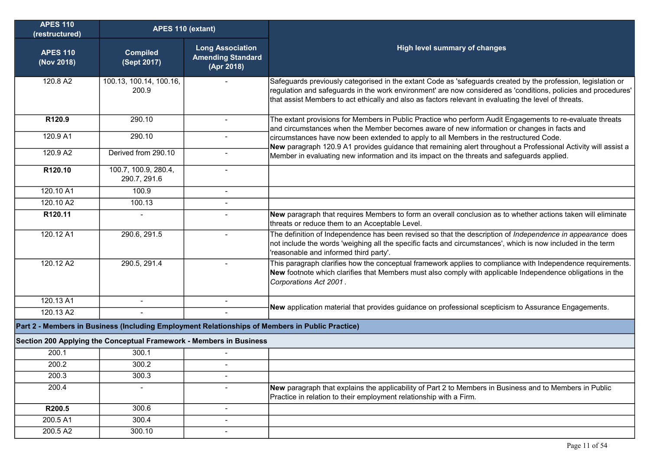| <b>APES 110</b><br>(restructured) | APES 110 (extant)                                                   |                                                                   |                                                                                                                                                                                                                                                                                                                                          |
|-----------------------------------|---------------------------------------------------------------------|-------------------------------------------------------------------|------------------------------------------------------------------------------------------------------------------------------------------------------------------------------------------------------------------------------------------------------------------------------------------------------------------------------------------|
| <b>APES 110</b><br>(Nov 2018)     | <b>Compiled</b><br>(Sept 2017)                                      | <b>Long Association</b><br><b>Amending Standard</b><br>(Apr 2018) | <b>High level summary of changes</b>                                                                                                                                                                                                                                                                                                     |
| 120.8 A2                          | 100.13, 100.14, 100.16,<br>200.9                                    |                                                                   | Safeguards previously categorised in the extant Code as 'safeguards created by the profession, legislation or<br>regulation and safeguards in the work environment' are now considered as 'conditions, policies and procedures'<br>that assist Members to act ethically and also as factors relevant in evaluating the level of threats. |
| R120.9                            | 290.10                                                              |                                                                   | The extant provisions for Members in Public Practice who perform Audit Engagements to re-evaluate threats<br>and circumstances when the Member becomes aware of new information or changes in facts and                                                                                                                                  |
| 120.9 A1                          | 290.10                                                              |                                                                   | circumstances have now been extended to apply to all Members in the restructured Code.<br>New paragraph 120.9 A1 provides guidance that remaining alert throughout a Professional Activity will assist a                                                                                                                                 |
| 120.9 A2                          | Derived from 290.10                                                 |                                                                   | Member in evaluating new information and its impact on the threats and safeguards applied.                                                                                                                                                                                                                                               |
| R120.10                           | 100.7, 100.9, 280.4,<br>290.7, 291.6                                | $\overline{a}$                                                    |                                                                                                                                                                                                                                                                                                                                          |
| 120.10 A1                         | 100.9                                                               | $\blacksquare$                                                    |                                                                                                                                                                                                                                                                                                                                          |
| 120.10 A2                         | 100.13                                                              |                                                                   |                                                                                                                                                                                                                                                                                                                                          |
| R120.11                           | $\blacksquare$                                                      |                                                                   | New paragraph that requires Members to form an overall conclusion as to whether actions taken will eliminate<br>threats or reduce them to an Acceptable Level.                                                                                                                                                                           |
| 120.12 A1                         | 290.6, 291.5                                                        |                                                                   | The definition of Independence has been revised so that the description of Independence in appearance does<br>not include the words 'weighing all the specific facts and circumstances', which is now included in the term<br>'reasonable and informed third party'.                                                                     |
| 120.12 A2                         | 290.5, 291.4                                                        |                                                                   | This paragraph clarifies how the conceptual framework applies to compliance with Independence requirements.<br>New footnote which clarifies that Members must also comply with applicable Independence obligations in the<br>Corporations Act 2001.                                                                                      |
| 120.13 A1                         | $\overline{\phantom{a}}$                                            |                                                                   |                                                                                                                                                                                                                                                                                                                                          |
| 120.13 A2                         |                                                                     |                                                                   | New application material that provides guidance on professional scepticism to Assurance Engagements.                                                                                                                                                                                                                                     |
|                                   |                                                                     |                                                                   | Part 2 - Members in Business (Including Employment Relationships of Members in Public Practice)                                                                                                                                                                                                                                          |
|                                   | Section 200 Applying the Conceptual Framework - Members in Business |                                                                   |                                                                                                                                                                                                                                                                                                                                          |
| 200.1                             | 300.1                                                               |                                                                   |                                                                                                                                                                                                                                                                                                                                          |
| 200.2                             | 300.2                                                               |                                                                   |                                                                                                                                                                                                                                                                                                                                          |
| 200.3                             | 300.3                                                               |                                                                   |                                                                                                                                                                                                                                                                                                                                          |
| 200.4                             | $\overline{\phantom{a}}$                                            |                                                                   | New paragraph that explains the applicability of Part 2 to Members in Business and to Members in Public<br>Practice in relation to their employment relationship with a Firm.                                                                                                                                                            |
| R200.5                            | 300.6                                                               | $\overline{\phantom{0}}$                                          |                                                                                                                                                                                                                                                                                                                                          |
| 200.5 A1                          | 300.4                                                               | $\blacksquare$                                                    |                                                                                                                                                                                                                                                                                                                                          |
| 200.5 A2                          | 300.10                                                              | $\blacksquare$                                                    |                                                                                                                                                                                                                                                                                                                                          |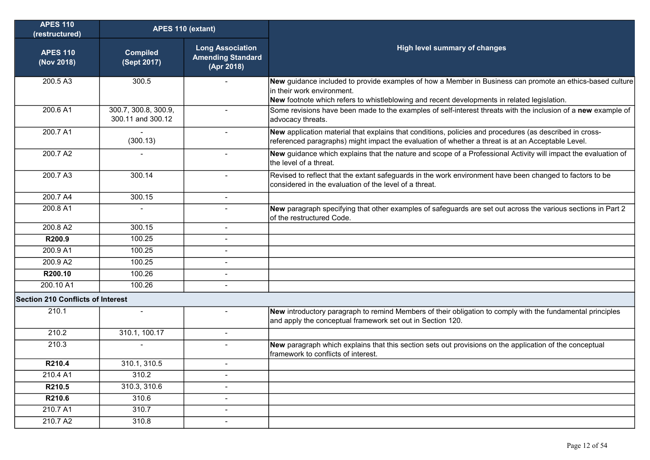| <b>APES 110</b><br>(restructured)        | APES 110 (extant)                         |                                                                   |                                                                                                                                                                                                                                        |
|------------------------------------------|-------------------------------------------|-------------------------------------------------------------------|----------------------------------------------------------------------------------------------------------------------------------------------------------------------------------------------------------------------------------------|
| <b>APES 110</b><br>(Nov 2018)            | <b>Compiled</b><br>(Sept 2017)            | <b>Long Association</b><br><b>Amending Standard</b><br>(Apr 2018) | <b>High level summary of changes</b>                                                                                                                                                                                                   |
| 200.5 A3                                 | 300.5                                     |                                                                   | New guidance included to provide examples of how a Member in Business can promote an ethics-based culture<br>in their work environment.<br>New footnote which refers to whistleblowing and recent developments in related legislation. |
| 200.6 A1                                 | 300.7, 300.8, 300.9,<br>300.11 and 300.12 | $\overline{a}$                                                    | Some revisions have been made to the examples of self-interest threats with the inclusion of a new example of<br>advocacy threats.                                                                                                     |
| 200.7 A1                                 | $\blacksquare$<br>(300.13)                | $\sim$                                                            | New application material that explains that conditions, policies and procedures (as described in cross-<br>referenced paragraphs) might impact the evaluation of whether a threat is at an Acceptable Level.                           |
| 200.7 A2                                 |                                           |                                                                   | New guidance which explains that the nature and scope of a Professional Activity will impact the evaluation of<br>the level of a threat.                                                                                               |
| 200.7 A3                                 | 300.14                                    | $\blacksquare$                                                    | Revised to reflect that the extant safeguards in the work environment have been changed to factors to be<br>considered in the evaluation of the level of a threat.                                                                     |
| 200.7 A4                                 | 300.15                                    | $\sim$                                                            |                                                                                                                                                                                                                                        |
| 200.8 A1                                 |                                           |                                                                   | New paragraph specifying that other examples of safeguards are set out across the various sections in Part 2<br>of the restructured Code.                                                                                              |
| 200.8 A2                                 | 300.15                                    |                                                                   |                                                                                                                                                                                                                                        |
| R200.9                                   | 100.25                                    |                                                                   |                                                                                                                                                                                                                                        |
| 200.9 A1                                 | 100.25                                    |                                                                   |                                                                                                                                                                                                                                        |
| 200.9 A2                                 | 100.25                                    | $\blacksquare$                                                    |                                                                                                                                                                                                                                        |
| R200.10                                  | 100.26                                    |                                                                   |                                                                                                                                                                                                                                        |
| 200.10 A1                                | 100.26                                    |                                                                   |                                                                                                                                                                                                                                        |
| <b>Section 210 Conflicts of Interest</b> |                                           |                                                                   |                                                                                                                                                                                                                                        |
| 210.1                                    | $\sim$                                    |                                                                   | New introductory paragraph to remind Members of their obligation to comply with the fundamental principles<br>and apply the conceptual framework set out in Section 120.                                                               |
| 210.2                                    | 310.1, 100.17                             | $\blacksquare$                                                    |                                                                                                                                                                                                                                        |
| 210.3                                    |                                           | $\blacksquare$                                                    | New paragraph which explains that this section sets out provisions on the application of the conceptual<br>framework to conflicts of interest.                                                                                         |
| R210.4                                   | 310.1, 310.5                              |                                                                   |                                                                                                                                                                                                                                        |
| 210.4 A1                                 | 310.2                                     |                                                                   |                                                                                                                                                                                                                                        |
| R210.5                                   | 310.3, 310.6                              | $\blacksquare$                                                    |                                                                                                                                                                                                                                        |
| R210.6                                   | 310.6                                     | $\blacksquare$                                                    |                                                                                                                                                                                                                                        |
| 210.7 A1                                 | 310.7                                     | -                                                                 |                                                                                                                                                                                                                                        |
| 210.7 A2                                 | 310.8                                     | $\overline{\phantom{a}}$                                          |                                                                                                                                                                                                                                        |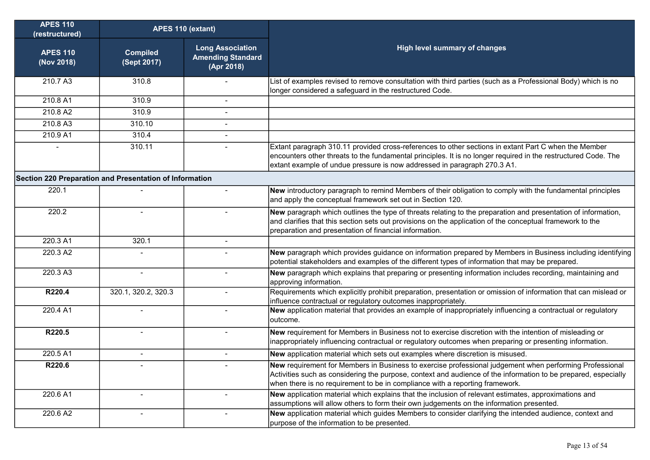| <b>APES 110</b><br>(restructured)                       | APES 110 (extant)              |                                                                   |                                                                                                                                                                                                                                                                                                           |
|---------------------------------------------------------|--------------------------------|-------------------------------------------------------------------|-----------------------------------------------------------------------------------------------------------------------------------------------------------------------------------------------------------------------------------------------------------------------------------------------------------|
| <b>APES 110</b><br>(Nov 2018)                           | <b>Compiled</b><br>(Sept 2017) | <b>Long Association</b><br><b>Amending Standard</b><br>(Apr 2018) | <b>High level summary of changes</b>                                                                                                                                                                                                                                                                      |
| 210.7 A3                                                | 310.8                          |                                                                   | List of examples revised to remove consultation with third parties (such as a Professional Body) which is no<br>longer considered a safeguard in the restructured Code.                                                                                                                                   |
| 210.8 A1                                                | 310.9                          | $\sim$                                                            |                                                                                                                                                                                                                                                                                                           |
| 210.8 A2                                                | 310.9                          |                                                                   |                                                                                                                                                                                                                                                                                                           |
| 210.8 A3                                                | 310.10                         |                                                                   |                                                                                                                                                                                                                                                                                                           |
| 210.9 A1                                                | 310.4                          |                                                                   |                                                                                                                                                                                                                                                                                                           |
|                                                         | 310.11                         |                                                                   | Extant paragraph 310.11 provided cross-references to other sections in extant Part C when the Member<br>encounters other threats to the fundamental principles. It is no longer required in the restructured Code. The<br>extant example of undue pressure is now addressed in paragraph 270.3 A1.        |
| Section 220 Preparation and Presentation of Information |                                |                                                                   |                                                                                                                                                                                                                                                                                                           |
| 220.1                                                   |                                |                                                                   | New introductory paragraph to remind Members of their obligation to comply with the fundamental principles<br>and apply the conceptual framework set out in Section 120.                                                                                                                                  |
| 220.2                                                   |                                |                                                                   | New paragraph which outlines the type of threats relating to the preparation and presentation of information,<br>and clarifies that this section sets out provisions on the application of the conceptual framework to the<br>preparation and presentation of financial information.                      |
| 220.3 A1                                                | 320.1                          |                                                                   |                                                                                                                                                                                                                                                                                                           |
| 220.3 A2                                                |                                |                                                                   | New paragraph which provides guidance on information prepared by Members in Business including identifying<br>potential stakeholders and examples of the different types of information that may be prepared.                                                                                             |
| 220.3 A3                                                | $\blacksquare$                 |                                                                   | New paragraph which explains that preparing or presenting information includes recording, maintaining and<br>approving information.                                                                                                                                                                       |
| R220.4                                                  | 320.1, 320.2, 320.3            |                                                                   | Requirements which explicitly prohibit preparation, presentation or omission of information that can mislead or<br>influence contractual or regulatory outcomes inappropriately.                                                                                                                          |
| 220.4 A1                                                |                                |                                                                   | New application material that provides an example of inappropriately influencing a contractual or regulatory<br>outcome.                                                                                                                                                                                  |
| R220.5                                                  | $\blacksquare$                 |                                                                   | New requirement for Members in Business not to exercise discretion with the intention of misleading or<br>inappropriately influencing contractual or regulatory outcomes when preparing or presenting information.                                                                                        |
| 220.5 A1                                                | $\blacksquare$                 | $\sim$                                                            | New application material which sets out examples where discretion is misused.                                                                                                                                                                                                                             |
| R220.6                                                  |                                |                                                                   | New requirement for Members in Business to exercise professional judgement when performing Professional<br>Activities such as considering the purpose, context and audience of the information to be prepared, especially<br>when there is no requirement to be in compliance with a reporting framework. |
| 220.6 A1                                                |                                |                                                                   | New application material which explains that the inclusion of relevant estimates, approximations and<br>assumptions will allow others to form their own judgements on the information presented.                                                                                                          |
| 220.6 A2                                                |                                |                                                                   | New application material which guides Members to consider clarifying the intended audience, context and<br>purpose of the information to be presented.                                                                                                                                                    |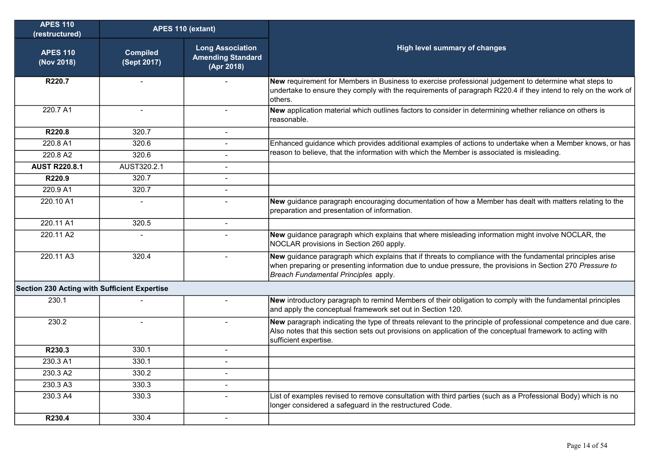| <b>APES 110</b><br>(restructured)            | APES 110 (extant)              |                                                                   |                                                                                                                                                                                                                                                                |
|----------------------------------------------|--------------------------------|-------------------------------------------------------------------|----------------------------------------------------------------------------------------------------------------------------------------------------------------------------------------------------------------------------------------------------------------|
| <b>APES 110</b><br>(Nov 2018)                | <b>Compiled</b><br>(Sept 2017) | <b>Long Association</b><br><b>Amending Standard</b><br>(Apr 2018) | High level summary of changes                                                                                                                                                                                                                                  |
| R220.7                                       |                                |                                                                   | New requirement for Members in Business to exercise professional judgement to determine what steps to<br>undertake to ensure they comply with the requirements of paragraph R220.4 if they intend to rely on the work of<br>others.                            |
| 220.7 A1                                     |                                |                                                                   | New application material which outlines factors to consider in determining whether reliance on others is<br>reasonable.                                                                                                                                        |
| R220.8                                       | 320.7                          | $\overline{a}$                                                    |                                                                                                                                                                                                                                                                |
| 220.8 A1                                     | 320.6                          |                                                                   | Enhanced guidance which provides additional examples of actions to undertake when a Member knows, or has                                                                                                                                                       |
| 220.8 A2                                     | 320.6                          |                                                                   | reason to believe, that the information with which the Member is associated is misleading.                                                                                                                                                                     |
| <b>AUST R220.8.1</b>                         | AUST320.2.1                    | ۰                                                                 |                                                                                                                                                                                                                                                                |
| R220.9                                       | 320.7                          | L.                                                                |                                                                                                                                                                                                                                                                |
| 220.9 A1                                     | 320.7                          | $\sim$                                                            |                                                                                                                                                                                                                                                                |
| 220.10 A1                                    |                                |                                                                   | New guidance paragraph encouraging documentation of how a Member has dealt with matters relating to the<br>preparation and presentation of information.                                                                                                        |
| 220.11 A1                                    | 320.5                          | $\mathbf{r}$                                                      |                                                                                                                                                                                                                                                                |
| 220.11 A2                                    |                                |                                                                   | New guidance paragraph which explains that where misleading information might involve NOCLAR, the<br>NOCLAR provisions in Section 260 apply.                                                                                                                   |
| 220.11 A3                                    | 320.4                          | L.                                                                | New guidance paragraph which explains that if threats to compliance with the fundamental principles arise<br>when preparing or presenting information due to undue pressure, the provisions in Section 270 Pressure to<br>Breach Fundamental Principles apply. |
| Section 230 Acting with Sufficient Expertise |                                |                                                                   |                                                                                                                                                                                                                                                                |
| 230.1                                        |                                |                                                                   | New introductory paragraph to remind Members of their obligation to comply with the fundamental principles<br>and apply the conceptual framework set out in Section 120.                                                                                       |
| 230.2                                        |                                |                                                                   | New paragraph indicating the type of threats relevant to the principle of professional competence and due care.<br>Also notes that this section sets out provisions on application of the conceptual framework to acting with<br>sufficient expertise.         |
| R230.3                                       | 330.1                          |                                                                   |                                                                                                                                                                                                                                                                |
| 230.3 A1                                     | 330.1                          | $\blacksquare$                                                    |                                                                                                                                                                                                                                                                |
| 230.3 A2                                     | 330.2                          |                                                                   |                                                                                                                                                                                                                                                                |
| 230.3 A3                                     | 330.3                          | $\overline{a}$                                                    |                                                                                                                                                                                                                                                                |
| 230.3 A4                                     | 330.3                          |                                                                   | List of examples revised to remove consultation with third parties (such as a Professional Body) which is no<br>longer considered a safeguard in the restructured Code.                                                                                        |
| R230.4                                       | 330.4                          | $\overline{a}$                                                    |                                                                                                                                                                                                                                                                |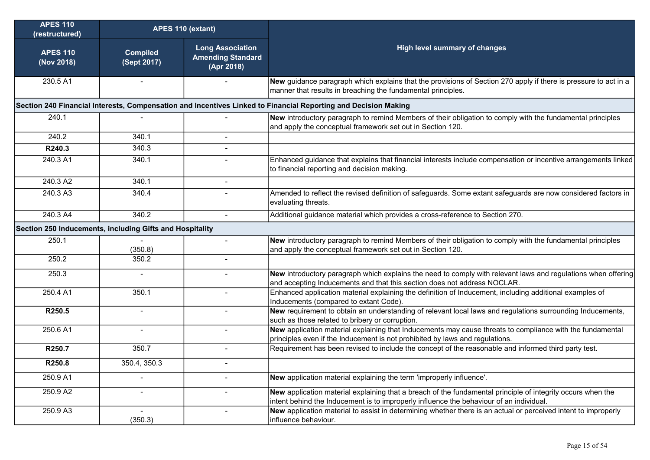| <b>APES 110</b><br>(restructured)                        | APES 110 (extant)                                                                                              |                                                                   |                                                                                                                                                                                                        |  |  |  |  |
|----------------------------------------------------------|----------------------------------------------------------------------------------------------------------------|-------------------------------------------------------------------|--------------------------------------------------------------------------------------------------------------------------------------------------------------------------------------------------------|--|--|--|--|
| <b>APES 110</b><br>(Nov 2018)                            | <b>Compiled</b><br>(Sept 2017)                                                                                 | <b>Long Association</b><br><b>Amending Standard</b><br>(Apr 2018) | <b>High level summary of changes</b>                                                                                                                                                                   |  |  |  |  |
| 230.5 A1                                                 |                                                                                                                |                                                                   | New guidance paragraph which explains that the provisions of Section 270 apply if there is pressure to act in a<br>manner that results in breaching the fundamental principles.                        |  |  |  |  |
|                                                          | Section 240 Financial Interests, Compensation and Incentives Linked to Financial Reporting and Decision Making |                                                                   |                                                                                                                                                                                                        |  |  |  |  |
| 240.1                                                    |                                                                                                                |                                                                   | New introductory paragraph to remind Members of their obligation to comply with the fundamental principles<br>and apply the conceptual framework set out in Section 120.                               |  |  |  |  |
| 240.2                                                    | 340.1                                                                                                          |                                                                   |                                                                                                                                                                                                        |  |  |  |  |
| R240.3                                                   | 340.3                                                                                                          |                                                                   |                                                                                                                                                                                                        |  |  |  |  |
| 240.3 A1                                                 | 340.1                                                                                                          |                                                                   | Enhanced guidance that explains that financial interests include compensation or incentive arrangements linked<br>to financial reporting and decision making.                                          |  |  |  |  |
| 240.3 A2                                                 | 340.1                                                                                                          | $\overline{a}$                                                    |                                                                                                                                                                                                        |  |  |  |  |
| 240.3 A3                                                 | 340.4                                                                                                          |                                                                   | Amended to reflect the revised definition of safeguards. Some extant safeguards are now considered factors in<br>evaluating threats.                                                                   |  |  |  |  |
| 240.3 A4                                                 | 340.2                                                                                                          | $\overline{\phantom{a}}$                                          | Additional guidance material which provides a cross-reference to Section 270.                                                                                                                          |  |  |  |  |
| Section 250 Inducements, including Gifts and Hospitality |                                                                                                                |                                                                   |                                                                                                                                                                                                        |  |  |  |  |
| 250.1                                                    | (350.8)                                                                                                        | $\blacksquare$                                                    | New introductory paragraph to remind Members of their obligation to comply with the fundamental principles<br>and apply the conceptual framework set out in Section 120.                               |  |  |  |  |
| 250.2                                                    | 350.2                                                                                                          |                                                                   |                                                                                                                                                                                                        |  |  |  |  |
| 250.3                                                    |                                                                                                                |                                                                   | New introductory paragraph which explains the need to comply with relevant laws and regulations when offering<br>and accepting Inducements and that this section does not address NOCLAR.              |  |  |  |  |
| 250.4 A1                                                 | 350.1                                                                                                          |                                                                   | Enhanced application material explaining the definition of Inducement, including additional examples of<br>Inducements (compared to extant Code).                                                      |  |  |  |  |
| R250.5                                                   |                                                                                                                |                                                                   | New requirement to obtain an understanding of relevant local laws and regulations surrounding Inducements,<br>such as those related to bribery or corruption.                                          |  |  |  |  |
| 250.6 A1                                                 |                                                                                                                |                                                                   | New application material explaining that Inducements may cause threats to compliance with the fundamental<br>principles even if the Inducement is not prohibited by laws and regulations.              |  |  |  |  |
| R250.7                                                   | 350.7                                                                                                          |                                                                   | Requirement has been revised to include the concept of the reasonable and informed third party test.                                                                                                   |  |  |  |  |
| R250.8                                                   | 350.4, 350.3                                                                                                   |                                                                   |                                                                                                                                                                                                        |  |  |  |  |
| 250.9 A1                                                 |                                                                                                                | $\blacksquare$                                                    | New application material explaining the term 'improperly influence'.                                                                                                                                   |  |  |  |  |
| 250.9 A2                                                 | $\blacksquare$                                                                                                 |                                                                   | New application material explaining that a breach of the fundamental principle of integrity occurs when the<br>intent behind the Inducement is to improperly influence the behaviour of an individual. |  |  |  |  |
| 250.9 A3                                                 | $\blacksquare$<br>(350.3)                                                                                      | $\overline{\phantom{a}}$                                          | New application material to assist in determining whether there is an actual or perceived intent to improperly<br>influence behaviour.                                                                 |  |  |  |  |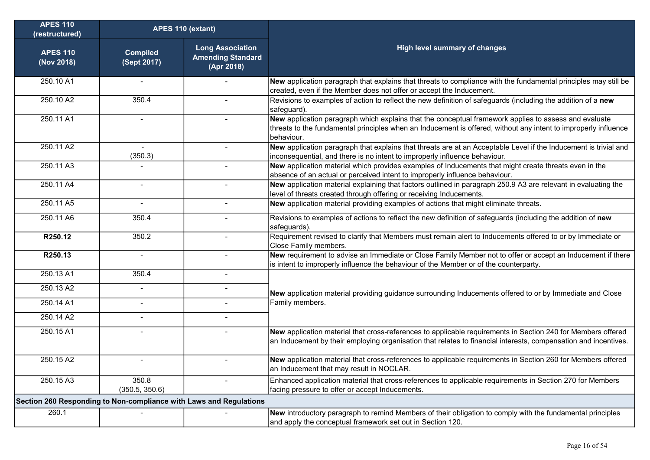| <b>APES 110</b><br>(restructured)                                  | APES 110 (extant)              |                                                                   |                                                                                                                                                                                                                                        |
|--------------------------------------------------------------------|--------------------------------|-------------------------------------------------------------------|----------------------------------------------------------------------------------------------------------------------------------------------------------------------------------------------------------------------------------------|
| <b>APES 110</b><br>(Nov 2018)                                      | <b>Compiled</b><br>(Sept 2017) | <b>Long Association</b><br><b>Amending Standard</b><br>(Apr 2018) | <b>High level summary of changes</b>                                                                                                                                                                                                   |
| 250.10 A1                                                          | $\blacksquare$                 |                                                                   | New application paragraph that explains that threats to compliance with the fundamental principles may still be<br>created, even if the Member does not offer or accept the Inducement.                                                |
| 250.10 A2                                                          | 350.4                          | $\blacksquare$                                                    | Revisions to examples of action to reflect the new definition of safeguards (including the addition of a new<br>safeguard).                                                                                                            |
| 250.11 A1                                                          | $\blacksquare$                 |                                                                   | New application paragraph which explains that the conceptual framework applies to assess and evaluate<br>threats to the fundamental principles when an Inducement is offered, without any intent to improperly influence<br>behaviour. |
| 250.11 A2                                                          | (350.3)                        |                                                                   | New application paragraph that explains that threats are at an Acceptable Level if the Inducement is trivial and<br>inconsequential, and there is no intent to improperly influence behaviour.                                         |
| 250.11 A3                                                          |                                |                                                                   | New application material which provides examples of Inducements that might create threats even in the<br>absence of an actual or perceived intent to improperly influence behaviour.                                                   |
| 250.11 A4                                                          |                                |                                                                   | New application material explaining that factors outlined in paragraph 250.9 A3 are relevant in evaluating the<br>level of threats created through offering or receiving Inducements.                                                  |
| 250.11 A5                                                          |                                |                                                                   | New application material providing examples of actions that might eliminate threats.                                                                                                                                                   |
| 250.11 A6                                                          | 350.4                          |                                                                   | Revisions to examples of actions to reflect the new definition of safeguards (including the addition of new<br>safeguards).                                                                                                            |
| R250.12                                                            | 350.2                          |                                                                   | Requirement revised to clarify that Members must remain alert to Inducements offered to or by Immediate or<br>Close Family members.                                                                                                    |
| R250.13                                                            |                                |                                                                   | New requirement to advise an Immediate or Close Family Member not to offer or accept an Inducement if there<br>is intent to improperly influence the behaviour of the Member or of the counterparty.                                   |
| 250.13 A1                                                          | 350.4                          |                                                                   |                                                                                                                                                                                                                                        |
| 250.13 A2                                                          | $\blacksquare$                 | $\blacksquare$                                                    | New application material providing guidance surrounding Inducements offered to or by Immediate and Close                                                                                                                               |
| 250.14 A1                                                          | $\blacksquare$                 | $\blacksquare$                                                    | Family members.                                                                                                                                                                                                                        |
| 250.14 A2                                                          | $\blacksquare$                 |                                                                   |                                                                                                                                                                                                                                        |
| 250.15 A1                                                          |                                |                                                                   | New application material that cross-references to applicable requirements in Section 240 for Members offered<br>an Inducement by their employing organisation that relates to financial interests, compensation and incentives.        |
| 250.15 A2                                                          |                                |                                                                   | New application material that cross-references to applicable requirements in Section 260 for Members offered<br>an Inducement that may result in NOCLAR.                                                                               |
| 250.15 A3                                                          | 350.8<br>(350.5, 350.6)        |                                                                   | Enhanced application material that cross-references to applicable requirements in Section 270 for Members<br>facing pressure to offer or accept Inducements.                                                                           |
| Section 260 Responding to Non-compliance with Laws and Regulations |                                |                                                                   |                                                                                                                                                                                                                                        |
| 260.1                                                              |                                |                                                                   | New introductory paragraph to remind Members of their obligation to comply with the fundamental principles<br>and apply the conceptual framework set out in Section 120.                                                               |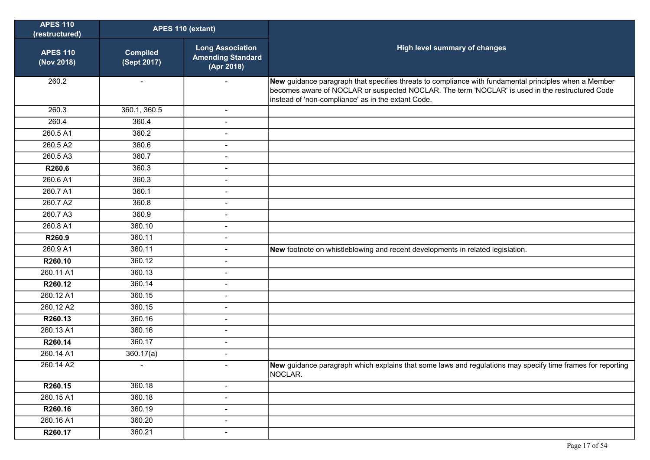| <b>APES 110</b><br>(restructured) | APES 110 (extant)              |                                                                   |                                                                                                                                                                                                                                                                |
|-----------------------------------|--------------------------------|-------------------------------------------------------------------|----------------------------------------------------------------------------------------------------------------------------------------------------------------------------------------------------------------------------------------------------------------|
| <b>APES 110</b><br>(Nov 2018)     | <b>Compiled</b><br>(Sept 2017) | <b>Long Association</b><br><b>Amending Standard</b><br>(Apr 2018) | High level summary of changes                                                                                                                                                                                                                                  |
| 260.2                             | $\sim$                         |                                                                   | New guidance paragraph that specifies threats to compliance with fundamental principles when a Member<br>becomes aware of NOCLAR or suspected NOCLAR. The term 'NOCLAR' is used in the restructured Code<br>instead of 'non-compliance' as in the extant Code. |
| 260.3                             | 360.1, 360.5                   | $\blacksquare$                                                    |                                                                                                                                                                                                                                                                |
| 260.4                             | 360.4                          | $\overline{\phantom{a}}$                                          |                                                                                                                                                                                                                                                                |
| 260.5 A1                          | 360.2                          | $\blacksquare$                                                    |                                                                                                                                                                                                                                                                |
| 260.5 A2                          | 360.6                          | $\blacksquare$                                                    |                                                                                                                                                                                                                                                                |
| 260.5 A3                          | 360.7                          | $\blacksquare$                                                    |                                                                                                                                                                                                                                                                |
| R260.6                            | 360.3                          | $\blacksquare$                                                    |                                                                                                                                                                                                                                                                |
| 260.6 A1                          | 360.3                          | $\blacksquare$                                                    |                                                                                                                                                                                                                                                                |
| 260.7 A1                          | 360.1                          |                                                                   |                                                                                                                                                                                                                                                                |
| 260.7 A2                          | 360.8                          | $\blacksquare$                                                    |                                                                                                                                                                                                                                                                |
| 260.7 A3                          | 360.9                          | $\blacksquare$                                                    |                                                                                                                                                                                                                                                                |
| 260.8 A1                          | 360.10                         | $\blacksquare$                                                    |                                                                                                                                                                                                                                                                |
| R260.9                            | 360.11                         | $\overline{\phantom{a}}$                                          |                                                                                                                                                                                                                                                                |
| 260.9 A1                          | 360.11                         | $\blacksquare$                                                    | New footnote on whistleblowing and recent developments in related legislation.                                                                                                                                                                                 |
| R260.10                           | 360.12                         | $\blacksquare$                                                    |                                                                                                                                                                                                                                                                |
| 260.11 A1                         | 360.13                         | $\blacksquare$                                                    |                                                                                                                                                                                                                                                                |
| R260.12                           | 360.14                         |                                                                   |                                                                                                                                                                                                                                                                |
| 260.12 A1                         | 360.15                         | $\blacksquare$                                                    |                                                                                                                                                                                                                                                                |
| 260.12 A2                         | 360.15                         | $\blacksquare$                                                    |                                                                                                                                                                                                                                                                |
| R260.13                           | 360.16                         | $\blacksquare$                                                    |                                                                                                                                                                                                                                                                |
| 260.13 A1                         | 360.16                         | $\blacksquare$                                                    |                                                                                                                                                                                                                                                                |
| R260.14                           | 360.17                         | $\blacksquare$                                                    |                                                                                                                                                                                                                                                                |
| 260.14 A1                         | 360.17(a)                      |                                                                   |                                                                                                                                                                                                                                                                |
| 260.14 A2                         |                                |                                                                   | New guidance paragraph which explains that some laws and regulations may specify time frames for reporting<br>NOCLAR.                                                                                                                                          |
| R260.15                           | 360.18                         | $\blacksquare$                                                    |                                                                                                                                                                                                                                                                |
| 260.15 A1                         | 360.18                         | $\blacksquare$                                                    |                                                                                                                                                                                                                                                                |
| R260.16                           | 360.19                         | $\overline{\phantom{a}}$                                          |                                                                                                                                                                                                                                                                |
| 260.16 A1                         | 360.20                         | $\blacksquare$                                                    |                                                                                                                                                                                                                                                                |
| R260.17                           | 360.21                         | $\blacksquare$                                                    |                                                                                                                                                                                                                                                                |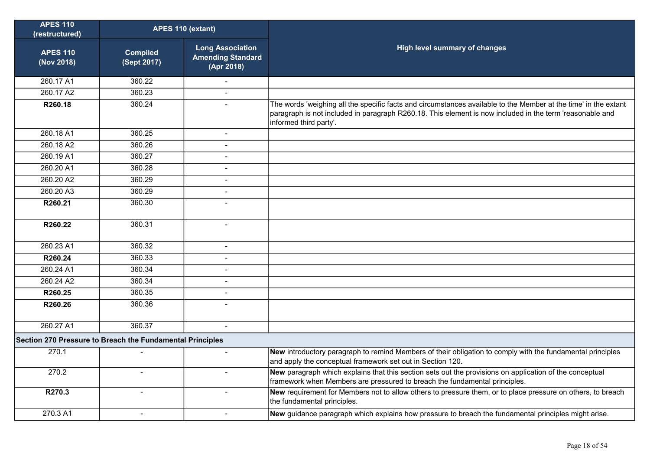| <b>APES 110</b><br>(restructured)                         | APES 110 (extant)              |                                                                   |                                                                                                                                                                                                                                                       |
|-----------------------------------------------------------|--------------------------------|-------------------------------------------------------------------|-------------------------------------------------------------------------------------------------------------------------------------------------------------------------------------------------------------------------------------------------------|
| <b>APES 110</b><br>(Nov 2018)                             | <b>Compiled</b><br>(Sept 2017) | <b>Long Association</b><br><b>Amending Standard</b><br>(Apr 2018) | High level summary of changes                                                                                                                                                                                                                         |
| 260.17 A1                                                 | 360.22                         |                                                                   |                                                                                                                                                                                                                                                       |
| 260.17 A2                                                 | 360.23                         | $\overline{a}$                                                    |                                                                                                                                                                                                                                                       |
| R260.18                                                   | 360.24                         | $\blacksquare$                                                    | The words 'weighing all the specific facts and circumstances available to the Member at the time' in the extant<br>paragraph is not included in paragraph R260.18. This element is now included in the term 'reasonable and<br>informed third party'. |
| 260.18 A1                                                 | 360.25                         | $\overline{a}$                                                    |                                                                                                                                                                                                                                                       |
| 260.18 A2                                                 | 360.26                         | $\blacksquare$                                                    |                                                                                                                                                                                                                                                       |
| 260.19 A1                                                 | 360.27                         | $\blacksquare$                                                    |                                                                                                                                                                                                                                                       |
| 260.20 A1                                                 | 360.28                         | $\overline{a}$                                                    |                                                                                                                                                                                                                                                       |
| 260.20 A2                                                 | 360.29                         | $\overline{a}$                                                    |                                                                                                                                                                                                                                                       |
| 260.20 A3                                                 | 360.29                         | $\sim$                                                            |                                                                                                                                                                                                                                                       |
| R260.21                                                   | 360.30                         | $\overline{a}$                                                    |                                                                                                                                                                                                                                                       |
| R260.22                                                   | 360.31                         | $\overline{a}$                                                    |                                                                                                                                                                                                                                                       |
| 260.23 A1                                                 | 360.32                         | $\blacksquare$                                                    |                                                                                                                                                                                                                                                       |
| R260.24                                                   | 360.33                         | $\sim$                                                            |                                                                                                                                                                                                                                                       |
| 260.24 A1                                                 | 360.34                         | $\overline{\phantom{0}}$                                          |                                                                                                                                                                                                                                                       |
| 260.24 A2                                                 | 360.34                         | $\overline{a}$                                                    |                                                                                                                                                                                                                                                       |
| R260.25                                                   | 360.35                         | $\blacksquare$                                                    |                                                                                                                                                                                                                                                       |
| R260.26                                                   | 360.36                         | $\blacksquare$                                                    |                                                                                                                                                                                                                                                       |
| 260.27 A1                                                 | 360.37                         | $\mathbf{r}$                                                      |                                                                                                                                                                                                                                                       |
| Section 270 Pressure to Breach the Fundamental Principles |                                |                                                                   |                                                                                                                                                                                                                                                       |
| 270.1                                                     |                                | $\overline{\phantom{a}}$                                          | New introductory paragraph to remind Members of their obligation to comply with the fundamental principles<br>and apply the conceptual framework set out in Section 120.                                                                              |
| 270.2                                                     | $\blacksquare$                 | $\blacksquare$                                                    | New paragraph which explains that this section sets out the provisions on application of the conceptual<br>framework when Members are pressured to breach the fundamental principles.                                                                 |
| R270.3                                                    | $\overline{a}$                 | $\overline{a}$                                                    | New requirement for Members not to allow others to pressure them, or to place pressure on others, to breach<br>the fundamental principles.                                                                                                            |
| 270.3 A1                                                  | $\overline{a}$                 | $\sim$                                                            | New guidance paragraph which explains how pressure to breach the fundamental principles might arise.                                                                                                                                                  |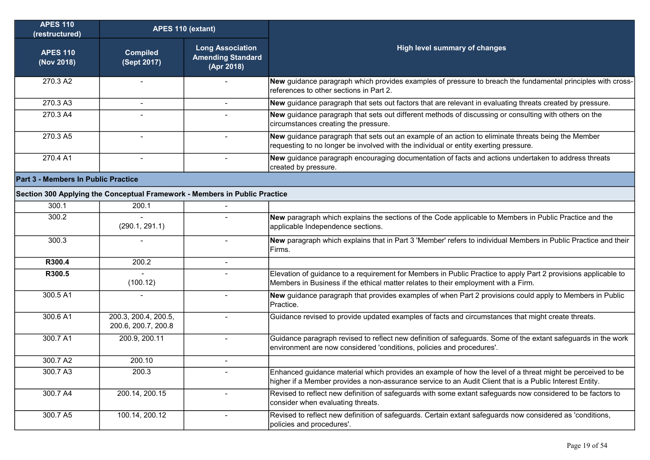| <b>APES 110</b><br>(restructured)   | APES 110 (extant)                                                          |                                                                   |                                                                                                                                                                                                                        |  |  |  |
|-------------------------------------|----------------------------------------------------------------------------|-------------------------------------------------------------------|------------------------------------------------------------------------------------------------------------------------------------------------------------------------------------------------------------------------|--|--|--|
| <b>APES 110</b><br>(Nov 2018)       | <b>Compiled</b><br>(Sept 2017)                                             | <b>Long Association</b><br><b>Amending Standard</b><br>(Apr 2018) | High level summary of changes                                                                                                                                                                                          |  |  |  |
| 270.3 A2                            |                                                                            |                                                                   | New guidance paragraph which provides examples of pressure to breach the fundamental principles with cross-<br>references to other sections in Part 2.                                                                 |  |  |  |
| 270.3 A3                            | $\overline{a}$                                                             | $\sim$                                                            | New guidance paragraph that sets out factors that are relevant in evaluating threats created by pressure.                                                                                                              |  |  |  |
| 270.3 A4                            |                                                                            |                                                                   | New guidance paragraph that sets out different methods of discussing or consulting with others on the<br>circumstances creating the pressure.                                                                          |  |  |  |
| 270.3 A5                            | $\blacksquare$                                                             |                                                                   | New guidance paragraph that sets out an example of an action to eliminate threats being the Member<br>requesting to no longer be involved with the individual or entity exerting pressure.                             |  |  |  |
| 270.4 A1                            |                                                                            |                                                                   | New guidance paragraph encouraging documentation of facts and actions undertaken to address threats<br>created by pressure.                                                                                            |  |  |  |
| Part 3 - Members In Public Practice |                                                                            |                                                                   |                                                                                                                                                                                                                        |  |  |  |
|                                     | Section 300 Applying the Conceptual Framework - Members in Public Practice |                                                                   |                                                                                                                                                                                                                        |  |  |  |
| 300.1                               | 200.1                                                                      |                                                                   |                                                                                                                                                                                                                        |  |  |  |
| 300.2                               | (290.1, 291.1)                                                             |                                                                   | New paragraph which explains the sections of the Code applicable to Members in Public Practice and the<br>applicable Independence sections.                                                                            |  |  |  |
| 300.3                               |                                                                            | $\blacksquare$                                                    | New paragraph which explains that in Part 3 'Member' refers to individual Members in Public Practice and their<br>Firms.                                                                                               |  |  |  |
| R300.4                              | 200.2                                                                      | $\blacksquare$                                                    |                                                                                                                                                                                                                        |  |  |  |
| R300.5                              | (100.12)                                                                   |                                                                   | Elevation of guidance to a requirement for Members in Public Practice to apply Part 2 provisions applicable to<br>Members in Business if the ethical matter relates to their employment with a Firm.                   |  |  |  |
| 300.5 A1                            |                                                                            | $\overline{\phantom{a}}$                                          | New guidance paragraph that provides examples of when Part 2 provisions could apply to Members in Public<br>IPractice.                                                                                                 |  |  |  |
| 300.6 A1                            | 200.3, 200.4, 200.5,<br>200.6, 200.7, 200.8                                |                                                                   | Guidance revised to provide updated examples of facts and circumstances that might create threats.                                                                                                                     |  |  |  |
| 300.7 A1                            | 200.9, 200.11                                                              |                                                                   | Guidance paragraph revised to reflect new definition of safeguards. Some of the extant safeguards in the work<br>environment are now considered 'conditions, policies and procedures'.                                 |  |  |  |
| 300.7 A2                            | 200.10                                                                     | $\blacksquare$                                                    |                                                                                                                                                                                                                        |  |  |  |
| 300.7 A3                            | 200.3                                                                      | $\blacksquare$                                                    | Enhanced guidance material which provides an example of how the level of a threat might be perceived to be<br>higher if a Member provides a non-assurance service to an Audit Client that is a Public Interest Entity. |  |  |  |
| 300.7 A4                            | 200.14, 200.15                                                             | $\blacksquare$                                                    | Revised to reflect new definition of safeguards with some extant safeguards now considered to be factors to<br>consider when evaluating threats.                                                                       |  |  |  |
| 300.7 A5                            | 100.14, 200.12                                                             | $\overline{\phantom{a}}$                                          | Revised to reflect new definition of safeguards. Certain extant safeguards now considered as 'conditions,<br>policies and procedures'.                                                                                 |  |  |  |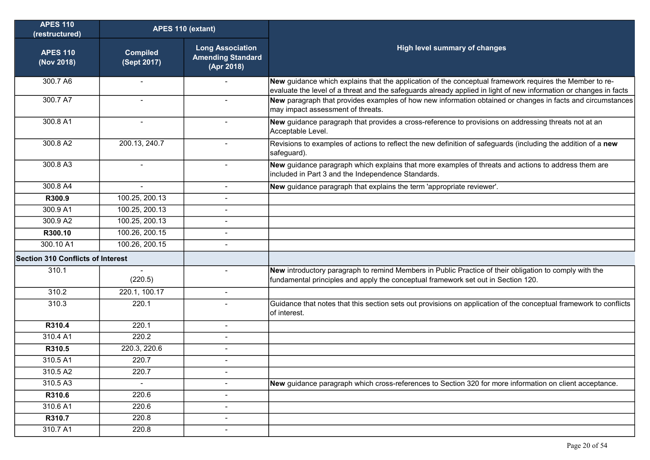| <b>APES 110</b><br>(restructured)        | APES 110 (extant)              |                                                                   |                                                                                                                                                                                                                              |
|------------------------------------------|--------------------------------|-------------------------------------------------------------------|------------------------------------------------------------------------------------------------------------------------------------------------------------------------------------------------------------------------------|
| <b>APES 110</b><br>(Nov 2018)            | <b>Compiled</b><br>(Sept 2017) | <b>Long Association</b><br><b>Amending Standard</b><br>(Apr 2018) | <b>High level summary of changes</b>                                                                                                                                                                                         |
| 300.7 A6                                 | $\blacksquare$                 |                                                                   | New guidance which explains that the application of the conceptual framework requires the Member to re-<br>evaluate the level of a threat and the safeguards already applied in light of new information or changes in facts |
| 300.7 A7                                 | $\blacksquare$                 |                                                                   | New paragraph that provides examples of how new information obtained or changes in facts and circumstances<br>may impact assessment of threats.                                                                              |
| 300.8 A1                                 | $\overline{\phantom{a}}$       |                                                                   | New guidance paragraph that provides a cross-reference to provisions on addressing threats not at an<br>Acceptable Level.                                                                                                    |
| 300.8 A2                                 | 200.13, 240.7                  |                                                                   | Revisions to examples of actions to reflect the new definition of safeguards (including the addition of a new<br>safeguard).                                                                                                 |
| 300.8 A3                                 | $\overline{\phantom{a}}$       | $\sim$                                                            | New guidance paragraph which explains that more examples of threats and actions to address them are<br>included in Part 3 and the Independence Standards.                                                                    |
| 300.8 A4                                 | $\blacksquare$                 |                                                                   | New guidance paragraph that explains the term 'appropriate reviewer'.                                                                                                                                                        |
| R300.9                                   | 100.25, 200.13                 |                                                                   |                                                                                                                                                                                                                              |
| 300.9 A1                                 | 100.25, 200.13                 |                                                                   |                                                                                                                                                                                                                              |
| 300.9 A2                                 | 100.25, 200.13                 |                                                                   |                                                                                                                                                                                                                              |
| R300.10                                  | 100.26, 200.15                 |                                                                   |                                                                                                                                                                                                                              |
| 300.10 A1                                | 100.26, 200.15                 |                                                                   |                                                                                                                                                                                                                              |
| <b>Section 310 Conflicts of Interest</b> |                                |                                                                   |                                                                                                                                                                                                                              |
| 310.1                                    | $\sim$<br>(220.5)              | $\blacksquare$                                                    | New introductory paragraph to remind Members in Public Practice of their obligation to comply with the<br>fundamental principles and apply the conceptual framework set out in Section 120.                                  |
| 310.2                                    | 220.1, 100.17                  | $\blacksquare$                                                    |                                                                                                                                                                                                                              |
| 310.3                                    | 220.1                          | $\blacksquare$                                                    | Guidance that notes that this section sets out provisions on application of the conceptual framework to conflicts<br>of interest.                                                                                            |
| R310.4                                   | 220.1                          |                                                                   |                                                                                                                                                                                                                              |
| 310.4 A1                                 | 220.2                          |                                                                   |                                                                                                                                                                                                                              |
| R310.5                                   | 220.3, 220.6                   |                                                                   |                                                                                                                                                                                                                              |
| 310.5 A1                                 | 220.7                          | $\blacksquare$                                                    |                                                                                                                                                                                                                              |
| 310.5 A2                                 | 220.7                          | $\blacksquare$                                                    |                                                                                                                                                                                                                              |
| 310.5 A3                                 | $\blacksquare$                 | $\blacksquare$                                                    | New guidance paragraph which cross-references to Section 320 for more information on client acceptance.                                                                                                                      |
| R310.6                                   | 220.6                          |                                                                   |                                                                                                                                                                                                                              |
| 310.6 A1                                 | 220.6                          | $\blacksquare$                                                    |                                                                                                                                                                                                                              |
| R310.7                                   | 220.8                          |                                                                   |                                                                                                                                                                                                                              |
| 310.7 A1                                 | 220.8                          | $\overline{\phantom{a}}$                                          |                                                                                                                                                                                                                              |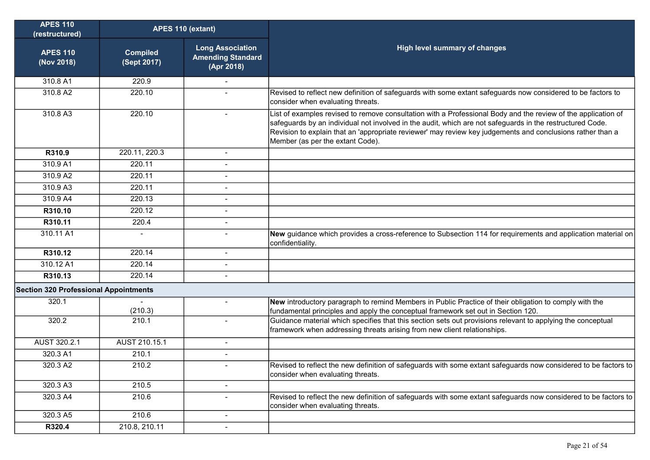| <b>APES 110</b><br>(restructured)            | APES 110 (extant)              |                                                                   |                                                                                                                                                                                                                                                                                                                                                                              |
|----------------------------------------------|--------------------------------|-------------------------------------------------------------------|------------------------------------------------------------------------------------------------------------------------------------------------------------------------------------------------------------------------------------------------------------------------------------------------------------------------------------------------------------------------------|
| <b>APES 110</b><br>(Nov 2018)                | <b>Compiled</b><br>(Sept 2017) | <b>Long Association</b><br><b>Amending Standard</b><br>(Apr 2018) | High level summary of changes                                                                                                                                                                                                                                                                                                                                                |
| 310.8 A1                                     | 220.9                          |                                                                   |                                                                                                                                                                                                                                                                                                                                                                              |
| 310.8 A2                                     | 220.10                         |                                                                   | Revised to reflect new definition of safeguards with some extant safeguards now considered to be factors to<br>consider when evaluating threats.                                                                                                                                                                                                                             |
| 310.8 A3                                     | 220.10                         | $\blacksquare$                                                    | List of examples revised to remove consultation with a Professional Body and the review of the application of<br>safeguards by an individual not involved in the audit, which are not safeguards in the restructured Code.<br>Revision to explain that an 'appropriate reviewer' may review key judgements and conclusions rather than a<br>Member (as per the extant Code). |
| R310.9                                       | 220.11, 220.3                  |                                                                   |                                                                                                                                                                                                                                                                                                                                                                              |
| 310.9 A1                                     | 220.11                         |                                                                   |                                                                                                                                                                                                                                                                                                                                                                              |
| 310.9 A2                                     | 220.11                         |                                                                   |                                                                                                                                                                                                                                                                                                                                                                              |
| 310.9A3                                      | 220.11                         | $\overline{a}$                                                    |                                                                                                                                                                                                                                                                                                                                                                              |
| 310.9 A4                                     | 220.13                         |                                                                   |                                                                                                                                                                                                                                                                                                                                                                              |
| R310.10                                      | 220.12                         | $\overline{a}$                                                    |                                                                                                                                                                                                                                                                                                                                                                              |
| R310.11                                      | 220.4                          | L.                                                                |                                                                                                                                                                                                                                                                                                                                                                              |
| 310.11 A1                                    | $\blacksquare$                 |                                                                   | New guidance which provides a cross-reference to Subsection 114 for requirements and application material on<br>confidentiality.                                                                                                                                                                                                                                             |
| R310.12                                      | 220.14                         | $\blacksquare$                                                    |                                                                                                                                                                                                                                                                                                                                                                              |
| 310.12 A1                                    | 220.14                         |                                                                   |                                                                                                                                                                                                                                                                                                                                                                              |
| R310.13                                      | 220.14                         |                                                                   |                                                                                                                                                                                                                                                                                                                                                                              |
| <b>Section 320 Professional Appointments</b> |                                |                                                                   |                                                                                                                                                                                                                                                                                                                                                                              |
| 320.1                                        | (210.3)                        |                                                                   | New introductory paragraph to remind Members in Public Practice of their obligation to comply with the<br>fundamental principles and apply the conceptual framework set out in Section 120.                                                                                                                                                                                  |
| 320.2                                        | 210.1                          | $\overline{a}$                                                    | Guidance material which specifies that this section sets out provisions relevant to applying the conceptual<br>framework when addressing threats arising from new client relationships.                                                                                                                                                                                      |
| AUST 320.2.1                                 | AUST 210.15.1                  | $\blacksquare$                                                    |                                                                                                                                                                                                                                                                                                                                                                              |
| 320.3 A1                                     | 210.1                          | $\blacksquare$                                                    |                                                                                                                                                                                                                                                                                                                                                                              |
| 320.3 A2                                     | 210.2                          |                                                                   | Revised to reflect the new definition of safeguards with some extant safeguards now considered to be factors to<br>consider when evaluating threats.                                                                                                                                                                                                                         |
| 320.3 A3                                     | 210.5                          | $\overline{\phantom{0}}$                                          |                                                                                                                                                                                                                                                                                                                                                                              |
| 320.3 A4                                     | 210.6                          |                                                                   | Revised to reflect the new definition of safeguards with some extant safeguards now considered to be factors to<br>consider when evaluating threats.                                                                                                                                                                                                                         |
| 320.3 A5                                     | 210.6                          | $\blacksquare$                                                    |                                                                                                                                                                                                                                                                                                                                                                              |
| R320.4                                       | 210.8, 210.11                  | $\overline{\phantom{0}}$                                          |                                                                                                                                                                                                                                                                                                                                                                              |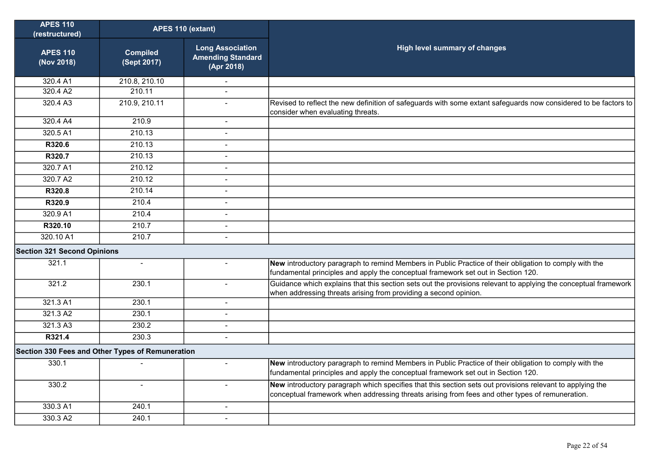| <b>APES 110</b><br>(restructured)                | APES 110 (extant)              |                                                                   |                                                                                                                                                                                                              |
|--------------------------------------------------|--------------------------------|-------------------------------------------------------------------|--------------------------------------------------------------------------------------------------------------------------------------------------------------------------------------------------------------|
| <b>APES 110</b><br>(Nov 2018)                    | <b>Compiled</b><br>(Sept 2017) | <b>Long Association</b><br><b>Amending Standard</b><br>(Apr 2018) | <b>High level summary of changes</b>                                                                                                                                                                         |
| 320.4 A1                                         | 210.8, 210.10                  | $\blacksquare$                                                    |                                                                                                                                                                                                              |
| 320.4 A2                                         | 210.11                         |                                                                   |                                                                                                                                                                                                              |
| 320.4 A3                                         | 210.9, 210.11                  | $\overline{a}$                                                    | Revised to reflect the new definition of safeguards with some extant safeguards now considered to be factors to<br>consider when evaluating threats.                                                         |
| 320.4 A4                                         | 210.9                          |                                                                   |                                                                                                                                                                                                              |
| 320.5 A1                                         | 210.13                         | $\overline{a}$                                                    |                                                                                                                                                                                                              |
| R320.6                                           | 210.13                         | $\blacksquare$                                                    |                                                                                                                                                                                                              |
| R320.7                                           | 210.13                         | Ĭ.                                                                |                                                                                                                                                                                                              |
| 320.7 A1                                         | 210.12                         | $\blacksquare$                                                    |                                                                                                                                                                                                              |
| 320.7 A2                                         | 210.12                         | $\sim$                                                            |                                                                                                                                                                                                              |
| R320.8                                           | 210.14                         | $\overline{a}$                                                    |                                                                                                                                                                                                              |
| R320.9                                           | 210.4                          | $\blacksquare$                                                    |                                                                                                                                                                                                              |
| 320.9 A1                                         | 210.4                          | $\overline{a}$                                                    |                                                                                                                                                                                                              |
| R320.10                                          | 210.7                          | $\blacksquare$                                                    |                                                                                                                                                                                                              |
| 320.10 A1                                        | 210.7                          | L,                                                                |                                                                                                                                                                                                              |
| <b>Section 321 Second Opinions</b>               |                                |                                                                   |                                                                                                                                                                                                              |
| 321.1                                            | $\blacksquare$                 | $\blacksquare$                                                    | New introductory paragraph to remind Members in Public Practice of their obligation to comply with the<br>fundamental principles and apply the conceptual framework set out in Section 120.                  |
| 321.2                                            | 230.1                          | $\overline{a}$                                                    | Guidance which explains that this section sets out the provisions relevant to applying the conceptual framework<br>when addressing threats arising from providing a second opinion.                          |
| 321.3 A1                                         | 230.1                          | $\blacksquare$                                                    |                                                                                                                                                                                                              |
| 321.3 A2                                         | 230.1                          | $\overline{\phantom{a}}$                                          |                                                                                                                                                                                                              |
| 321.3 A3                                         | 230.2                          | $\overline{a}$                                                    |                                                                                                                                                                                                              |
| R321.4                                           | 230.3                          | $\overline{a}$                                                    |                                                                                                                                                                                                              |
| Section 330 Fees and Other Types of Remuneration |                                |                                                                   |                                                                                                                                                                                                              |
| 330.1                                            |                                | $\overline{a}$                                                    | New introductory paragraph to remind Members in Public Practice of their obligation to comply with the<br>fundamental principles and apply the conceptual framework set out in Section 120.                  |
| 330.2                                            | $\overline{\phantom{a}}$       | $\overline{a}$                                                    | New introductory paragraph which specifies that this section sets out provisions relevant to applying the<br>conceptual framework when addressing threats arising from fees and other types of remuneration. |
| 330.3 A1                                         | 240.1                          | $\blacksquare$                                                    |                                                                                                                                                                                                              |
| 330.3 A2                                         | 240.1                          |                                                                   |                                                                                                                                                                                                              |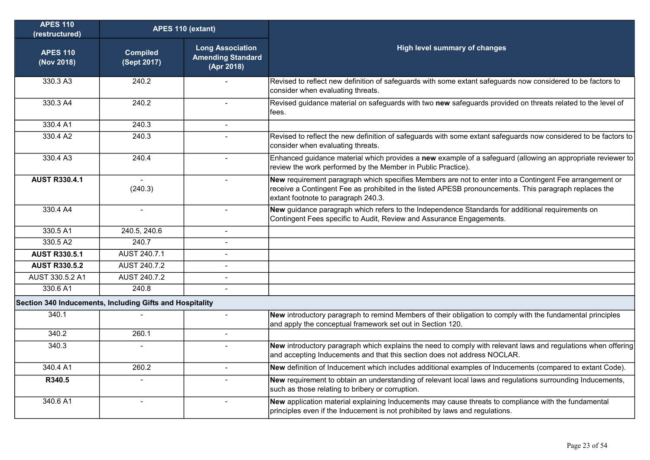| <b>APES 110</b><br>(restructured)                        | APES 110 (extant)              |                                                                   |                                                                                                                                                                                                                                                          |
|----------------------------------------------------------|--------------------------------|-------------------------------------------------------------------|----------------------------------------------------------------------------------------------------------------------------------------------------------------------------------------------------------------------------------------------------------|
| <b>APES 110</b><br>(Nov 2018)                            | <b>Compiled</b><br>(Sept 2017) | <b>Long Association</b><br><b>Amending Standard</b><br>(Apr 2018) | <b>High level summary of changes</b>                                                                                                                                                                                                                     |
| 330.3 A3                                                 | 240.2                          |                                                                   | Revised to reflect new definition of safeguards with some extant safeguards now considered to be factors to<br>consider when evaluating threats.                                                                                                         |
| 330.3 A4                                                 | 240.2                          | $\sim$                                                            | Revised guidance material on safeguards with two new safeguards provided on threats related to the level of<br>fees.                                                                                                                                     |
| 330.4 A1                                                 | 240.3                          | $\sim$                                                            |                                                                                                                                                                                                                                                          |
| 330.4 A2                                                 | 240.3                          |                                                                   | Revised to reflect the new definition of safeguards with some extant safeguards now considered to be factors to<br>consider when evaluating threats.                                                                                                     |
| 330.4 A3                                                 | 240.4                          |                                                                   | Enhanced guidance material which provides a new example of a safeguard (allowing an appropriate reviewer to<br>review the work performed by the Member in Public Practice).                                                                              |
| <b>AUST R330.4.1</b>                                     | (240.3)                        |                                                                   | New requirement paragraph which specifies Members are not to enter into a Contingent Fee arrangement or<br>receive a Contingent Fee as prohibited in the listed APESB pronouncements. This paragraph replaces the<br>extant footnote to paragraph 240.3. |
| 330.4 A4                                                 | $\blacksquare$                 | $\blacksquare$                                                    | New guidance paragraph which refers to the Independence Standards for additional requirements on<br>Contingent Fees specific to Audit, Review and Assurance Engagements.                                                                                 |
| 330.5 A1                                                 | 240.5, 240.6                   | $\sim$                                                            |                                                                                                                                                                                                                                                          |
| 330.5 A2                                                 | 240.7                          | $\blacksquare$                                                    |                                                                                                                                                                                                                                                          |
| <b>AUST R330.5.1</b>                                     | AUST 240.7.1                   |                                                                   |                                                                                                                                                                                                                                                          |
| <b>AUST R330.5.2</b>                                     | AUST 240.7.2                   | $\overline{a}$                                                    |                                                                                                                                                                                                                                                          |
| AUST 330.5.2 A1                                          | AUST 240.7.2                   | $\blacksquare$                                                    |                                                                                                                                                                                                                                                          |
| 330.6 A1                                                 | 240.8                          | $\overline{a}$                                                    |                                                                                                                                                                                                                                                          |
| Section 340 Inducements, Including Gifts and Hospitality |                                |                                                                   |                                                                                                                                                                                                                                                          |
| 340.1                                                    |                                | $\overline{a}$                                                    | New introductory paragraph to remind Members of their obligation to comply with the fundamental principles<br>and apply the conceptual framework set out in Section 120.                                                                                 |
| 340.2                                                    | 260.1                          |                                                                   |                                                                                                                                                                                                                                                          |
| 340.3                                                    |                                |                                                                   | New introductory paragraph which explains the need to comply with relevant laws and regulations when offering<br>and accepting Inducements and that this section does not address NOCLAR.                                                                |
| 340.4 A1                                                 | 260.2                          | $\sim$                                                            | New definition of Inducement which includes additional examples of Inducements (compared to extant Code).                                                                                                                                                |
| R340.5                                                   | $\mathbf{r}$                   |                                                                   | New requirement to obtain an understanding of relevant local laws and regulations surrounding Inducements,<br>such as those relating to bribery or corruption.                                                                                           |
| 340.6 A1                                                 | $\mathbf{r}$                   | $\sim$                                                            | New application material explaining Inducements may cause threats to compliance with the fundamental<br>principles even if the Inducement is not prohibited by laws and regulations.                                                                     |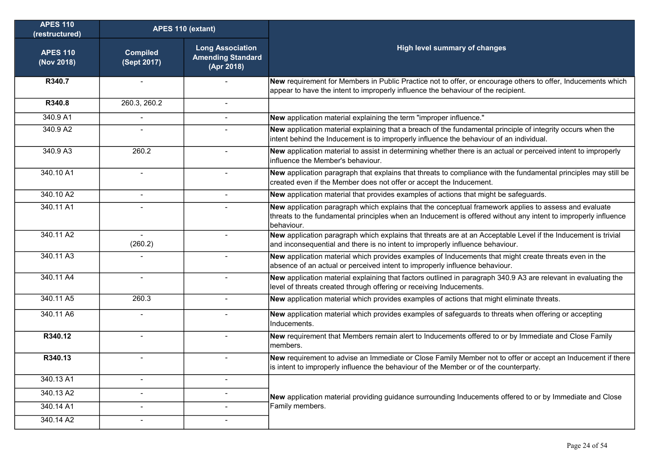| <b>APES 110</b><br>(restructured) | APES 110 (extant)              |                                                                   |                                                                                                                                                                                                                                       |
|-----------------------------------|--------------------------------|-------------------------------------------------------------------|---------------------------------------------------------------------------------------------------------------------------------------------------------------------------------------------------------------------------------------|
| <b>APES 110</b><br>(Nov 2018)     | <b>Compiled</b><br>(Sept 2017) | <b>Long Association</b><br><b>Amending Standard</b><br>(Apr 2018) | <b>High level summary of changes</b>                                                                                                                                                                                                  |
| R340.7                            |                                |                                                                   | New requirement for Members in Public Practice not to offer, or encourage others to offer, Inducements which<br>appear to have the intent to improperly influence the behaviour of the recipient.                                     |
| R340.8                            | 260.3, 260.2                   |                                                                   |                                                                                                                                                                                                                                       |
| 340.9 A1                          | $\blacksquare$                 |                                                                   | New application material explaining the term "improper influence."                                                                                                                                                                    |
| 340.9 A2                          |                                |                                                                   | New application material explaining that a breach of the fundamental principle of integrity occurs when the<br>intent behind the Inducement is to improperly influence the behaviour of an individual.                                |
| 340.9 A3                          | 260.2                          | $\blacksquare$                                                    | New application material to assist in determining whether there is an actual or perceived intent to improperly<br>influence the Member's behaviour.                                                                                   |
| 340.10 A1                         |                                |                                                                   | New application paragraph that explains that threats to compliance with the fundamental principles may still be<br>created even if the Member does not offer or accept the Inducement.                                                |
| 340.10 A2                         |                                |                                                                   | New application material that provides examples of actions that might be safeguards.                                                                                                                                                  |
| 340.11 A1                         |                                |                                                                   | New application paragraph which explains that the conceptual framework applies to assess and evaluate<br>threats to the fundamental principles when an Inducement is offered without any intent to improperly influence<br>behaviour. |
| 340.11 A2                         | $\sim$<br>(260.2)              | $\blacksquare$                                                    | New application paragraph which explains that threats are at an Acceptable Level if the Inducement is trivial<br>and inconsequential and there is no intent to improperly influence behaviour.                                        |
| 340.11 A3                         |                                |                                                                   | New application material which provides examples of Inducements that might create threats even in the<br>absence of an actual or perceived intent to improperly influence behaviour.                                                  |
| 340.11 A4                         | $\overline{a}$                 | $\overline{a}$                                                    | New application material explaining that factors outlined in paragraph 340.9 A3 are relevant in evaluating the<br>level of threats created through offering or receiving Inducements.                                                 |
| 340.11 A5                         | 260.3                          |                                                                   | New application material which provides examples of actions that might eliminate threats.                                                                                                                                             |
| 340.11 A6                         |                                |                                                                   | New application material which provides examples of safeguards to threats when offering or accepting<br>Inducements.                                                                                                                  |
| R340.12                           |                                | $\blacksquare$                                                    | New requirement that Members remain alert to Inducements offered to or by Immediate and Close Family<br>members.                                                                                                                      |
| R340.13                           |                                |                                                                   | New requirement to advise an Immediate or Close Family Member not to offer or accept an Inducement if there<br>is intent to improperly influence the behaviour of the Member or of the counterparty.                                  |
| 340.13 A1                         | $\blacksquare$                 | $\overline{\phantom{a}}$                                          |                                                                                                                                                                                                                                       |
| 340.13 A2                         | ٠                              | $\qquad \qquad \blacksquare$                                      | New application material providing guidance surrounding Inducements offered to or by Immediate and Close                                                                                                                              |
| 340.14 A1                         | $\overline{\phantom{a}}$       | $\blacksquare$                                                    | Family members.                                                                                                                                                                                                                       |
| 340.14 A2                         | $\blacksquare$                 | $\overline{\phantom{a}}$                                          |                                                                                                                                                                                                                                       |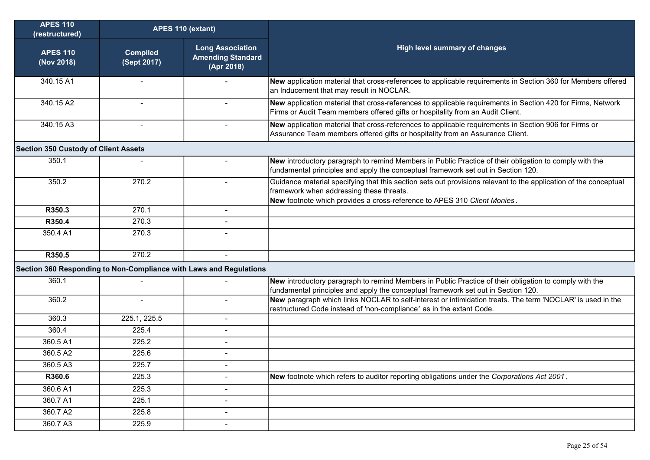| <b>APES 110</b><br>(restructured)           | APES 110 (extant)              |                                                                    |                                                                                                                                                                                                                                          |
|---------------------------------------------|--------------------------------|--------------------------------------------------------------------|------------------------------------------------------------------------------------------------------------------------------------------------------------------------------------------------------------------------------------------|
| <b>APES 110</b><br>(Nov 2018)               | <b>Compiled</b><br>(Sept 2017) | <b>Long Association</b><br><b>Amending Standard</b><br>(Apr 2018)  | <b>High level summary of changes</b>                                                                                                                                                                                                     |
| 340.15 A1                                   |                                |                                                                    | New application material that cross-references to applicable requirements in Section 360 for Members offered<br>an Inducement that may result in NOCLAR.                                                                                 |
| 340.15 A2                                   |                                |                                                                    | New application material that cross-references to applicable requirements in Section 420 for Firms, Network<br>Firms or Audit Team members offered gifts or hospitality from an Audit Client.                                            |
| 340.15 A3                                   | $\sim$                         | $\sim$                                                             | New application material that cross-references to applicable requirements in Section 906 for Firms or<br>Assurance Team members offered gifts or hospitality from an Assurance Client.                                                   |
| <b>Section 350 Custody of Client Assets</b> |                                |                                                                    |                                                                                                                                                                                                                                          |
| 350.1                                       |                                | $\overline{\phantom{a}}$                                           | New introductory paragraph to remind Members in Public Practice of their obligation to comply with the<br>fundamental principles and apply the conceptual framework set out in Section 120.                                              |
| 350.2                                       | 270.2                          |                                                                    | Guidance material specifying that this section sets out provisions relevant to the application of the conceptual<br>framework when addressing these threats.<br>New footnote which provides a cross-reference to APES 310 Client Monies. |
| R350.3                                      | 270.1                          | L,                                                                 |                                                                                                                                                                                                                                          |
| R350.4                                      | 270.3                          | $\blacksquare$                                                     |                                                                                                                                                                                                                                          |
| 350.4 A1                                    | 270.3                          |                                                                    |                                                                                                                                                                                                                                          |
| R350.5                                      | 270.2                          | $\sim$                                                             |                                                                                                                                                                                                                                          |
|                                             |                                | Section 360 Responding to Non-Compliance with Laws and Regulations |                                                                                                                                                                                                                                          |
| 360.1                                       |                                |                                                                    | New introductory paragraph to remind Members in Public Practice of their obligation to comply with the<br>fundamental principles and apply the conceptual framework set out in Section 120.                                              |
| 360.2                                       | $\blacksquare$                 | $\blacksquare$                                                     | New paragraph which links NOCLAR to self-interest or intimidation treats. The term 'NOCLAR' is used in the<br>restructured Code instead of 'non-compliance' as in the extant Code.                                                       |
| 360.3                                       | 225.1, 225.5                   | $\overline{a}$                                                     |                                                                                                                                                                                                                                          |
| 360.4                                       | 225.4                          |                                                                    |                                                                                                                                                                                                                                          |
| 360.5 A1                                    | 225.2                          | $\overline{a}$                                                     |                                                                                                                                                                                                                                          |
| 360.5 A2                                    | 225.6                          | $\blacksquare$                                                     |                                                                                                                                                                                                                                          |
| 360.5 A3                                    | 225.7                          |                                                                    |                                                                                                                                                                                                                                          |
| R360.6                                      | 225.3                          |                                                                    | New footnote which refers to auditor reporting obligations under the Corporations Act 2001.                                                                                                                                              |
| 360.6 A1                                    | 225.3                          | $\overline{\phantom{a}}$                                           |                                                                                                                                                                                                                                          |
| 360.7 A1                                    | 225.1                          | $\overline{\phantom{a}}$                                           |                                                                                                                                                                                                                                          |
| 360.7 A2                                    | 225.8                          | $\overline{\phantom{a}}$                                           |                                                                                                                                                                                                                                          |
| 360.7 A3                                    | 225.9                          | $\blacksquare$                                                     |                                                                                                                                                                                                                                          |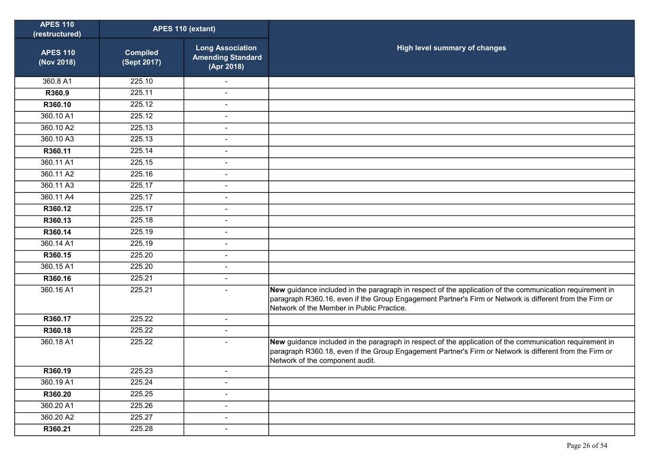| <b>APES 110</b><br>(restructured) | APES 110 (extant)              |                                                                   |                                                                                                                                                                                                                                                                  |
|-----------------------------------|--------------------------------|-------------------------------------------------------------------|------------------------------------------------------------------------------------------------------------------------------------------------------------------------------------------------------------------------------------------------------------------|
| <b>APES 110</b><br>(Nov 2018)     | <b>Compiled</b><br>(Sept 2017) | <b>Long Association</b><br><b>Amending Standard</b><br>(Apr 2018) | High level summary of changes                                                                                                                                                                                                                                    |
| 360.8 A1                          | 225.10                         |                                                                   |                                                                                                                                                                                                                                                                  |
| R360.9                            | 225.11                         | $\overline{a}$                                                    |                                                                                                                                                                                                                                                                  |
| R360.10                           | 225.12                         | $\overline{\phantom{a}}$                                          |                                                                                                                                                                                                                                                                  |
| 360.10 A1                         | 225.12                         | $\overline{a}$                                                    |                                                                                                                                                                                                                                                                  |
| 360.10 A2                         | 225.13                         | $\overline{\phantom{m}}$                                          |                                                                                                                                                                                                                                                                  |
| 360.10 A3                         | 225.13                         | $\overline{a}$                                                    |                                                                                                                                                                                                                                                                  |
| R360.11                           | 225.14                         | $\overline{\phantom{0}}$                                          |                                                                                                                                                                                                                                                                  |
| 360.11 A1                         | 225.15                         | $\overline{a}$                                                    |                                                                                                                                                                                                                                                                  |
| 360.11 A2                         | 225.16                         | $\overline{\phantom{m}}$                                          |                                                                                                                                                                                                                                                                  |
| 360.11 A3                         | 225.17                         | $\overline{\phantom{0}}$                                          |                                                                                                                                                                                                                                                                  |
| 360.11 A4                         | 225.17                         | $\blacksquare$                                                    |                                                                                                                                                                                                                                                                  |
| R360.12                           | 225.17                         | $\overline{a}$                                                    |                                                                                                                                                                                                                                                                  |
| R360.13                           | 225.18                         | $\overline{\phantom{0}}$                                          |                                                                                                                                                                                                                                                                  |
| R360.14                           | 225.19                         | $\overline{a}$                                                    |                                                                                                                                                                                                                                                                  |
| 360.14 A1                         | 225.19                         | $\overline{\phantom{0}}$                                          |                                                                                                                                                                                                                                                                  |
| R360.15                           | 225.20                         | $\overline{a}$                                                    |                                                                                                                                                                                                                                                                  |
| 360.15 A1                         | 225.20                         | $\overline{\phantom{a}}$                                          |                                                                                                                                                                                                                                                                  |
| R360.16                           | 225.21                         | $\overline{\phantom{0}}$                                          |                                                                                                                                                                                                                                                                  |
| 360.16 A1                         | 225.21                         | $\overline{\phantom{0}}$                                          | New guidance included in the paragraph in respect of the application of the communication requirement in<br>paragraph R360.16, even if the Group Engagement Partner's Firm or Network is different from the Firm or<br>Network of the Member in Public Practice. |
| R360.17                           | 225.22                         | $\blacksquare$                                                    |                                                                                                                                                                                                                                                                  |
| R360.18                           | 225.22                         | $\blacksquare$                                                    |                                                                                                                                                                                                                                                                  |
| 360.18 A1                         | 225.22                         | $\overline{\phantom{0}}$                                          | New guidance included in the paragraph in respect of the application of the communication requirement in<br>paragraph R360.18, even if the Group Engagement Partner's Firm or Network is different from the Firm or<br>Network of the component audit.           |
| R360.19                           | 225.23                         | $\overline{a}$                                                    |                                                                                                                                                                                                                                                                  |
| 360.19 A1                         | 225.24                         | $\blacksquare$                                                    |                                                                                                                                                                                                                                                                  |
| R360.20                           | 225.25                         | $\overline{\phantom{a}}$                                          |                                                                                                                                                                                                                                                                  |
| 360.20 A1                         | 225.26                         | $\overline{\phantom{m}}$                                          |                                                                                                                                                                                                                                                                  |
| 360.20 A2                         | 225.27                         | $\overline{a}$                                                    |                                                                                                                                                                                                                                                                  |
| R360.21                           | 225.28                         | $\overline{\phantom{m}}$                                          |                                                                                                                                                                                                                                                                  |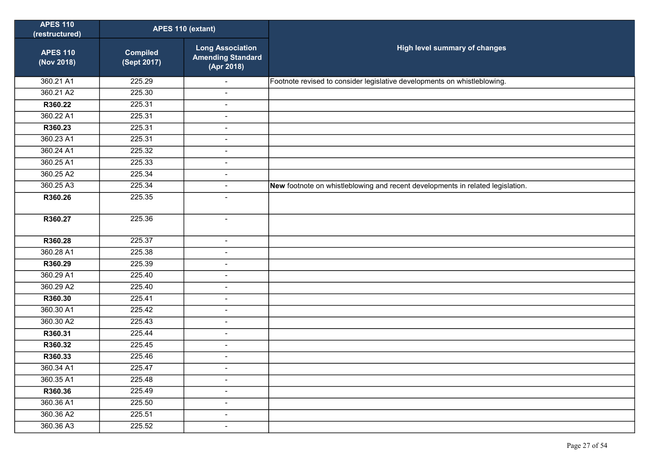| <b>APES 110</b><br>(restructured) | APES 110 (extant)              |                                                                   |                                                                                |
|-----------------------------------|--------------------------------|-------------------------------------------------------------------|--------------------------------------------------------------------------------|
| <b>APES 110</b><br>(Nov 2018)     | <b>Compiled</b><br>(Sept 2017) | <b>Long Association</b><br><b>Amending Standard</b><br>(Apr 2018) | High level summary of changes                                                  |
| 360.21 A1                         | 225.29                         |                                                                   | Footnote revised to consider legislative developments on whistleblowing.       |
| 360.21 A2                         | 225.30                         | $\sim$                                                            |                                                                                |
| R360.22                           | 225.31                         | $\overline{\phantom{a}}$                                          |                                                                                |
| 360.22 A1                         | 225.31                         | $\blacksquare$                                                    |                                                                                |
| R360.23                           | 225.31                         | $\blacksquare$                                                    |                                                                                |
| 360.23 A1                         | 225.31                         | $\sim$                                                            |                                                                                |
| 360.24 A1                         | 225.32                         | $\blacksquare$                                                    |                                                                                |
| 360.25 A1                         | 225.33                         | $\blacksquare$                                                    |                                                                                |
| 360.25 A2                         | 225.34                         | $\sim$                                                            |                                                                                |
| 360.25 A3                         | 225.34                         | $\overline{\phantom{a}}$                                          | New footnote on whistleblowing and recent developments in related legislation. |
| R360.26                           | 225.35                         | $\sim$                                                            |                                                                                |
| R360.27                           | 225.36                         | $\overline{\phantom{a}}$                                          |                                                                                |
| R360.28                           | 225.37                         | $\blacksquare$                                                    |                                                                                |
| 360.28 A1                         | 225.38                         | $\blacksquare$                                                    |                                                                                |
| R360.29                           | 225.39                         | $\blacksquare$                                                    |                                                                                |
| 360.29 A1                         | 225.40                         | $\blacksquare$                                                    |                                                                                |
| 360.29 A2                         | 225.40                         | $\blacksquare$                                                    |                                                                                |
| R360.30                           | 225.41                         | $\blacksquare$                                                    |                                                                                |
| 360.30 A1                         | 225.42                         | $\blacksquare$                                                    |                                                                                |
| 360.30 A2                         | 225.43                         | $\blacksquare$                                                    |                                                                                |
| R360.31                           | 225.44                         | $\blacksquare$                                                    |                                                                                |
| R360.32                           | 225.45                         | $\blacksquare$                                                    |                                                                                |
| R360.33                           | 225.46                         | $\blacksquare$                                                    |                                                                                |
| 360.34 A1                         | 225.47                         | $\sim$                                                            |                                                                                |
| 360.35 A1                         | 225.48                         | $\blacksquare$                                                    |                                                                                |
| R360.36                           | 225.49                         | $\overline{\phantom{a}}$                                          |                                                                                |
| 360.36 A1                         | 225.50                         | $\overline{\phantom{a}}$                                          |                                                                                |
| 360.36 A2                         | 225.51                         | $\blacksquare$                                                    |                                                                                |
| 360.36 A3                         | 225.52                         | $\blacksquare$                                                    |                                                                                |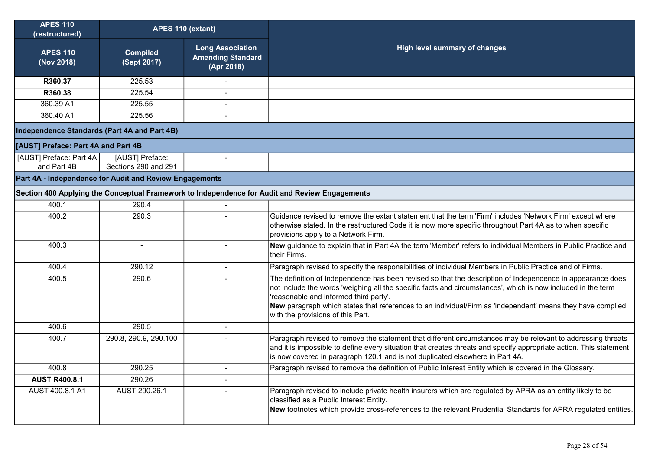| <b>APES 110</b><br>(restructured)                       | APES 110 (extant)                       |                                                                   |                                                                                                                                                                                                                                                                                                                                                                                                                         |
|---------------------------------------------------------|-----------------------------------------|-------------------------------------------------------------------|-------------------------------------------------------------------------------------------------------------------------------------------------------------------------------------------------------------------------------------------------------------------------------------------------------------------------------------------------------------------------------------------------------------------------|
| <b>APES 110</b><br>(Nov 2018)                           | <b>Compiled</b><br>(Sept 2017)          | <b>Long Association</b><br><b>Amending Standard</b><br>(Apr 2018) | <b>High level summary of changes</b>                                                                                                                                                                                                                                                                                                                                                                                    |
| R360.37                                                 | 225.53                                  |                                                                   |                                                                                                                                                                                                                                                                                                                                                                                                                         |
| R360.38                                                 | 225.54                                  |                                                                   |                                                                                                                                                                                                                                                                                                                                                                                                                         |
| 360.39 A1                                               | 225.55                                  | $\blacksquare$                                                    |                                                                                                                                                                                                                                                                                                                                                                                                                         |
| 360.40 A1                                               | 225.56                                  |                                                                   |                                                                                                                                                                                                                                                                                                                                                                                                                         |
| Independence Standards (Part 4A and Part 4B)            |                                         |                                                                   |                                                                                                                                                                                                                                                                                                                                                                                                                         |
| [AUST] Preface: Part 4A and Part 4B                     |                                         |                                                                   |                                                                                                                                                                                                                                                                                                                                                                                                                         |
| [AUST] Preface: Part 4A<br>and Part 4B                  | [AUST] Preface:<br>Sections 290 and 291 |                                                                   |                                                                                                                                                                                                                                                                                                                                                                                                                         |
| Part 4A - Independence for Audit and Review Engagements |                                         |                                                                   |                                                                                                                                                                                                                                                                                                                                                                                                                         |
|                                                         |                                         |                                                                   | Section 400 Applying the Conceptual Framework to Independence for Audit and Review Engagements                                                                                                                                                                                                                                                                                                                          |
| 400.1                                                   | 290.4                                   |                                                                   |                                                                                                                                                                                                                                                                                                                                                                                                                         |
| 400.2                                                   | 290.3                                   |                                                                   | Guidance revised to remove the extant statement that the term 'Firm' includes 'Network Firm' except where<br>otherwise stated. In the restructured Code it is now more specific throughout Part 4A as to when specific<br>provisions apply to a Network Firm.                                                                                                                                                           |
| 400.3                                                   |                                         |                                                                   | New guidance to explain that in Part 4A the term 'Member' refers to individual Members in Public Practice and<br>their Firms.                                                                                                                                                                                                                                                                                           |
| 400.4                                                   | 290.12                                  | $\sim$                                                            | Paragraph revised to specify the responsibilities of individual Members in Public Practice and of Firms.                                                                                                                                                                                                                                                                                                                |
| 400.5                                                   | 290.6                                   |                                                                   | The definition of Independence has been revised so that the description of Independence in appearance does<br>not include the words 'weighing all the specific facts and circumstances', which is now included in the term<br>'reasonable and informed third party'.<br>New paragraph which states that references to an individual/Firm as 'independent' means they have complied<br>with the provisions of this Part. |
| 400.6                                                   | 290.5                                   | $\sim$                                                            |                                                                                                                                                                                                                                                                                                                                                                                                                         |
| 400.7                                                   | 290.8, 290.9, 290.100                   |                                                                   | Paragraph revised to remove the statement that different circumstances may be relevant to addressing threats<br>and it is impossible to define every situation that creates threats and specify appropriate action. This statement<br>is now covered in paragraph 120.1 and is not duplicated elsewhere in Part 4A.                                                                                                     |
| 400.8                                                   | 290.25                                  |                                                                   | Paragraph revised to remove the definition of Public Interest Entity which is covered in the Glossary.                                                                                                                                                                                                                                                                                                                  |
| <b>AUST R400.8.1</b>                                    | 290.26                                  | $\blacksquare$                                                    |                                                                                                                                                                                                                                                                                                                                                                                                                         |
| AUST 400.8.1 A1                                         | AUST 290.26.1                           |                                                                   | Paragraph revised to include private health insurers which are regulated by APRA as an entity likely to be<br>classified as a Public Interest Entity.<br>New footnotes which provide cross-references to the relevant Prudential Standards for APRA regulated entities.                                                                                                                                                 |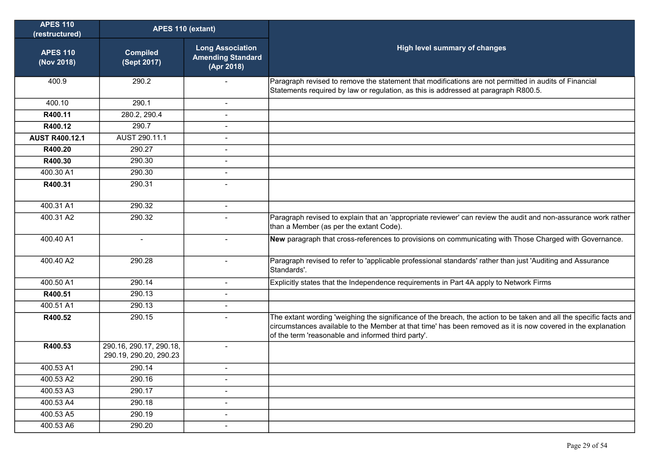| <b>APES 110</b><br>(restructured) | APES 110 (extant)                                 |                                                                   |                                                                                                                                                                                                                                                                                          |
|-----------------------------------|---------------------------------------------------|-------------------------------------------------------------------|------------------------------------------------------------------------------------------------------------------------------------------------------------------------------------------------------------------------------------------------------------------------------------------|
| <b>APES 110</b><br>(Nov 2018)     | <b>Compiled</b><br>(Sept 2017)                    | <b>Long Association</b><br><b>Amending Standard</b><br>(Apr 2018) | <b>High level summary of changes</b>                                                                                                                                                                                                                                                     |
| 400.9                             | 290.2                                             |                                                                   | Paragraph revised to remove the statement that modifications are not permitted in audits of Financial<br>Statements required by law or regulation, as this is addressed at paragraph R800.5.                                                                                             |
| 400.10                            | 290.1                                             | $\blacksquare$                                                    |                                                                                                                                                                                                                                                                                          |
| R400.11                           | 280.2, 290.4                                      | $\sim$                                                            |                                                                                                                                                                                                                                                                                          |
| R400.12                           | 290.7                                             |                                                                   |                                                                                                                                                                                                                                                                                          |
| <b>AUST R400.12.1</b>             | AUST 290.11.1                                     |                                                                   |                                                                                                                                                                                                                                                                                          |
| R400.20                           | 290.27                                            |                                                                   |                                                                                                                                                                                                                                                                                          |
| R400.30                           | 290.30                                            | $\sim$                                                            |                                                                                                                                                                                                                                                                                          |
| 400.30 A1                         | 290.30                                            |                                                                   |                                                                                                                                                                                                                                                                                          |
| R400.31                           | 290.31                                            |                                                                   |                                                                                                                                                                                                                                                                                          |
| 400.31 A1                         | 290.32                                            | $\overline{\phantom{a}}$                                          |                                                                                                                                                                                                                                                                                          |
| 400.31 A2                         | 290.32                                            |                                                                   | Paragraph revised to explain that an 'appropriate reviewer' can review the audit and non-assurance work rather<br>than a Member (as per the extant Code).                                                                                                                                |
| 400.40 A1                         | $\blacksquare$                                    | $\overline{\phantom{a}}$                                          | New paragraph that cross-references to provisions on communicating with Those Charged with Governance.                                                                                                                                                                                   |
| 400.40 A2                         | 290.28                                            | $\blacksquare$                                                    | Paragraph revised to refer to 'applicable professional standards' rather than just 'Auditing and Assurance<br>Standards'.                                                                                                                                                                |
| 400.50 A1                         | 290.14                                            | $\sim$                                                            | Explicitly states that the Independence requirements in Part 4A apply to Network Firms                                                                                                                                                                                                   |
| R400.51                           | 290.13                                            |                                                                   |                                                                                                                                                                                                                                                                                          |
| 400.51 A1                         | 290.13                                            | $\sim$                                                            |                                                                                                                                                                                                                                                                                          |
| R400.52                           | 290.15                                            | $\blacksquare$                                                    | The extant wording 'weighing the significance of the breach, the action to be taken and all the specific facts and<br>circumstances available to the Member at that time' has been removed as it is now covered in the explanation<br>of the term 'reasonable and informed third party'. |
| R400.53                           | 290.16, 290.17, 290.18,<br>290.19, 290.20, 290.23 | $\blacksquare$                                                    |                                                                                                                                                                                                                                                                                          |
| 400.53 A1                         | 290.14                                            | ۰.                                                                |                                                                                                                                                                                                                                                                                          |
| 400.53 A2                         | 290.16                                            | $\overline{\phantom{a}}$                                          |                                                                                                                                                                                                                                                                                          |
| 400.53 A3                         | 290.17                                            | $\sim$                                                            |                                                                                                                                                                                                                                                                                          |
| 400.53 A4                         | 290.18                                            | $\sim$                                                            |                                                                                                                                                                                                                                                                                          |
| 400.53 A5                         | 290.19                                            | $\sim$                                                            |                                                                                                                                                                                                                                                                                          |
| 400.53 A6                         | 290.20                                            | $\sim$                                                            |                                                                                                                                                                                                                                                                                          |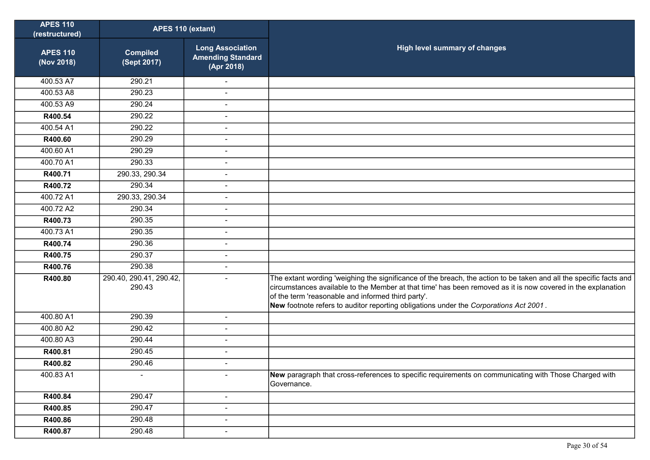| <b>APES 110</b><br>(restructured) | APES 110 (extant)                 |                                                                   |                                                                                                                                                                                                                                                                                                                                                                                   |
|-----------------------------------|-----------------------------------|-------------------------------------------------------------------|-----------------------------------------------------------------------------------------------------------------------------------------------------------------------------------------------------------------------------------------------------------------------------------------------------------------------------------------------------------------------------------|
| <b>APES 110</b><br>(Nov 2018)     | <b>Compiled</b><br>(Sept 2017)    | <b>Long Association</b><br><b>Amending Standard</b><br>(Apr 2018) | High level summary of changes                                                                                                                                                                                                                                                                                                                                                     |
| 400.53 A7                         | 290.21                            |                                                                   |                                                                                                                                                                                                                                                                                                                                                                                   |
| 400.53 A8                         | 290.23                            | $\blacksquare$                                                    |                                                                                                                                                                                                                                                                                                                                                                                   |
| 400.53 A9                         | 290.24                            | $\overline{a}$                                                    |                                                                                                                                                                                                                                                                                                                                                                                   |
| R400.54                           | 290.22                            | $\overline{\phantom{a}}$                                          |                                                                                                                                                                                                                                                                                                                                                                                   |
| 400.54 A1                         | 290.22                            | $\overline{a}$                                                    |                                                                                                                                                                                                                                                                                                                                                                                   |
| R400.60                           | 290.29                            | $\overline{a}$                                                    |                                                                                                                                                                                                                                                                                                                                                                                   |
| 400.60 A1                         | 290.29                            | $\overline{a}$                                                    |                                                                                                                                                                                                                                                                                                                                                                                   |
| 400.70 A1                         | 290.33                            | $\blacksquare$                                                    |                                                                                                                                                                                                                                                                                                                                                                                   |
| R400.71                           | 290.33, 290.34                    | $\blacksquare$                                                    |                                                                                                                                                                                                                                                                                                                                                                                   |
| R400.72                           | 290.34                            | $\overline{a}$                                                    |                                                                                                                                                                                                                                                                                                                                                                                   |
| 400.72 A1                         | 290.33, 290.34                    | $\overline{a}$                                                    |                                                                                                                                                                                                                                                                                                                                                                                   |
| 400.72 A2                         | 290.34                            | $\overline{\phantom{a}}$                                          |                                                                                                                                                                                                                                                                                                                                                                                   |
| R400.73                           | 290.35                            | $\overline{a}$                                                    |                                                                                                                                                                                                                                                                                                                                                                                   |
| 400.73 A1                         | 290.35                            | $\overline{a}$                                                    |                                                                                                                                                                                                                                                                                                                                                                                   |
| R400.74                           | 290.36                            | $\overline{a}$                                                    |                                                                                                                                                                                                                                                                                                                                                                                   |
| R400.75                           | 290.37                            | L,                                                                |                                                                                                                                                                                                                                                                                                                                                                                   |
| R400.76                           | 290.38                            | $\overline{a}$                                                    |                                                                                                                                                                                                                                                                                                                                                                                   |
| R400.80                           | 290.40, 290.41, 290.42,<br>290.43 |                                                                   | The extant wording 'weighing the significance of the breach, the action to be taken and all the specific facts and<br>circumstances available to the Member at that time' has been removed as it is now covered in the explanation<br>of the term 'reasonable and informed third party'.<br>New footnote refers to auditor reporting obligations under the Corporations Act 2001. |
| 400.80 A1                         | 290.39                            | $\blacksquare$                                                    |                                                                                                                                                                                                                                                                                                                                                                                   |
| 400.80 A2                         | 290.42                            |                                                                   |                                                                                                                                                                                                                                                                                                                                                                                   |
| 400.80 A3                         | 290.44                            | $\overline{\phantom{a}}$                                          |                                                                                                                                                                                                                                                                                                                                                                                   |
| R400.81                           | 290.45                            | $\overline{a}$                                                    |                                                                                                                                                                                                                                                                                                                                                                                   |
| R400.82                           | 290.46                            |                                                                   |                                                                                                                                                                                                                                                                                                                                                                                   |
| 400.83 A1                         |                                   |                                                                   | New paragraph that cross-references to specific requirements on communicating with Those Charged with<br>Governance.                                                                                                                                                                                                                                                              |
| R400.84                           | 290.47                            | $\overline{\phantom{a}}$                                          |                                                                                                                                                                                                                                                                                                                                                                                   |
| R400.85                           | 290.47                            | $\overline{a}$                                                    |                                                                                                                                                                                                                                                                                                                                                                                   |
| R400.86                           | 290.48                            | $\blacksquare$                                                    |                                                                                                                                                                                                                                                                                                                                                                                   |
| R400.87                           | 290.48                            | $\blacksquare$                                                    |                                                                                                                                                                                                                                                                                                                                                                                   |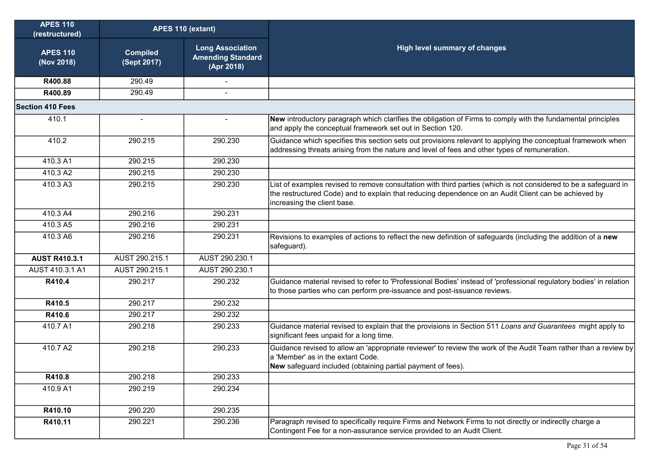| <b>APES 110</b><br>(restructured) | APES 110 (extant)              |                                                                   |                                                                                                                                                                                                                                                         |
|-----------------------------------|--------------------------------|-------------------------------------------------------------------|---------------------------------------------------------------------------------------------------------------------------------------------------------------------------------------------------------------------------------------------------------|
| <b>APES 110</b><br>(Nov 2018)     | <b>Compiled</b><br>(Sept 2017) | <b>Long Association</b><br><b>Amending Standard</b><br>(Apr 2018) | <b>High level summary of changes</b>                                                                                                                                                                                                                    |
| R400.88                           | 290.49                         |                                                                   |                                                                                                                                                                                                                                                         |
| R400.89                           | 290.49                         |                                                                   |                                                                                                                                                                                                                                                         |
| <b>Section 410 Fees</b>           |                                |                                                                   |                                                                                                                                                                                                                                                         |
| 410.1                             | $\blacksquare$                 | $\blacksquare$                                                    | New introductory paragraph which clarifies the obligation of Firms to comply with the fundamental principles<br>and apply the conceptual framework set out in Section 120.                                                                              |
| 410.2                             | 290.215                        | 290.230                                                           | Guidance which specifies this section sets out provisions relevant to applying the conceptual framework when<br>addressing threats arising from the nature and level of fees and other types of remuneration.                                           |
| 410.3 A1                          | 290.215                        | 290.230                                                           |                                                                                                                                                                                                                                                         |
| 410.3 A2                          | 290.215                        | 290.230                                                           |                                                                                                                                                                                                                                                         |
| 410.3 A3                          | 290.215                        | 290.230                                                           | List of examples revised to remove consultation with third parties (which is not considered to be a safeguard in<br>the restructured Code) and to explain that reducing dependence on an Audit Client can be achieved by<br>increasing the client base. |
| 410.3 A4                          | 290.216                        | 290.231                                                           |                                                                                                                                                                                                                                                         |
| 410.3 A5                          | 290.216                        | 290.231                                                           |                                                                                                                                                                                                                                                         |
| 410.3 A6                          | 290.216                        | 290.231                                                           | Revisions to examples of actions to reflect the new definition of safeguards (including the addition of a new<br>safeguard).                                                                                                                            |
| <b>AUST R410.3.1</b>              | AUST 290.215.1                 | AUST 290.230.1                                                    |                                                                                                                                                                                                                                                         |
| AUST 410.3.1 A1                   | AUST 290.215.1                 | AUST 290.230.1                                                    |                                                                                                                                                                                                                                                         |
| R410.4                            | 290.217                        | 290.232                                                           | Guidance material revised to refer to 'Professional Bodies' instead of 'professional regulatory bodies' in relation<br>to those parties who can perform pre-issuance and post-issuance reviews.                                                         |
| R410.5                            | 290.217                        | 290.232                                                           |                                                                                                                                                                                                                                                         |
| R410.6                            | 290.217                        | 290.232                                                           |                                                                                                                                                                                                                                                         |
| 410.7 A1                          | 290.218                        | 290.233                                                           | Guidance material revised to explain that the provisions in Section 511 Loans and Guarantees might apply to<br>significant fees unpaid for a long time.                                                                                                 |
| 410.7 A2                          | 290.218                        | 290.233                                                           | Guidance revised to allow an 'appropriate reviewer' to review the work of the Audit Team rather than a review by<br>a 'Member' as in the extant Code.<br>New safeguard included (obtaining partial payment of fees).                                    |
| R410.8                            | 290.218                        | 290.233                                                           |                                                                                                                                                                                                                                                         |
| 410.9 A1                          | 290.219                        | 290.234                                                           |                                                                                                                                                                                                                                                         |
| R410.10                           | 290.220                        | 290.235                                                           |                                                                                                                                                                                                                                                         |
| R410.11                           | 290.221                        | 290.236                                                           | Paragraph revised to specifically require Firms and Network Firms to not directly or indirectly charge a<br>Contingent Fee for a non-assurance service provided to an Audit Client.                                                                     |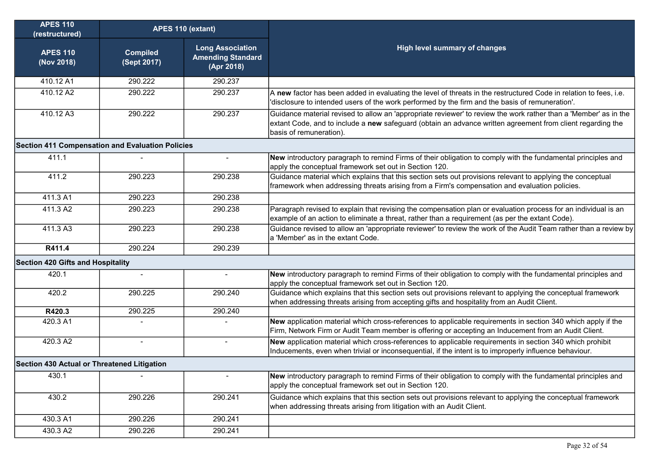| <b>APES 110</b><br>(restructured)                       | APES 110 (extant)              |                                                                   |                                                                                                                                                                                                                                                           |
|---------------------------------------------------------|--------------------------------|-------------------------------------------------------------------|-----------------------------------------------------------------------------------------------------------------------------------------------------------------------------------------------------------------------------------------------------------|
| <b>APES 110</b><br>(Nov 2018)                           | <b>Compiled</b><br>(Sept 2017) | <b>Long Association</b><br><b>Amending Standard</b><br>(Apr 2018) | High level summary of changes                                                                                                                                                                                                                             |
| 410.12 A1                                               | 290.222                        | 290.237                                                           |                                                                                                                                                                                                                                                           |
| 410.12 A2                                               | 290.222                        | 290.237                                                           | A new factor has been added in evaluating the level of threats in the restructured Code in relation to fees, i.e.<br>'disclosure to intended users of the work performed by the firm and the basis of remuneration'.                                      |
| 410.12 A3                                               | 290.222                        | 290.237                                                           | Guidance material revised to allow an 'appropriate reviewer' to review the work rather than a 'Member' as in the<br>extant Code, and to include a new safeguard (obtain an advance written agreement from client regarding the<br>basis of remuneration). |
| <b>Section 411 Compensation and Evaluation Policies</b> |                                |                                                                   |                                                                                                                                                                                                                                                           |
| 411.1                                                   |                                | $\mathbf{r}$                                                      | New introductory paragraph to remind Firms of their obligation to comply with the fundamental principles and<br>apply the conceptual framework set out in Section 120.                                                                                    |
| 411.2                                                   | 290.223                        | 290.238                                                           | Guidance material which explains that this section sets out provisions relevant to applying the conceptual<br>framework when addressing threats arising from a Firm's compensation and evaluation policies.                                               |
| 411.3 A1                                                | 290.223                        | 290.238                                                           |                                                                                                                                                                                                                                                           |
| 411.3 A2                                                | 290.223                        | 290.238                                                           | Paragraph revised to explain that revising the compensation plan or evaluation process for an individual is an<br>example of an action to eliminate a threat, rather than a requirement (as per the extant Code).                                         |
| 411.3 A3                                                | 290.223                        | 290.238                                                           | Guidance revised to allow an 'appropriate reviewer' to review the work of the Audit Team rather than a review by<br>a 'Member' as in the extant Code.                                                                                                     |
| R411.4                                                  | 290.224                        | 290.239                                                           |                                                                                                                                                                                                                                                           |
| <b>Section 420 Gifts and Hospitality</b>                |                                |                                                                   |                                                                                                                                                                                                                                                           |
| 420.1                                                   |                                |                                                                   | New introductory paragraph to remind Firms of their obligation to comply with the fundamental principles and<br>apply the conceptual framework set out in Section 120.                                                                                    |
| 420.2                                                   | 290.225                        | 290.240                                                           | Guidance which explains that this section sets out provisions relevant to applying the conceptual framework<br>when addressing threats arising from accepting gifts and hospitality from an Audit Client.                                                 |
| R420.3                                                  | 290.225                        | 290.240                                                           |                                                                                                                                                                                                                                                           |
| 420.3 A1                                                |                                |                                                                   | New application material which cross-references to applicable requirements in section 340 which apply if the<br>Firm, Network Firm or Audit Team member is offering or accepting an Inducement from an Audit Client.                                      |
| 420.3 A2                                                | $\blacksquare$                 | $\overline{\phantom{a}}$                                          | New application material which cross-references to applicable requirements in section 340 which prohibit<br>Inducements, even when trivial or inconsequential, if the intent is to improperly influence behaviour.                                        |
| Section 430 Actual or Threatened Litigation             |                                |                                                                   |                                                                                                                                                                                                                                                           |
| 430.1                                                   |                                |                                                                   | New introductory paragraph to remind Firms of their obligation to comply with the fundamental principles and<br>apply the conceptual framework set out in Section 120.                                                                                    |
| 430.2                                                   | 290.226                        | 290.241                                                           | Guidance which explains that this section sets out provisions relevant to applying the conceptual framework<br>when addressing threats arising from litigation with an Audit Client.                                                                      |
| 430.3 A1                                                | 290.226                        | 290.241                                                           |                                                                                                                                                                                                                                                           |
| 430.3 A2                                                | 290.226                        | 290.241                                                           |                                                                                                                                                                                                                                                           |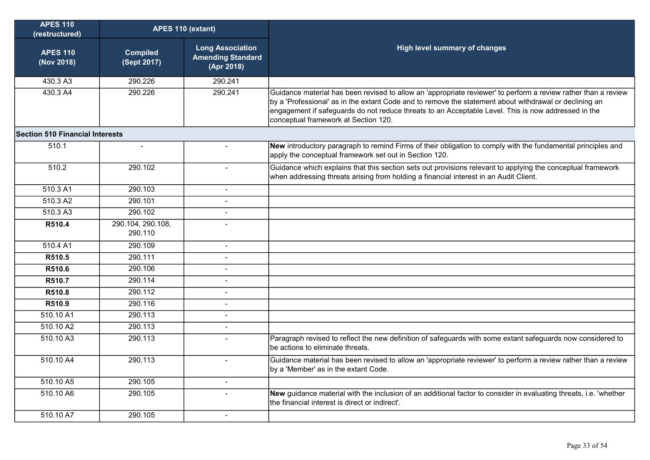| <b>APES 110</b><br>(restructured)      | APES 110 (extant)              |                                                                   |                                                                                                                                                                                                                                                                                                                                                                         |
|----------------------------------------|--------------------------------|-------------------------------------------------------------------|-------------------------------------------------------------------------------------------------------------------------------------------------------------------------------------------------------------------------------------------------------------------------------------------------------------------------------------------------------------------------|
| <b>APES 110</b><br>(Nov 2018)          | <b>Compiled</b><br>(Sept 2017) | <b>Long Association</b><br><b>Amending Standard</b><br>(Apr 2018) | High level summary of changes                                                                                                                                                                                                                                                                                                                                           |
| 430.3 A3                               | 290.226                        | 290.241                                                           |                                                                                                                                                                                                                                                                                                                                                                         |
| 430.3 A4                               | 290.226                        | 290.241                                                           | Guidance material has been revised to allow an 'appropriate reviewer' to perform a review rather than a review<br>by a 'Professional' as in the extant Code and to remove the statement about withdrawal or declining an<br>engagement if safeguards do not reduce threats to an Acceptable Level. This is now addressed in the<br>conceptual framework at Section 120. |
| <b>Section 510 Financial Interests</b> |                                |                                                                   |                                                                                                                                                                                                                                                                                                                                                                         |
| 510.1                                  | $\sim$                         |                                                                   | New introductory paragraph to remind Firms of their obligation to comply with the fundamental principles and<br>apply the conceptual framework set out in Section 120.                                                                                                                                                                                                  |
| 510.2                                  | 290.102                        | $\blacksquare$                                                    | Guidance which explains that this section sets out provisions relevant to applying the conceptual framework<br>when addressing threats arising from holding a financial interest in an Audit Client.                                                                                                                                                                    |
| 510.3 A1                               | 290.103                        | $\sim$                                                            |                                                                                                                                                                                                                                                                                                                                                                         |
| 510.3 A2                               | 290.101                        | $\blacksquare$                                                    |                                                                                                                                                                                                                                                                                                                                                                         |
| 510.3A3                                | 290.102                        | $\overline{a}$                                                    |                                                                                                                                                                                                                                                                                                                                                                         |
| R510.4                                 | 290.104, 290.108,<br>290.110   |                                                                   |                                                                                                                                                                                                                                                                                                                                                                         |
| 510.4 A1                               | 290.109                        | $\blacksquare$                                                    |                                                                                                                                                                                                                                                                                                                                                                         |
| R510.5                                 | 290.111                        | $\overline{a}$                                                    |                                                                                                                                                                                                                                                                                                                                                                         |
| R510.6                                 | 290.106                        | $\blacksquare$                                                    |                                                                                                                                                                                                                                                                                                                                                                         |
| R510.7                                 | 290.114                        | $\blacksquare$                                                    |                                                                                                                                                                                                                                                                                                                                                                         |
| R510.8                                 | 290.112                        | $\sim$                                                            |                                                                                                                                                                                                                                                                                                                                                                         |
| R510.9                                 | 290.116                        | $\overline{a}$                                                    |                                                                                                                                                                                                                                                                                                                                                                         |
| 510.10 A1                              | 290.113                        |                                                                   |                                                                                                                                                                                                                                                                                                                                                                         |
| 510.10 A2                              | 290.113                        | $\blacksquare$                                                    |                                                                                                                                                                                                                                                                                                                                                                         |
| 510.10 A3                              | 290.113                        | $\overline{a}$                                                    | Paragraph revised to reflect the new definition of safeguards with some extant safeguards now considered to<br>be actions to eliminate threats.                                                                                                                                                                                                                         |
| 510.10 A4                              | 290.113                        | $\overline{a}$                                                    | Guidance material has been revised to allow an 'appropriate reviewer' to perform a review rather than a review<br>by a 'Member' as in the extant Code.                                                                                                                                                                                                                  |
| 510.10 A5                              | 290.105                        | $\blacksquare$                                                    |                                                                                                                                                                                                                                                                                                                                                                         |
| 510.10 A6                              | 290.105                        | $\overline{a}$                                                    | New guidance material with the inclusion of an additional factor to consider in evaluating threats, i.e. 'whether<br>the financial interest is direct or indirect'.                                                                                                                                                                                                     |
| 510.10 A7                              | 290.105                        | $\sim$                                                            |                                                                                                                                                                                                                                                                                                                                                                         |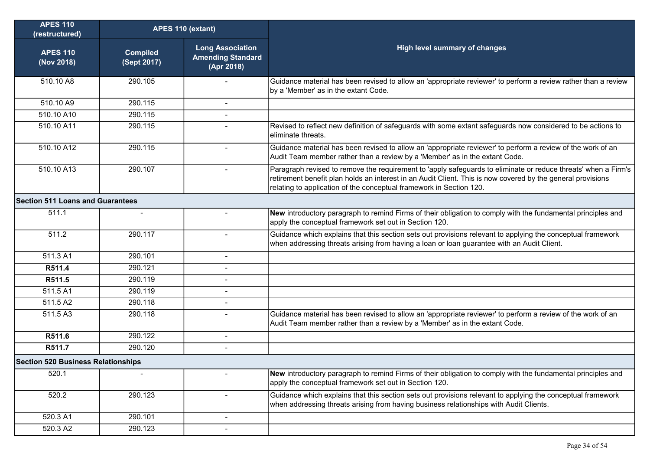| <b>APES 110</b><br>(restructured)         | APES 110 (extant)              |                                                                   |                                                                                                                                                                                                                                                                                                      |
|-------------------------------------------|--------------------------------|-------------------------------------------------------------------|------------------------------------------------------------------------------------------------------------------------------------------------------------------------------------------------------------------------------------------------------------------------------------------------------|
| <b>APES 110</b><br>(Nov 2018)             | <b>Compiled</b><br>(Sept 2017) | <b>Long Association</b><br><b>Amending Standard</b><br>(Apr 2018) | <b>High level summary of changes</b>                                                                                                                                                                                                                                                                 |
| 510.10 A8                                 | 290.105                        |                                                                   | Guidance material has been revised to allow an 'appropriate reviewer' to perform a review rather than a review<br>by a 'Member' as in the extant Code.                                                                                                                                               |
| 510.10 A9                                 | 290.115                        | $\blacksquare$                                                    |                                                                                                                                                                                                                                                                                                      |
| 510.10 A10                                | 290.115                        | $\blacksquare$                                                    |                                                                                                                                                                                                                                                                                                      |
| 510.10 A11                                | 290.115                        |                                                                   | Revised to reflect new definition of safeguards with some extant safeguards now considered to be actions to<br>eliminate threats.                                                                                                                                                                    |
| 510.10 A12                                | 290.115                        | $\overline{\phantom{0}}$                                          | Guidance material has been revised to allow an 'appropriate reviewer' to perform a review of the work of an<br>Audit Team member rather than a review by a 'Member' as in the extant Code.                                                                                                           |
| 510.10 A13                                | 290.107                        | $\blacksquare$                                                    | Paragraph revised to remove the requirement to 'apply safeguards to eliminate or reduce threats' when a Firm's<br>retirement benefit plan holds an interest in an Audit Client. This is now covered by the general provisions<br>relating to application of the conceptual framework in Section 120. |
| <b>Section 511 Loans and Guarantees</b>   |                                |                                                                   |                                                                                                                                                                                                                                                                                                      |
| 511.1                                     |                                |                                                                   | New introductory paragraph to remind Firms of their obligation to comply with the fundamental principles and<br>apply the conceptual framework set out in Section 120.                                                                                                                               |
| 511.2                                     | 290.117                        | $\overline{\phantom{a}}$                                          | Guidance which explains that this section sets out provisions relevant to applying the conceptual framework<br>when addressing threats arising from having a loan or loan guarantee with an Audit Client.                                                                                            |
| 511.3 A1                                  | 290.101                        | $\blacksquare$                                                    |                                                                                                                                                                                                                                                                                                      |
| R511.4                                    | 290.121                        | $\blacksquare$                                                    |                                                                                                                                                                                                                                                                                                      |
| R511.5                                    | 290.119                        | ÷                                                                 |                                                                                                                                                                                                                                                                                                      |
| 511.5 A1                                  | 290.119                        | $\blacksquare$                                                    |                                                                                                                                                                                                                                                                                                      |
| 511.5 A2                                  | 290.118                        | $\blacksquare$                                                    |                                                                                                                                                                                                                                                                                                      |
| 511.5 A3                                  | 290.118                        | $\blacksquare$                                                    | Guidance material has been revised to allow an 'appropriate reviewer' to perform a review of the work of an<br>Audit Team member rather than a review by a 'Member' as in the extant Code.                                                                                                           |
| R511.6                                    | 290.122                        | $\blacksquare$                                                    |                                                                                                                                                                                                                                                                                                      |
| R511.7                                    | 290.120                        |                                                                   |                                                                                                                                                                                                                                                                                                      |
| <b>Section 520 Business Relationships</b> |                                |                                                                   |                                                                                                                                                                                                                                                                                                      |
| 520.1                                     |                                |                                                                   | New introductory paragraph to remind Firms of their obligation to comply with the fundamental principles and<br>apply the conceptual framework set out in Section 120.                                                                                                                               |
| 520.2                                     | 290.123                        |                                                                   | Guidance which explains that this section sets out provisions relevant to applying the conceptual framework<br>when addressing threats arising from having business relationships with Audit Clients.                                                                                                |
| 520.3 A1                                  | 290.101                        | $\blacksquare$                                                    |                                                                                                                                                                                                                                                                                                      |
| 520.3 A2                                  | 290.123                        | $\blacksquare$                                                    |                                                                                                                                                                                                                                                                                                      |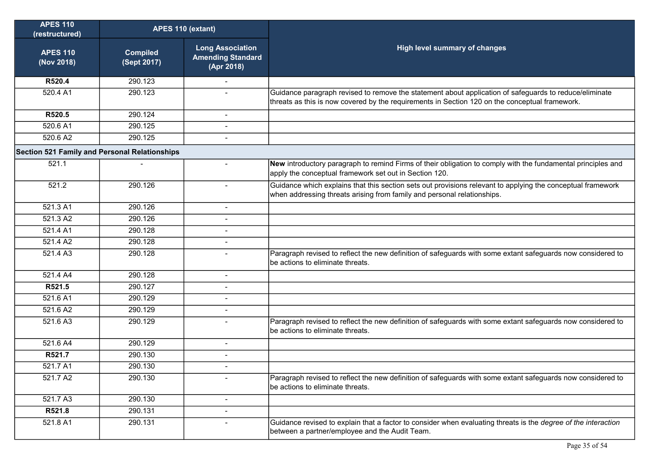| <b>APES 110</b><br>(restructured)                    | APES 110 (extant)              |                                                                   |                                                                                                                                                                                                          |
|------------------------------------------------------|--------------------------------|-------------------------------------------------------------------|----------------------------------------------------------------------------------------------------------------------------------------------------------------------------------------------------------|
| <b>APES 110</b><br>(Nov 2018)                        | <b>Compiled</b><br>(Sept 2017) | <b>Long Association</b><br><b>Amending Standard</b><br>(Apr 2018) | High level summary of changes                                                                                                                                                                            |
| R520.4                                               | 290.123                        |                                                                   |                                                                                                                                                                                                          |
| 520.4 A1                                             | 290.123                        |                                                                   | Guidance paragraph revised to remove the statement about application of safeguards to reduce/eliminate<br>threats as this is now covered by the requirements in Section 120 on the conceptual framework. |
| R520.5                                               | 290.124                        | $\sim$                                                            |                                                                                                                                                                                                          |
| 520.6 A1                                             | 290.125                        |                                                                   |                                                                                                                                                                                                          |
| 520.6 A2                                             | 290.125                        | $\blacksquare$                                                    |                                                                                                                                                                                                          |
| <b>Section 521 Family and Personal Relationships</b> |                                |                                                                   |                                                                                                                                                                                                          |
| 521.1                                                |                                |                                                                   | New introductory paragraph to remind Firms of their obligation to comply with the fundamental principles and<br>apply the conceptual framework set out in Section 120.                                   |
| 521.2                                                | 290.126                        | $\blacksquare$                                                    | Guidance which explains that this section sets out provisions relevant to applying the conceptual framework<br>when addressing threats arising from family and personal relationships.                   |
| 521.3 A1                                             | 290.126                        | $\blacksquare$                                                    |                                                                                                                                                                                                          |
| 521.3 A2                                             | 290.126                        |                                                                   |                                                                                                                                                                                                          |
| 521.4 A1                                             | 290.128                        | $\blacksquare$                                                    |                                                                                                                                                                                                          |
| 521.4 A2                                             | 290.128                        | $\blacksquare$                                                    |                                                                                                                                                                                                          |
| 521.4 A3                                             | 290.128                        | $\blacksquare$                                                    | Paragraph revised to reflect the new definition of safeguards with some extant safeguards now considered to<br>be actions to eliminate threats.                                                          |
| 521.4 A4                                             | 290.128                        | $\blacksquare$                                                    |                                                                                                                                                                                                          |
| R521.5                                               | 290.127                        |                                                                   |                                                                                                                                                                                                          |
| 521.6 A1                                             | 290.129                        |                                                                   |                                                                                                                                                                                                          |
| 521.6 A2                                             | 290.129                        |                                                                   |                                                                                                                                                                                                          |
| 521.6 A3                                             | 290.129                        |                                                                   | Paragraph revised to reflect the new definition of safeguards with some extant safeguards now considered to<br>be actions to eliminate threats.                                                          |
| 521.6 A4                                             | 290.129                        | $\sim$                                                            |                                                                                                                                                                                                          |
| R521.7                                               | 290.130                        |                                                                   |                                                                                                                                                                                                          |
| 521.7 A1                                             | 290.130                        |                                                                   |                                                                                                                                                                                                          |
| 521.7 A2                                             | 290.130                        | $\sim$                                                            | Paragraph revised to reflect the new definition of safeguards with some extant safeguards now considered to<br>be actions to eliminate threats.                                                          |
| 521.7 A3                                             | 290.130                        | $\blacksquare$                                                    |                                                                                                                                                                                                          |
| R521.8                                               | 290.131                        |                                                                   |                                                                                                                                                                                                          |
| 521.8 A1                                             | 290.131                        |                                                                   | Guidance revised to explain that a factor to consider when evaluating threats is the degree of the interaction<br>between a partner/employee and the Audit Team.                                         |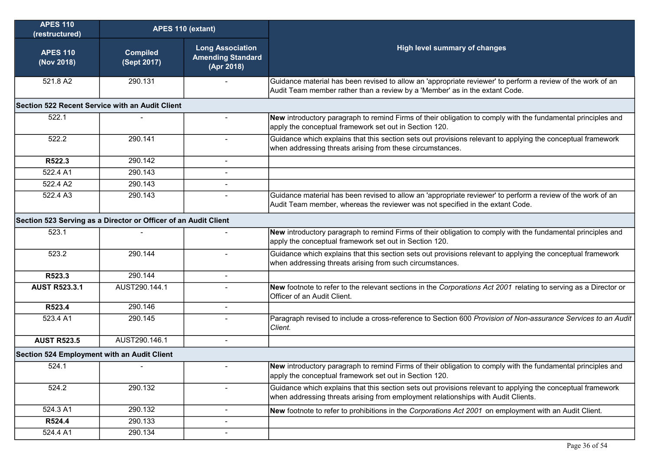| <b>APES 110</b><br>(restructured)           | APES 110 (extant)                                                                                                                           |                          |                                                                                                                                                                                                  |
|---------------------------------------------|---------------------------------------------------------------------------------------------------------------------------------------------|--------------------------|--------------------------------------------------------------------------------------------------------------------------------------------------------------------------------------------------|
| <b>APES 110</b><br>(Nov 2018)               | <b>Long Association</b><br><b>High level summary of changes</b><br><b>Compiled</b><br><b>Amending Standard</b><br>(Sept 2017)<br>(Apr 2018) |                          |                                                                                                                                                                                                  |
| 521.8 A2                                    | 290.131                                                                                                                                     |                          | Guidance material has been revised to allow an 'appropriate reviewer' to perform a review of the work of an<br>Audit Team member rather than a review by a 'Member' as in the extant Code.       |
|                                             | Section 522 Recent Service with an Audit Client                                                                                             |                          |                                                                                                                                                                                                  |
| 522.1                                       |                                                                                                                                             |                          | New introductory paragraph to remind Firms of their obligation to comply with the fundamental principles and<br>apply the conceptual framework set out in Section 120.                           |
| 522.2                                       | 290.141                                                                                                                                     |                          | Guidance which explains that this section sets out provisions relevant to applying the conceptual framework<br>when addressing threats arising from these circumstances.                         |
| R522.3                                      | 290.142                                                                                                                                     | $\blacksquare$           |                                                                                                                                                                                                  |
| 522.4 A1                                    | 290.143                                                                                                                                     |                          |                                                                                                                                                                                                  |
| 522.4 A2                                    | 290.143                                                                                                                                     |                          |                                                                                                                                                                                                  |
| 522.4 A3                                    | 290.143                                                                                                                                     |                          | Guidance material has been revised to allow an 'appropriate reviewer' to perform a review of the work of an<br>Audit Team member, whereas the reviewer was not specified in the extant Code.     |
|                                             | Section 523 Serving as a Director or Officer of an Audit Client                                                                             |                          |                                                                                                                                                                                                  |
| 523.1                                       |                                                                                                                                             |                          | New introductory paragraph to remind Firms of their obligation to comply with the fundamental principles and<br>apply the conceptual framework set out in Section 120.                           |
| 523.2                                       | 290.144                                                                                                                                     | $\overline{a}$           | Guidance which explains that this section sets out provisions relevant to applying the conceptual framework<br>when addressing threats arising from such circumstances.                          |
| R523.3                                      | 290.144                                                                                                                                     | $\blacksquare$           |                                                                                                                                                                                                  |
| <b>AUST R523.3.1</b>                        | AUST290.144.1                                                                                                                               |                          | New footnote to refer to the relevant sections in the Corporations Act 2001 relating to serving as a Director or<br>Officer of an Audit Client.                                                  |
| R523.4                                      | 290.146                                                                                                                                     | $\overline{\phantom{a}}$ |                                                                                                                                                                                                  |
| 523.4 A1                                    | 290.145                                                                                                                                     |                          | Paragraph revised to include a cross-reference to Section 600 Provision of Non-assurance Services to an Audit<br>Client.                                                                         |
| <b>AUST R523.5</b>                          | AUST290.146.1                                                                                                                               | $\blacksquare$           |                                                                                                                                                                                                  |
| Section 524 Employment with an Audit Client |                                                                                                                                             |                          |                                                                                                                                                                                                  |
| 524.1                                       |                                                                                                                                             |                          | New introductory paragraph to remind Firms of their obligation to comply with the fundamental principles and<br>apply the conceptual framework set out in Section 120.                           |
| 524.2                                       | 290.132                                                                                                                                     | $\overline{\phantom{a}}$ | Guidance which explains that this section sets out provisions relevant to applying the conceptual framework<br>when addressing threats arising from employment relationships with Audit Clients. |
| 524.3 A1                                    | 290.132                                                                                                                                     | $\blacksquare$           | New footnote to refer to prohibitions in the Corporations Act 2001 on employment with an Audit Client.                                                                                           |
| R524.4                                      | 290.133                                                                                                                                     | $\blacksquare$           |                                                                                                                                                                                                  |
| 524.4 A1                                    | 290.134                                                                                                                                     | $\blacksquare$           |                                                                                                                                                                                                  |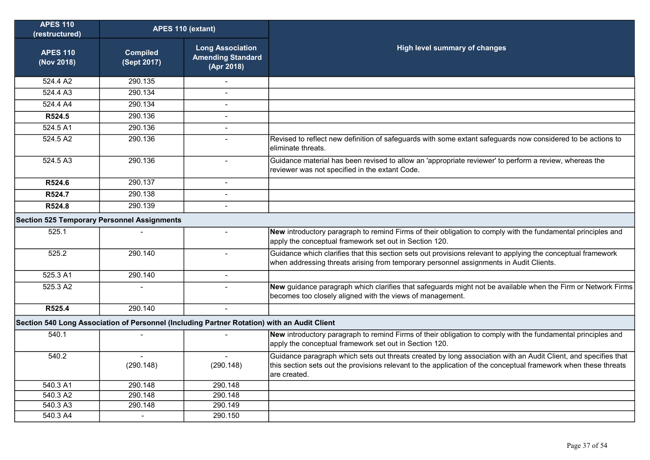| <b>APES 110</b><br>(restructured)                                                           | APES 110 (extant)              |                                                                   |                                                                                                                                                                                                                                                   |
|---------------------------------------------------------------------------------------------|--------------------------------|-------------------------------------------------------------------|---------------------------------------------------------------------------------------------------------------------------------------------------------------------------------------------------------------------------------------------------|
| <b>APES 110</b><br>(Nov 2018)                                                               | <b>Compiled</b><br>(Sept 2017) | <b>Long Association</b><br><b>Amending Standard</b><br>(Apr 2018) | High level summary of changes                                                                                                                                                                                                                     |
| 524.4 A2                                                                                    | 290.135                        |                                                                   |                                                                                                                                                                                                                                                   |
| 524.4 A3                                                                                    | 290.134                        |                                                                   |                                                                                                                                                                                                                                                   |
| 524.4 A4                                                                                    | 290.134                        |                                                                   |                                                                                                                                                                                                                                                   |
| R524.5                                                                                      | 290.136                        | $\blacksquare$                                                    |                                                                                                                                                                                                                                                   |
| 524.5 A1                                                                                    | 290.136                        | $\overline{a}$                                                    |                                                                                                                                                                                                                                                   |
| 524.5A2                                                                                     | 290.136                        | $\overline{a}$                                                    | Revised to reflect new definition of safeguards with some extant safeguards now considered to be actions to<br>leliminate threats.                                                                                                                |
| 524.5A3                                                                                     | 290.136                        | $\blacksquare$                                                    | Guidance material has been revised to allow an 'appropriate reviewer' to perform a review, whereas the<br>reviewer was not specified in the extant Code.                                                                                          |
| R524.6                                                                                      | 290.137                        | Ĭ.                                                                |                                                                                                                                                                                                                                                   |
| R524.7                                                                                      | 290.138                        | $\overline{a}$                                                    |                                                                                                                                                                                                                                                   |
| R524.8                                                                                      | 290.139                        | $\overline{a}$                                                    |                                                                                                                                                                                                                                                   |
| <b>Section 525 Temporary Personnel Assignments</b>                                          |                                |                                                                   |                                                                                                                                                                                                                                                   |
| 525.1                                                                                       |                                | $\sim$                                                            | New introductory paragraph to remind Firms of their obligation to comply with the fundamental principles and<br>apply the conceptual framework set out in Section 120.                                                                            |
| 525.2                                                                                       | 290.140                        | $\overline{a}$                                                    | Guidance which clarifies that this section sets out provisions relevant to applying the conceptual framework<br>when addressing threats arising from temporary personnel assignments in Audit Clients.                                            |
| 525.3 A1                                                                                    | 290.140                        | $\sim$                                                            |                                                                                                                                                                                                                                                   |
| 525.3 A2                                                                                    |                                |                                                                   | New guidance paragraph which clarifies that safeguards might not be available when the Firm or Network Firms<br>becomes too closely aligned with the views of management.                                                                         |
| R525.4                                                                                      | 290.140                        |                                                                   |                                                                                                                                                                                                                                                   |
| Section 540 Long Association of Personnel (Including Partner Rotation) with an Audit Client |                                |                                                                   |                                                                                                                                                                                                                                                   |
| 540.1                                                                                       |                                |                                                                   | New introductory paragraph to remind Firms of their obligation to comply with the fundamental principles and<br>apply the conceptual framework set out in Section 120.                                                                            |
| 540.2                                                                                       | (290.148)                      | $\blacksquare$<br>(290.148)                                       | Guidance paragraph which sets out threats created by long association with an Audit Client, and specifies that<br>this section sets out the provisions relevant to the application of the conceptual framework when these threats<br>are created. |
| 540.3 A1                                                                                    | 290.148                        | 290.148                                                           |                                                                                                                                                                                                                                                   |
| 540.3 A2                                                                                    | 290.148                        | 290.148                                                           |                                                                                                                                                                                                                                                   |
| 540.3A3                                                                                     | 290.148                        | 290.149                                                           |                                                                                                                                                                                                                                                   |
| 540.3 A4                                                                                    | $\overline{a}$                 | 290.150                                                           |                                                                                                                                                                                                                                                   |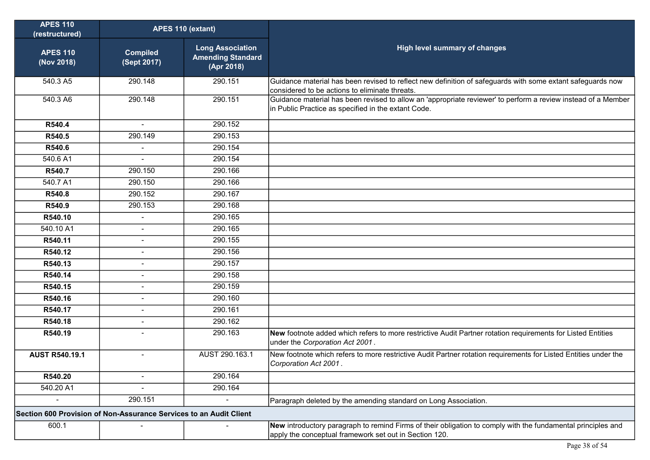| <b>APES 110</b><br>(restructured)                                  | APES 110 (extant)              |                                                                   |                                                                                                                                                                        |
|--------------------------------------------------------------------|--------------------------------|-------------------------------------------------------------------|------------------------------------------------------------------------------------------------------------------------------------------------------------------------|
| <b>APES 110</b><br>(Nov 2018)                                      | <b>Compiled</b><br>(Sept 2017) | <b>Long Association</b><br><b>Amending Standard</b><br>(Apr 2018) | <b>High level summary of changes</b>                                                                                                                                   |
| 540.3 A5                                                           | 290.148                        | 290.151                                                           | Guidance material has been revised to reflect new definition of safeguards with some extant safeguards now<br>considered to be actions to eliminate threats.           |
| 540.3 A6                                                           | 290.148                        | 290.151                                                           | Guidance material has been revised to allow an 'appropriate reviewer' to perform a review instead of a Member<br>in Public Practice as specified in the extant Code.   |
| R540.4                                                             | $\sim$                         | 290.152                                                           |                                                                                                                                                                        |
| R540.5                                                             | 290.149                        | 290.153                                                           |                                                                                                                                                                        |
| R540.6                                                             | $\sim$                         | 290.154                                                           |                                                                                                                                                                        |
| 540.6 A1                                                           | $\blacksquare$                 | 290.154                                                           |                                                                                                                                                                        |
| R540.7                                                             | 290.150                        | 290.166                                                           |                                                                                                                                                                        |
| 540.7 A1                                                           | 290.150                        | 290.166                                                           |                                                                                                                                                                        |
| R540.8                                                             | 290.152                        | 290.167                                                           |                                                                                                                                                                        |
| R540.9                                                             | 290.153                        | 290.168                                                           |                                                                                                                                                                        |
| R540.10                                                            | $\sim$                         | 290.165                                                           |                                                                                                                                                                        |
| 540.10 A1                                                          |                                | 290.165                                                           |                                                                                                                                                                        |
| R540.11                                                            | $\blacksquare$                 | 290.155                                                           |                                                                                                                                                                        |
| R540.12                                                            | $\mathbf{r}$                   | 290.156                                                           |                                                                                                                                                                        |
| R540.13                                                            | $\sim$                         | 290.157                                                           |                                                                                                                                                                        |
| R540.14                                                            |                                | 290.158                                                           |                                                                                                                                                                        |
| R540.15                                                            | $\blacksquare$                 | 290.159                                                           |                                                                                                                                                                        |
| R540.16                                                            | $\sim$                         | 290.160                                                           |                                                                                                                                                                        |
| R540.17                                                            | $\blacksquare$                 | 290.161                                                           |                                                                                                                                                                        |
| R540.18                                                            | $\blacksquare$                 | 290.162                                                           |                                                                                                                                                                        |
| R540.19                                                            | $\sim$                         | 290.163                                                           | New footnote added which refers to more restrictive Audit Partner rotation requirements for Listed Entities<br>under the Corporation Act 2001.                         |
| <b>AUST R540.19.1</b>                                              | $\blacksquare$                 | AUST 290.163.1                                                    | New footnote which refers to more restrictive Audit Partner rotation requirements for Listed Entities under the<br>Corporation Act 2001.                               |
| R540.20                                                            |                                | 290.164                                                           |                                                                                                                                                                        |
| 540.20 A1                                                          |                                | 290.164                                                           |                                                                                                                                                                        |
|                                                                    | 290.151                        |                                                                   | Paragraph deleted by the amending standard on Long Association.                                                                                                        |
| Section 600 Provision of Non-Assurance Services to an Audit Client |                                |                                                                   |                                                                                                                                                                        |
| 600.1                                                              |                                |                                                                   | New introductory paragraph to remind Firms of their obligation to comply with the fundamental principles and<br>apply the conceptual framework set out in Section 120. |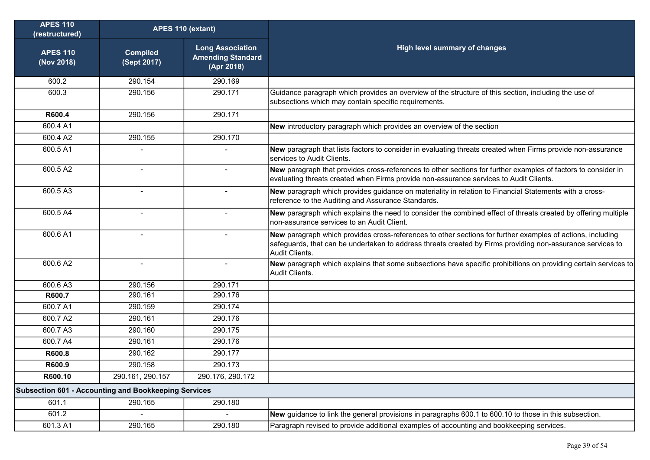| <b>APES 110</b><br>(restructured)                           | APES 110 (extant)              |                                                                   |                                                                                                                                                                                                                                            |
|-------------------------------------------------------------|--------------------------------|-------------------------------------------------------------------|--------------------------------------------------------------------------------------------------------------------------------------------------------------------------------------------------------------------------------------------|
| <b>APES 110</b><br>(Nov 2018)                               | <b>Compiled</b><br>(Sept 2017) | <b>Long Association</b><br><b>Amending Standard</b><br>(Apr 2018) | <b>High level summary of changes</b>                                                                                                                                                                                                       |
| 600.2                                                       | 290.154                        | 290.169                                                           |                                                                                                                                                                                                                                            |
| 600.3                                                       | 290.156                        | 290.171                                                           | Guidance paragraph which provides an overview of the structure of this section, including the use of<br>subsections which may contain specific requirements.                                                                               |
| R600.4                                                      | 290.156                        | 290.171                                                           |                                                                                                                                                                                                                                            |
| 600.4 A1                                                    |                                |                                                                   | New introductory paragraph which provides an overview of the section                                                                                                                                                                       |
| 600.4 A2                                                    | 290.155                        | 290.170                                                           |                                                                                                                                                                                                                                            |
| 600.5 A1                                                    |                                |                                                                   | New paragraph that lists factors to consider in evaluating threats created when Firms provide non-assurance<br>services to Audit Clients.                                                                                                  |
| 600.5 A2                                                    | $\blacksquare$                 | $\overline{\phantom{a}}$                                          | New paragraph that provides cross-references to other sections for further examples of factors to consider in<br>evaluating threats created when Firms provide non-assurance services to Audit Clients.                                    |
| 600.5 A3                                                    | $\blacksquare$                 | $\blacksquare$                                                    | New paragraph which provides guidance on materiality in relation to Financial Statements with a cross-<br>reference to the Auditing and Assurance Standards.                                                                               |
| 600.5 A4                                                    |                                |                                                                   | New paragraph which explains the need to consider the combined effect of threats created by offering multiple<br>non-assurance services to an Audit Client.                                                                                |
| 600.6 A1                                                    | $\blacksquare$                 | $\overline{\phantom{a}}$                                          | New paragraph which provides cross-references to other sections for further examples of actions, including<br>safeguards, that can be undertaken to address threats created by Firms providing non-assurance services to<br>Audit Clients. |
| 600.6 A2                                                    | $\overline{a}$                 | $\sim$                                                            | New paragraph which explains that some subsections have specific prohibitions on providing certain services to<br>Audit Clients.                                                                                                           |
| 600.6 A3                                                    | 290.156                        | 290.171                                                           |                                                                                                                                                                                                                                            |
| R600.7                                                      | 290.161                        | 290.176                                                           |                                                                                                                                                                                                                                            |
| 600.7 A1                                                    | 290.159                        | 290.174                                                           |                                                                                                                                                                                                                                            |
| 600.7 A2                                                    | 290.161                        | 290.176                                                           |                                                                                                                                                                                                                                            |
| 600.7 A3                                                    | 290.160                        | 290.175                                                           |                                                                                                                                                                                                                                            |
| 600.7 A4                                                    | 290.161                        | 290.176                                                           |                                                                                                                                                                                                                                            |
| R600.8                                                      | 290.162                        | 290.177                                                           |                                                                                                                                                                                                                                            |
| R600.9                                                      | 290.158                        | 290.173                                                           |                                                                                                                                                                                                                                            |
| R600.10                                                     | 290.161, 290.157               | 290.176, 290.172                                                  |                                                                                                                                                                                                                                            |
| <b>Subsection 601 - Accounting and Bookkeeping Services</b> |                                |                                                                   |                                                                                                                                                                                                                                            |
| 601.1                                                       | 290.165                        | 290.180                                                           |                                                                                                                                                                                                                                            |
| 601.2                                                       |                                | $\blacksquare$                                                    | New guidance to link the general provisions in paragraphs 600.1 to 600.10 to those in this subsection.                                                                                                                                     |
| 601.3 A1                                                    | 290.165                        | 290.180                                                           | Paragraph revised to provide additional examples of accounting and bookkeeping services.                                                                                                                                                   |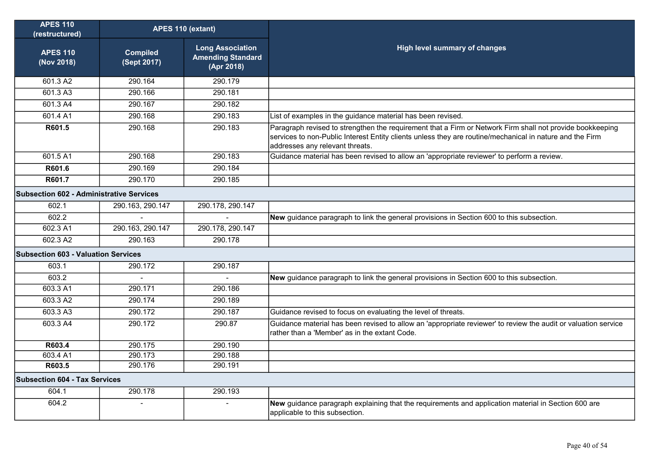| <b>APES 110</b><br>(restructured)          | APES 110 (extant)              |                                                                   |                                                                                                                                                                                                                                                          |
|--------------------------------------------|--------------------------------|-------------------------------------------------------------------|----------------------------------------------------------------------------------------------------------------------------------------------------------------------------------------------------------------------------------------------------------|
| <b>APES 110</b><br>(Nov 2018)              | <b>Compiled</b><br>(Sept 2017) | <b>Long Association</b><br><b>Amending Standard</b><br>(Apr 2018) | High level summary of changes                                                                                                                                                                                                                            |
| 601.3 A2                                   | 290.164                        | 290.179                                                           |                                                                                                                                                                                                                                                          |
| 601.3 A3                                   | 290.166                        | 290.181                                                           |                                                                                                                                                                                                                                                          |
| 601.3 A4                                   | 290.167                        | 290.182                                                           |                                                                                                                                                                                                                                                          |
| 601.4 A1                                   | 290.168                        | 290.183                                                           | List of examples in the guidance material has been revised.                                                                                                                                                                                              |
| R601.5                                     | 290.168                        | 290.183                                                           | Paragraph revised to strengthen the requirement that a Firm or Network Firm shall not provide bookkeeping<br>services to non-Public Interest Entity clients unless they are routine/mechanical in nature and the Firm<br>addresses any relevant threats. |
| 601.5 A1                                   | 290.168                        | 290.183                                                           | Guidance material has been revised to allow an 'appropriate reviewer' to perform a review.                                                                                                                                                               |
| R601.6                                     | 290.169                        | 290.184                                                           |                                                                                                                                                                                                                                                          |
| R601.7                                     | 290.170                        | 290.185                                                           |                                                                                                                                                                                                                                                          |
| Subsection 602 - Administrative Services   |                                |                                                                   |                                                                                                                                                                                                                                                          |
| 602.1                                      | 290.163, 290.147               | 290.178, 290.147                                                  |                                                                                                                                                                                                                                                          |
| 602.2                                      |                                |                                                                   | New guidance paragraph to link the general provisions in Section 600 to this subsection.                                                                                                                                                                 |
| 602.3 A1                                   | 290.163, 290.147               | 290.178, 290.147                                                  |                                                                                                                                                                                                                                                          |
| 602.3 A2                                   | 290.163                        | 290.178                                                           |                                                                                                                                                                                                                                                          |
| <b>Subsection 603 - Valuation Services</b> |                                |                                                                   |                                                                                                                                                                                                                                                          |
| 603.1                                      | 290.172                        | 290.187                                                           |                                                                                                                                                                                                                                                          |
| 603.2                                      |                                |                                                                   | New guidance paragraph to link the general provisions in Section 600 to this subsection.                                                                                                                                                                 |
| 603.3 A1                                   | 290.171                        | 290.186                                                           |                                                                                                                                                                                                                                                          |
| 603.3 A2                                   | 290.174                        | 290.189                                                           |                                                                                                                                                                                                                                                          |
| 603.3 A3                                   | 290.172                        | 290.187                                                           | Guidance revised to focus on evaluating the level of threats.                                                                                                                                                                                            |
| 603.3 A4                                   | 290.172                        | 290.87                                                            | Guidance material has been revised to allow an 'appropriate reviewer' to review the audit or valuation service<br>rather than a 'Member' as in the extant Code.                                                                                          |
| R603.4                                     | 290.175                        | 290.190                                                           |                                                                                                                                                                                                                                                          |
| 603.4 A1                                   | 290.173                        | 290.188                                                           |                                                                                                                                                                                                                                                          |
| R603.5                                     | 290.176                        | 290.191                                                           |                                                                                                                                                                                                                                                          |
| <b>Subsection 604 - Tax Services</b>       |                                |                                                                   |                                                                                                                                                                                                                                                          |
| 604.1                                      | 290.178                        | 290.193                                                           |                                                                                                                                                                                                                                                          |
| 604.2                                      |                                | $\sim$                                                            | New guidance paragraph explaining that the requirements and application material in Section 600 are<br>applicable to this subsection.                                                                                                                    |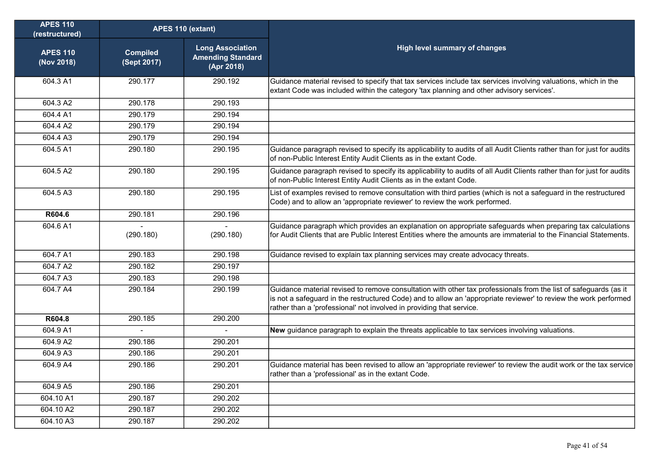| <b>APES 110</b><br>(restructured) | APES 110 (extant)              |                                                                   |                                                                                                                                                                                                                                                                                                              |
|-----------------------------------|--------------------------------|-------------------------------------------------------------------|--------------------------------------------------------------------------------------------------------------------------------------------------------------------------------------------------------------------------------------------------------------------------------------------------------------|
| <b>APES 110</b><br>(Nov 2018)     | <b>Compiled</b><br>(Sept 2017) | <b>Long Association</b><br><b>Amending Standard</b><br>(Apr 2018) | <b>High level summary of changes</b>                                                                                                                                                                                                                                                                         |
| 604.3 A1                          | 290.177                        | 290.192                                                           | Guidance material revised to specify that tax services include tax services involving valuations, which in the<br>extant Code was included within the category 'tax planning and other advisory services'.                                                                                                   |
| 604.3 A2                          | 290.178                        | 290.193                                                           |                                                                                                                                                                                                                                                                                                              |
| 604.4 A1                          | 290.179                        | 290.194                                                           |                                                                                                                                                                                                                                                                                                              |
| 604.4 A2                          | 290.179                        | 290.194                                                           |                                                                                                                                                                                                                                                                                                              |
| 604.4 A3                          | 290.179                        | 290.194                                                           |                                                                                                                                                                                                                                                                                                              |
| 604.5 A1                          | 290.180                        | 290.195                                                           | Guidance paragraph revised to specify its applicability to audits of all Audit Clients rather than for just for audits<br>of non-Public Interest Entity Audit Clients as in the extant Code.                                                                                                                 |
| 604.5 A2                          | 290.180                        | 290.195                                                           | Guidance paragraph revised to specify its applicability to audits of all Audit Clients rather than for just for audits<br>of non-Public Interest Entity Audit Clients as in the extant Code.                                                                                                                 |
| 604.5 A3                          | 290.180                        | 290.195                                                           | List of examples revised to remove consultation with third parties (which is not a safeguard in the restructured<br>Code) and to allow an 'appropriate reviewer' to review the work performed.                                                                                                               |
| R604.6                            | 290.181                        | 290.196                                                           |                                                                                                                                                                                                                                                                                                              |
| 604.6 A1                          | (290.180)                      | (290.180)                                                         | Guidance paragraph which provides an explanation on appropriate safeguards when preparing tax calculations<br>for Audit Clients that are Public Interest Entities where the amounts are immaterial to the Financial Statements.                                                                              |
| 604.7 A1                          | 290.183                        | 290.198                                                           | Guidance revised to explain tax planning services may create advocacy threats.                                                                                                                                                                                                                               |
| 604.7 A2                          | 290.182                        | 290.197                                                           |                                                                                                                                                                                                                                                                                                              |
| 604.7 A3                          | 290.183                        | 290.198                                                           |                                                                                                                                                                                                                                                                                                              |
| 604.7 A4                          | 290.184                        | 290.199                                                           | Guidance material revised to remove consultation with other tax professionals from the list of safeguards (as it<br>is not a safeguard in the restructured Code) and to allow an 'appropriate reviewer' to review the work performed<br>rather than a 'professional' not involved in providing that service. |
| R604.8                            | 290.185                        | 290.200                                                           |                                                                                                                                                                                                                                                                                                              |
| 604.9 A1                          |                                |                                                                   | New guidance paragraph to explain the threats applicable to tax services involving valuations.                                                                                                                                                                                                               |
| 604.9 A2                          | 290.186                        | 290.201                                                           |                                                                                                                                                                                                                                                                                                              |
| 604.9 A3                          | 290.186                        | 290.201                                                           |                                                                                                                                                                                                                                                                                                              |
| 604.9 A4                          | 290.186                        | 290.201                                                           | Guidance material has been revised to allow an 'appropriate reviewer' to review the audit work or the tax service<br>rather than a 'professional' as in the extant Code.                                                                                                                                     |
| 604.9 A5                          | 290.186                        | 290.201                                                           |                                                                                                                                                                                                                                                                                                              |
| 604.10 A1                         | 290.187                        | 290.202                                                           |                                                                                                                                                                                                                                                                                                              |
| 604.10 A2                         | 290.187                        | 290.202                                                           |                                                                                                                                                                                                                                                                                                              |
| 604.10 A3                         | 290.187                        | 290.202                                                           |                                                                                                                                                                                                                                                                                                              |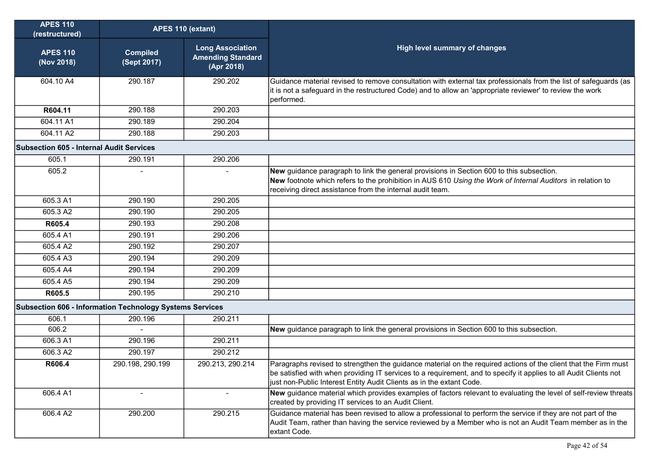| <b>APES 110</b><br>(restructured)                        | APES 110 (extant)              |                                                                   |                                                                                                                                                                                                                                                                                                              |
|----------------------------------------------------------|--------------------------------|-------------------------------------------------------------------|--------------------------------------------------------------------------------------------------------------------------------------------------------------------------------------------------------------------------------------------------------------------------------------------------------------|
| <b>APES 110</b><br>(Nov 2018)                            | <b>Compiled</b><br>(Sept 2017) | <b>Long Association</b><br><b>Amending Standard</b><br>(Apr 2018) | <b>High level summary of changes</b>                                                                                                                                                                                                                                                                         |
| 604.10 A4                                                | 290.187                        | 290.202                                                           | Guidance material revised to remove consultation with external tax professionals from the list of safeguards (as<br>it is not a safeguard in the restructured Code) and to allow an 'appropriate reviewer' to review the work<br>performed.                                                                  |
| R604.11                                                  | 290.188                        | 290.203                                                           |                                                                                                                                                                                                                                                                                                              |
| 604.11 A1                                                | 290.189                        | 290.204                                                           |                                                                                                                                                                                                                                                                                                              |
| 604.11 A2                                                | 290.188                        | 290.203                                                           |                                                                                                                                                                                                                                                                                                              |
| <b>Subsection 605 - Internal Audit Services</b>          |                                |                                                                   |                                                                                                                                                                                                                                                                                                              |
| 605.1                                                    | 290.191                        | 290.206                                                           |                                                                                                                                                                                                                                                                                                              |
| 605.2                                                    |                                |                                                                   | New guidance paragraph to link the general provisions in Section 600 to this subsection.<br>New footnote which refers to the prohibition in AUS 610 Using the Work of Internal Auditors in relation to<br>receiving direct assistance from the internal audit team.                                          |
| 605.3 A1                                                 | 290.190                        | 290.205                                                           |                                                                                                                                                                                                                                                                                                              |
| 605.3 A2                                                 | 290.190                        | 290.205                                                           |                                                                                                                                                                                                                                                                                                              |
| R605.4                                                   | 290.193                        | 290.208                                                           |                                                                                                                                                                                                                                                                                                              |
| 605.4 A1                                                 | 290.191                        | 290.206                                                           |                                                                                                                                                                                                                                                                                                              |
| 605.4 A2                                                 | 290.192                        | 290.207                                                           |                                                                                                                                                                                                                                                                                                              |
| 605.4 A3                                                 | 290.194                        | 290.209                                                           |                                                                                                                                                                                                                                                                                                              |
| 605.4 A4                                                 | 290.194                        | 290.209                                                           |                                                                                                                                                                                                                                                                                                              |
| 605.4 A5                                                 | 290.194                        | 290.209                                                           |                                                                                                                                                                                                                                                                                                              |
| R605.5                                                   | 290.195                        | 290.210                                                           |                                                                                                                                                                                                                                                                                                              |
| Subsection 606 - Information Technology Systems Services |                                |                                                                   |                                                                                                                                                                                                                                                                                                              |
| 606.1                                                    | 290.196                        | 290.211                                                           |                                                                                                                                                                                                                                                                                                              |
| 606.2                                                    |                                |                                                                   | New guidance paragraph to link the general provisions in Section 600 to this subsection.                                                                                                                                                                                                                     |
| 606.3 A1                                                 | 290.196                        | 290.211                                                           |                                                                                                                                                                                                                                                                                                              |
| 606.3 A2                                                 | 290.197                        | 290.212                                                           |                                                                                                                                                                                                                                                                                                              |
| R606.4                                                   | 290.198, 290.199               | 290.213, 290.214                                                  | Paragraphs revised to strengthen the guidance material on the required actions of the client that the Firm must<br>be satisfied with when providing IT services to a requirement, and to specify it applies to all Audit Clients not<br>just non-Public Interest Entity Audit Clients as in the extant Code. |
| 606.4 A1                                                 |                                | $\blacksquare$                                                    | New guidance material which provides examples of factors relevant to evaluating the level of self-review threats<br>created by providing IT services to an Audit Client.                                                                                                                                     |
| 606.4 A2                                                 | 290.200                        | 290.215                                                           | Guidance material has been revised to allow a professional to perform the service if they are not part of the<br>Audit Team, rather than having the service reviewed by a Member who is not an Audit Team member as in the<br>extant Code.                                                                   |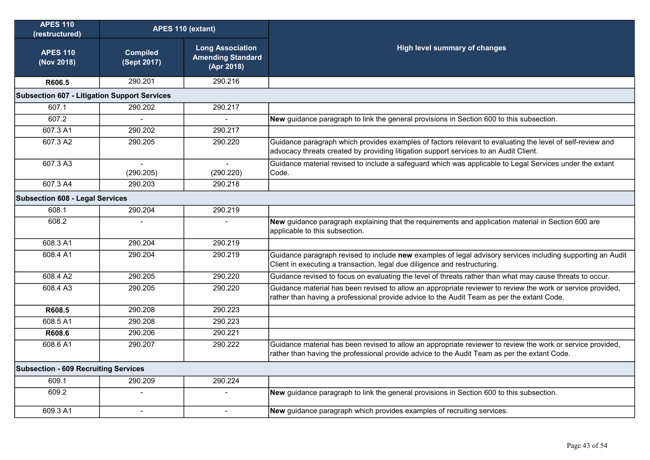| <b>APES 110</b><br>(restructured)                   | APES 110 (extant)              |                                                                   |                                                                                                                                                                                                             |
|-----------------------------------------------------|--------------------------------|-------------------------------------------------------------------|-------------------------------------------------------------------------------------------------------------------------------------------------------------------------------------------------------------|
| <b>APES 110</b><br>(Nov 2018)                       | <b>Compiled</b><br>(Sept 2017) | <b>Long Association</b><br><b>Amending Standard</b><br>(Apr 2018) | High level summary of changes                                                                                                                                                                               |
| R606.5                                              | 290.201                        | 290.216                                                           |                                                                                                                                                                                                             |
| <b>Subsection 607 - Litigation Support Services</b> |                                |                                                                   |                                                                                                                                                                                                             |
| 607.1                                               | 290.202                        | 290.217                                                           |                                                                                                                                                                                                             |
| 607.2                                               | $\mathbf{r}$                   | $\overline{a}$                                                    | New guidance paragraph to link the general provisions in Section 600 to this subsection.                                                                                                                    |
| 607.3 A1                                            | 290.202                        | 290.217                                                           |                                                                                                                                                                                                             |
| 607.3 A2                                            | 290.205                        | 290.220                                                           | Guidance paragraph which provides examples of factors relevant to evaluating the level of self-review and<br>advocacy threats created by providing litigation support services to an Audit Client.          |
| 607.3 A3                                            | $\overline{a}$<br>(290.205)    | $\sim$<br>(290.220)                                               | Guidance material revised to include a safeguard which was applicable to Legal Services under the extant<br>Code.                                                                                           |
| 607.3 A4                                            | 290.203                        | 290.218                                                           |                                                                                                                                                                                                             |
| <b>Subsection 608 - Legal Services</b>              |                                |                                                                   |                                                                                                                                                                                                             |
| 608.1                                               | 290.204                        | 290.219                                                           |                                                                                                                                                                                                             |
| 608.2                                               |                                |                                                                   | New guidance paragraph explaining that the requirements and application material in Section 600 are<br>applicable to this subsection.                                                                       |
| 608.3 A1                                            | 290.204                        | 290.219                                                           |                                                                                                                                                                                                             |
| 608.4 A1                                            | 290.204                        | 290.219                                                           | Guidance paragraph revised to include new examples of legal advisory services including supporting an Audit<br>Client in executing a transaction, legal due diligence and restructuring.                    |
| 608.4 A2                                            | 290.205                        | 290.220                                                           | Guidance revised to focus on evaluating the level of threats rather than what may cause threats to occur.                                                                                                   |
| 608.4 A3                                            | 290.205                        | 290.220                                                           | Guidance material has been revised to allow an appropriate reviewer to review the work or service provided,<br>rather than having a professional provide advice to the Audit Team as per the extant Code.   |
| R608.5                                              | 290.208                        | 290.223                                                           |                                                                                                                                                                                                             |
| 608.5 A1                                            | 290.208                        | 290.223                                                           |                                                                                                                                                                                                             |
| R608.6                                              | 290.206                        | 290.221                                                           |                                                                                                                                                                                                             |
| 608.6 A1                                            | 290.207                        | 290.222                                                           | Guidance material has been revised to allow an appropriate reviewer to review the work or service provided,<br>rather than having the professional provide advice to the Audit Team as per the extant Code. |
| <b>Subsection - 609 Recruiting Services</b>         |                                |                                                                   |                                                                                                                                                                                                             |
| 609.1                                               | 290.209                        | 290.224                                                           |                                                                                                                                                                                                             |
| 609.2                                               |                                |                                                                   | New guidance paragraph to link the general provisions in Section 600 to this subsection.                                                                                                                    |
| 609.3 A1                                            | $\overline{a}$                 | $\sim$                                                            | New guidance paragraph which provides examples of recruiting services.                                                                                                                                      |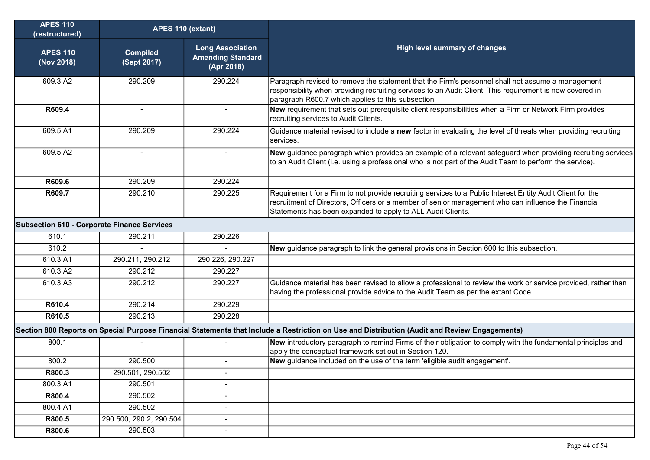| <b>APES 110</b><br>(restructured)                  | APES 110 (extant)              |                                                                   |                                                                                                                                                                                                                                                                                  |
|----------------------------------------------------|--------------------------------|-------------------------------------------------------------------|----------------------------------------------------------------------------------------------------------------------------------------------------------------------------------------------------------------------------------------------------------------------------------|
| <b>APES 110</b><br>(Nov 2018)                      | <b>Compiled</b><br>(Sept 2017) | <b>Long Association</b><br><b>Amending Standard</b><br>(Apr 2018) | <b>High level summary of changes</b>                                                                                                                                                                                                                                             |
| 609.3 A2                                           | 290.209                        | 290.224                                                           | Paragraph revised to remove the statement that the Firm's personnel shall not assume a management<br>responsibility when providing recruiting services to an Audit Client. This requirement is now covered in<br>paragraph R600.7 which applies to this subsection.              |
| R609.4                                             | $\blacksquare$                 | $\overline{\phantom{a}}$                                          | New requirement that sets out prerequisite client responsibilities when a Firm or Network Firm provides<br>recruiting services to Audit Clients.                                                                                                                                 |
| 609.5 A1                                           | 290.209                        | 290.224                                                           | Guidance material revised to include a new factor in evaluating the level of threats when providing recruiting<br>services.                                                                                                                                                      |
| 609.5 A2                                           |                                |                                                                   | New guidance paragraph which provides an example of a relevant safeguard when providing recruiting services<br>to an Audit Client (i.e. using a professional who is not part of the Audit Team to perform the service).                                                          |
| R609.6                                             | 290.209                        | 290.224                                                           |                                                                                                                                                                                                                                                                                  |
| R609.7                                             | 290.210                        | 290.225                                                           | Requirement for a Firm to not provide recruiting services to a Public Interest Entity Audit Client for the<br>recruitment of Directors, Officers or a member of senior management who can influence the Financial<br>Statements has been expanded to apply to ALL Audit Clients. |
| <b>Subsection 610 - Corporate Finance Services</b> |                                |                                                                   |                                                                                                                                                                                                                                                                                  |
| 610.1                                              | 290.211                        | 290.226                                                           |                                                                                                                                                                                                                                                                                  |
| 610.2                                              |                                |                                                                   | New guidance paragraph to link the general provisions in Section 600 to this subsection.                                                                                                                                                                                         |
| 610.3 A1                                           | 290.211, 290.212               | 290.226, 290.227                                                  |                                                                                                                                                                                                                                                                                  |
| 610.3 A2                                           | 290.212                        | 290.227                                                           |                                                                                                                                                                                                                                                                                  |
| 610.3 A3                                           | 290.212                        | 290.227                                                           | Guidance material has been revised to allow a professional to review the work or service provided, rather than<br>having the professional provide advice to the Audit Team as per the extant Code.                                                                               |
| R610.4                                             | 290.214                        | 290.229                                                           |                                                                                                                                                                                                                                                                                  |
| R610.5                                             | 290.213                        | 290.228                                                           |                                                                                                                                                                                                                                                                                  |
|                                                    |                                |                                                                   | Section 800 Reports on Special Purpose Financial Statements that Include a Restriction on Use and Distribution (Audit and Review Engagements)                                                                                                                                    |
| 800.1                                              |                                |                                                                   | New introductory paragraph to remind Firms of their obligation to comply with the fundamental principles and<br>apply the conceptual framework set out in Section 120.                                                                                                           |
| 800.2                                              | 290.500                        | $\overline{\phantom{a}}$                                          | New guidance included on the use of the term 'eligible audit engagement'.                                                                                                                                                                                                        |
| R800.3                                             | 290.501, 290.502               | $\blacksquare$                                                    |                                                                                                                                                                                                                                                                                  |
| 800.3 A1                                           | 290.501                        | $\blacksquare$                                                    |                                                                                                                                                                                                                                                                                  |
| R800.4                                             | 290.502                        | $\blacksquare$                                                    |                                                                                                                                                                                                                                                                                  |
| 800.4 A1                                           | 290.502                        | $\blacksquare$                                                    |                                                                                                                                                                                                                                                                                  |
| R800.5                                             | 290.500, 290.2, 290.504        | $\overline{\phantom{a}}$                                          |                                                                                                                                                                                                                                                                                  |
| R800.6                                             | 290.503                        | $\blacksquare$                                                    |                                                                                                                                                                                                                                                                                  |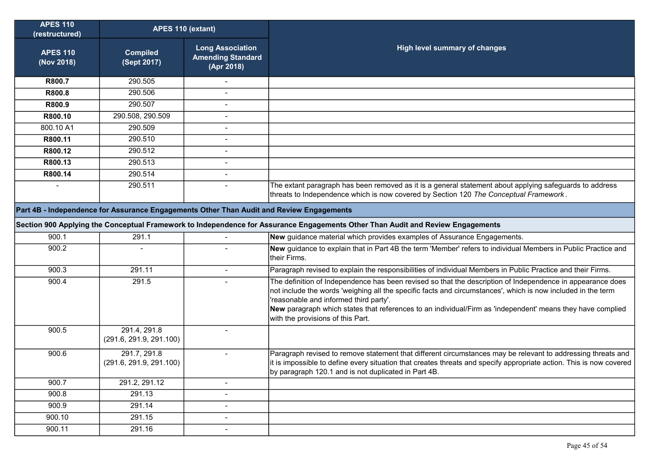| <b>APES 110</b><br>(restructured) | APES 110 (extant)                                                                        |                                                                   |                                                                                                                                                                                                                                                                                                                                                                                                                         |
|-----------------------------------|------------------------------------------------------------------------------------------|-------------------------------------------------------------------|-------------------------------------------------------------------------------------------------------------------------------------------------------------------------------------------------------------------------------------------------------------------------------------------------------------------------------------------------------------------------------------------------------------------------|
| <b>APES 110</b><br>(Nov 2018)     | <b>Compiled</b><br>(Sept 2017)                                                           | <b>Long Association</b><br><b>Amending Standard</b><br>(Apr 2018) | <b>High level summary of changes</b>                                                                                                                                                                                                                                                                                                                                                                                    |
| R800.7                            | 290.505                                                                                  |                                                                   |                                                                                                                                                                                                                                                                                                                                                                                                                         |
| R800.8                            | 290.506                                                                                  |                                                                   |                                                                                                                                                                                                                                                                                                                                                                                                                         |
| R800.9                            | 290.507                                                                                  | $\blacksquare$                                                    |                                                                                                                                                                                                                                                                                                                                                                                                                         |
| R800.10                           | 290.508, 290.509                                                                         |                                                                   |                                                                                                                                                                                                                                                                                                                                                                                                                         |
| 800.10 A1                         | 290.509                                                                                  | $\blacksquare$                                                    |                                                                                                                                                                                                                                                                                                                                                                                                                         |
| R800.11                           | 290.510                                                                                  | $\overline{\phantom{a}}$                                          |                                                                                                                                                                                                                                                                                                                                                                                                                         |
| R800.12                           | 290.512                                                                                  | $\blacksquare$                                                    |                                                                                                                                                                                                                                                                                                                                                                                                                         |
| R800.13                           | 290.513                                                                                  |                                                                   |                                                                                                                                                                                                                                                                                                                                                                                                                         |
| R800.14                           | 290.514                                                                                  | $\blacksquare$                                                    |                                                                                                                                                                                                                                                                                                                                                                                                                         |
|                                   | 290.511                                                                                  |                                                                   | The extant paragraph has been removed as it is a general statement about applying safeguards to address<br>threats to Independence which is now covered by Section 120 The Conceptual Framework.                                                                                                                                                                                                                        |
|                                   | Part 4B - Independence for Assurance Engagements Other Than Audit and Review Engagements |                                                                   |                                                                                                                                                                                                                                                                                                                                                                                                                         |
|                                   |                                                                                          |                                                                   | Section 900 Applying the Conceptual Framework to Independence for Assurance Engagements Other Than Audit and Review Engagements                                                                                                                                                                                                                                                                                         |
| 900.1                             | 291.1                                                                                    |                                                                   | New guidance material which provides examples of Assurance Engagements.                                                                                                                                                                                                                                                                                                                                                 |
| 900.2                             |                                                                                          |                                                                   | New guidance to explain that in Part 4B the term 'Member' refers to individual Members in Public Practice and                                                                                                                                                                                                                                                                                                           |
|                                   |                                                                                          |                                                                   | their Firms.                                                                                                                                                                                                                                                                                                                                                                                                            |
| 900.3                             | 291.11                                                                                   | $\blacksquare$                                                    | Paragraph revised to explain the responsibilities of individual Members in Public Practice and their Firms.                                                                                                                                                                                                                                                                                                             |
| 900.4                             | 291.5                                                                                    |                                                                   | The definition of Independence has been revised so that the description of Independence in appearance does<br>not include the words 'weighing all the specific facts and circumstances', which is now included in the term<br>'reasonable and informed third party'.<br>New paragraph which states that references to an individual/Firm as 'independent' means they have complied<br>with the provisions of this Part. |
| 900.5                             | 291.4, 291.8<br>(291.6, 291.9, 291.100)                                                  |                                                                   |                                                                                                                                                                                                                                                                                                                                                                                                                         |
| 900.6                             | 291.7, 291.8<br>(291.6, 291.9, 291.100)                                                  | $\blacksquare$                                                    | Paragraph revised to remove statement that different circumstances may be relevant to addressing threats and<br>it is impossible to define every situation that creates threats and specify appropriate action. This is now covered<br>by paragraph 120.1 and is not duplicated in Part 4B.                                                                                                                             |
| 900.7                             | 291.2, 291.12                                                                            | $\overline{\phantom{a}}$                                          |                                                                                                                                                                                                                                                                                                                                                                                                                         |
| 900.8                             | 291.13                                                                                   | $\overline{\phantom{a}}$                                          |                                                                                                                                                                                                                                                                                                                                                                                                                         |
| 900.9                             | 291.14                                                                                   | $\blacksquare$                                                    |                                                                                                                                                                                                                                                                                                                                                                                                                         |
| 900.10                            | 291.15                                                                                   | $\overline{\phantom{a}}$                                          |                                                                                                                                                                                                                                                                                                                                                                                                                         |
| 900.11                            | 291.16                                                                                   | $\overline{\phantom{a}}$                                          |                                                                                                                                                                                                                                                                                                                                                                                                                         |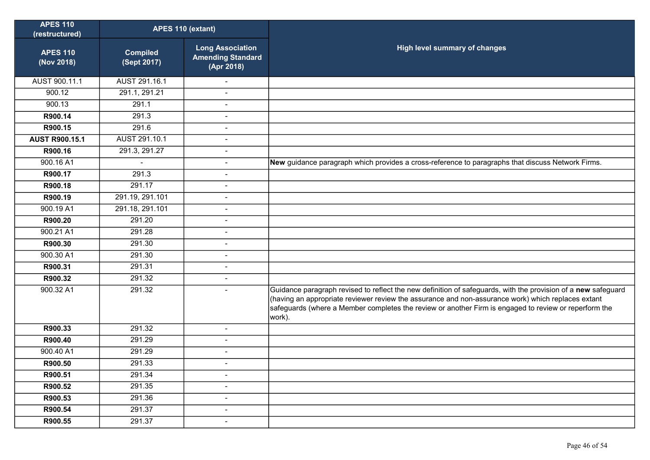| <b>APES 110</b><br>(restructured) | APES 110 (extant)              |                                                                   |                                                                                                                                                                                                                                                                                                                                        |
|-----------------------------------|--------------------------------|-------------------------------------------------------------------|----------------------------------------------------------------------------------------------------------------------------------------------------------------------------------------------------------------------------------------------------------------------------------------------------------------------------------------|
| <b>APES 110</b><br>(Nov 2018)     | <b>Compiled</b><br>(Sept 2017) | <b>Long Association</b><br><b>Amending Standard</b><br>(Apr 2018) | High level summary of changes                                                                                                                                                                                                                                                                                                          |
| AUST 900.11.1                     | AUST 291.16.1                  |                                                                   |                                                                                                                                                                                                                                                                                                                                        |
| 900.12                            | 291.1, 291.21                  | L.                                                                |                                                                                                                                                                                                                                                                                                                                        |
| 900.13                            | 291.1                          | $\blacksquare$                                                    |                                                                                                                                                                                                                                                                                                                                        |
| R900.14                           | 291.3                          | $\overline{a}$                                                    |                                                                                                                                                                                                                                                                                                                                        |
| R900.15                           | 291.6                          | $\overline{\phantom{a}}$                                          |                                                                                                                                                                                                                                                                                                                                        |
| <b>AUST R900.15.1</b>             | AUST 291.10.1                  | Ĭ.                                                                |                                                                                                                                                                                                                                                                                                                                        |
| R900.16                           | 291.3, 291.27                  | $\blacksquare$                                                    |                                                                                                                                                                                                                                                                                                                                        |
| 900.16 A1                         |                                | $\blacksquare$                                                    | New guidance paragraph which provides a cross-reference to paragraphs that discuss Network Firms.                                                                                                                                                                                                                                      |
| R900.17                           | 291.3                          | $\blacksquare$                                                    |                                                                                                                                                                                                                                                                                                                                        |
| R900.18                           | 291.17                         | $\overline{a}$                                                    |                                                                                                                                                                                                                                                                                                                                        |
| R900.19                           | 291.19, 291.101                | $\overline{\phantom{a}}$                                          |                                                                                                                                                                                                                                                                                                                                        |
| 900.19 A1                         | 291.18, 291.101                | $\overline{a}$                                                    |                                                                                                                                                                                                                                                                                                                                        |
| R900.20                           | 291.20                         | $\sim$                                                            |                                                                                                                                                                                                                                                                                                                                        |
| 900.21 A1                         | 291.28                         | $\blacksquare$                                                    |                                                                                                                                                                                                                                                                                                                                        |
| R900.30                           | 291.30                         | $\blacksquare$                                                    |                                                                                                                                                                                                                                                                                                                                        |
| 900.30 A1                         | 291.30                         | $\blacksquare$                                                    |                                                                                                                                                                                                                                                                                                                                        |
| R900.31                           | 291.31                         | $\sim$                                                            |                                                                                                                                                                                                                                                                                                                                        |
| R900.32                           | 291.32                         | $\blacksquare$                                                    |                                                                                                                                                                                                                                                                                                                                        |
| 900.32 A1                         | 291.32                         | $\overline{a}$                                                    | Guidance paragraph revised to reflect the new definition of safeguards, with the provision of a new safeguard<br>(having an appropriate reviewer review the assurance and non-assurance work) which replaces extant<br>safeguards (where a Member completes the review or another Firm is engaged to review or reperform the<br>work). |
| R900.33                           | 291.32                         | $\blacksquare$                                                    |                                                                                                                                                                                                                                                                                                                                        |
| R900.40                           | 291.29                         | Ĭ.                                                                |                                                                                                                                                                                                                                                                                                                                        |
| 900.40 A1                         | 291.29                         | $\overline{a}$                                                    |                                                                                                                                                                                                                                                                                                                                        |
| R900.50                           | 291.33                         | $\blacksquare$                                                    |                                                                                                                                                                                                                                                                                                                                        |
| R900.51                           | 291.34                         | $\blacksquare$                                                    |                                                                                                                                                                                                                                                                                                                                        |
| R900.52                           | 291.35                         | $\overline{\phantom{a}}$                                          |                                                                                                                                                                                                                                                                                                                                        |
| R900.53                           | 291.36                         | $\overline{a}$                                                    |                                                                                                                                                                                                                                                                                                                                        |
| R900.54                           | 291.37                         | $\blacksquare$                                                    |                                                                                                                                                                                                                                                                                                                                        |
| R900.55                           | 291.37                         | $\blacksquare$                                                    |                                                                                                                                                                                                                                                                                                                                        |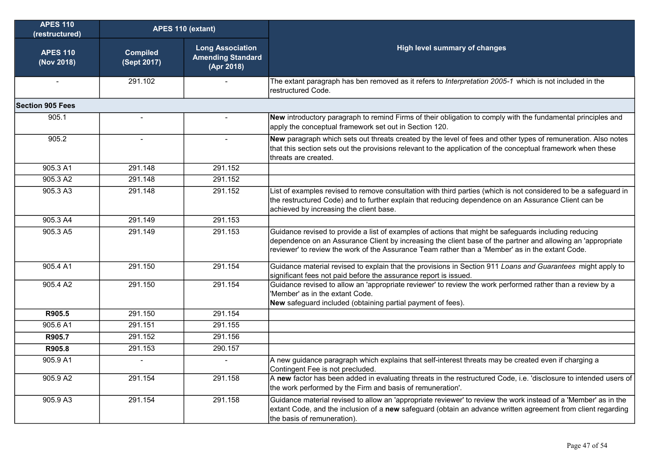| <b>APES 110</b><br>(restructured) | APES 110 (extant)              |                                                                   |                                                                                                                                                                                                                                                                                                                          |
|-----------------------------------|--------------------------------|-------------------------------------------------------------------|--------------------------------------------------------------------------------------------------------------------------------------------------------------------------------------------------------------------------------------------------------------------------------------------------------------------------|
| <b>APES 110</b><br>(Nov 2018)     | <b>Compiled</b><br>(Sept 2017) | <b>Long Association</b><br><b>Amending Standard</b><br>(Apr 2018) | High level summary of changes                                                                                                                                                                                                                                                                                            |
| $\blacksquare$                    | 291.102                        |                                                                   | The extant paragraph has ben removed as it refers to Interpretation 2005-1 which is not included in the<br>restructured Code.                                                                                                                                                                                            |
| <b>Section 905 Fees</b>           |                                |                                                                   |                                                                                                                                                                                                                                                                                                                          |
| 905.1                             | $\overline{\phantom{a}}$       |                                                                   | New introductory paragraph to remind Firms of their obligation to comply with the fundamental principles and<br>apply the conceptual framework set out in Section 120.                                                                                                                                                   |
| 905.2                             |                                |                                                                   | New paragraph which sets out threats created by the level of fees and other types of remuneration. Also notes<br>that this section sets out the provisions relevant to the application of the conceptual framework when these<br>threats are created.                                                                    |
| 905.3 A1                          | 291.148                        | 291.152                                                           |                                                                                                                                                                                                                                                                                                                          |
| 905.3 A2                          | 291.148                        | 291.152                                                           |                                                                                                                                                                                                                                                                                                                          |
| 905.3 A3                          | 291.148                        | 291.152                                                           | List of examples revised to remove consultation with third parties (which is not considered to be a safeguard in<br>the restructured Code) and to further explain that reducing dependence on an Assurance Client can be<br>achieved by increasing the client base.                                                      |
| 905.3 A4                          | 291.149                        | 291.153                                                           |                                                                                                                                                                                                                                                                                                                          |
| 905.3 A5                          | 291.149                        | 291.153                                                           | Guidance revised to provide a list of examples of actions that might be safeguards including reducing<br>dependence on an Assurance Client by increasing the client base of the partner and allowing an 'appropriate<br>reviewer' to review the work of the Assurance Team rather than a 'Member' as in the extant Code. |
| 905.4 A1                          | 291.150                        | 291.154                                                           | Guidance material revised to explain that the provisions in Section 911 Loans and Guarantees might apply to<br>significant fees not paid before the assurance report is issued.                                                                                                                                          |
| 905.4 A2                          | 291.150                        | 291.154                                                           | Guidance revised to allow an 'appropriate reviewer' to review the work performed rather than a review by a<br>'Member' as in the extant Code.<br>New safeguard included (obtaining partial payment of fees).                                                                                                             |
| R905.5                            | 291.150                        | 291.154                                                           |                                                                                                                                                                                                                                                                                                                          |
| 905.6 A1                          | 291.151                        | 291.155                                                           |                                                                                                                                                                                                                                                                                                                          |
| R905.7                            | 291.152                        | 291.156                                                           |                                                                                                                                                                                                                                                                                                                          |
| R905.8                            | 291.153                        | 290.157                                                           |                                                                                                                                                                                                                                                                                                                          |
| 905.9 A1                          | $\blacksquare$                 | $\sim$                                                            | A new guidance paragraph which explains that self-interest threats may be created even if charging a<br>Contingent Fee is not precluded.                                                                                                                                                                                 |
| 905.9 A2                          | 291.154                        | 291.158                                                           | A new factor has been added in evaluating threats in the restructured Code, i.e. 'disclosure to intended users of<br>the work performed by the Firm and basis of remuneration'.                                                                                                                                          |
| 905.9 A3                          | 291.154                        | 291.158                                                           | Guidance material revised to allow an 'appropriate reviewer' to review the work instead of a 'Member' as in the<br>extant Code, and the inclusion of a new safeguard (obtain an advance written agreement from client regarding<br>the basis of remuneration).                                                           |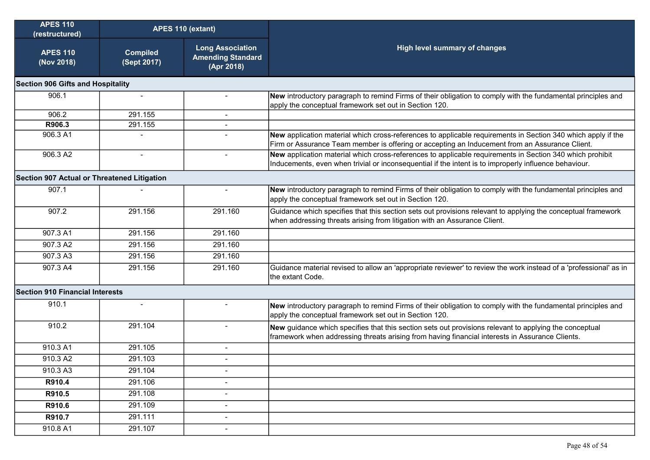| <b>APES 110</b><br>(restructured)                  |                                | APES 110 (extant)                                                 |                                                                                                                                                                                                                   |
|----------------------------------------------------|--------------------------------|-------------------------------------------------------------------|-------------------------------------------------------------------------------------------------------------------------------------------------------------------------------------------------------------------|
| <b>APES 110</b><br>(Nov 2018)                      | <b>Compiled</b><br>(Sept 2017) | <b>Long Association</b><br><b>Amending Standard</b><br>(Apr 2018) | High level summary of changes                                                                                                                                                                                     |
| <b>Section 906 Gifts and Hospitality</b>           |                                |                                                                   |                                                                                                                                                                                                                   |
| 906.1                                              | $\blacksquare$                 |                                                                   | New introductory paragraph to remind Firms of their obligation to comply with the fundamental principles and<br>apply the conceptual framework set out in Section 120.                                            |
| 906.2                                              | 291.155                        |                                                                   |                                                                                                                                                                                                                   |
| R906.3                                             | 291.155                        |                                                                   |                                                                                                                                                                                                                   |
| 906.3 A1                                           |                                |                                                                   | New application material which cross-references to applicable requirements in Section 340 which apply if the<br>Firm or Assurance Team member is offering or accepting an Inducement from an Assurance Client.    |
| 906.3 A2                                           | $\overline{\phantom{a}}$       | $\blacksquare$                                                    | New application material which cross-references to applicable requirements in Section 340 which prohibit<br>Inducements, even when trivial or inconsequential if the intent is to improperly influence behaviour. |
| <b>Section 907 Actual or Threatened Litigation</b> |                                |                                                                   |                                                                                                                                                                                                                   |
| 907.1                                              |                                |                                                                   | New introductory paragraph to remind Firms of their obligation to comply with the fundamental principles and<br>apply the conceptual framework set out in Section 120.                                            |
| 907.2                                              | 291.156                        | 291.160                                                           | Guidance which specifies that this section sets out provisions relevant to applying the conceptual framework<br>when addressing threats arising from litigation with an Assurance Client.                         |
| 907.3 A1                                           | 291.156                        | 291.160                                                           |                                                                                                                                                                                                                   |
| 907.3 A2                                           | 291.156                        | 291.160                                                           |                                                                                                                                                                                                                   |
| 907.3 A3                                           | 291.156                        | 291.160                                                           |                                                                                                                                                                                                                   |
| 907.3 A4                                           | 291.156                        | 291.160                                                           | Guidance material revised to allow an 'appropriate reviewer' to review the work instead of a 'professional' as in<br>the extant Code.                                                                             |
| <b>Section 910 Financial Interests</b>             |                                |                                                                   |                                                                                                                                                                                                                   |
| 910.1                                              |                                |                                                                   | New introductory paragraph to remind Firms of their obligation to comply with the fundamental principles and<br>apply the conceptual framework set out in Section 120.                                            |
| 910.2                                              | 291.104                        | $\blacksquare$                                                    | New guidance which specifies that this section sets out provisions relevant to applying the conceptual<br>framework when addressing threats arising from having financial interests in Assurance Clients.         |
| 910.3 A1                                           | 291.105                        | $\blacksquare$                                                    |                                                                                                                                                                                                                   |
| 910.3 A2                                           | 291.103                        | $\blacksquare$                                                    |                                                                                                                                                                                                                   |
| 910.3 A3                                           | 291.104                        | $\blacksquare$                                                    |                                                                                                                                                                                                                   |
| R910.4                                             | 291.106                        | $\blacksquare$                                                    |                                                                                                                                                                                                                   |
| R910.5                                             | 291.108                        | $\overline{\phantom{a}}$                                          |                                                                                                                                                                                                                   |
| R910.6                                             | 291.109                        | $\blacksquare$                                                    |                                                                                                                                                                                                                   |
| R910.7                                             | 291.111                        | $\blacksquare$                                                    |                                                                                                                                                                                                                   |
| 910.8 A1                                           | 291.107                        | $\overline{\phantom{a}}$                                          |                                                                                                                                                                                                                   |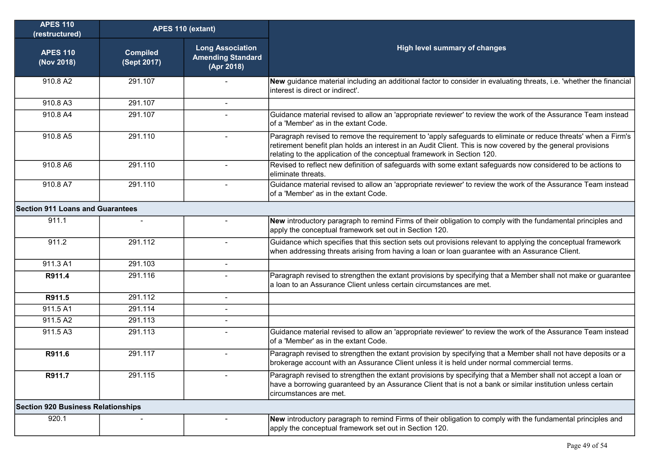| <b>APES 110</b><br>(restructured)         | APES 110 (extant)              |                                                                   |                                                                                                                                                                                                                                                                                                          |
|-------------------------------------------|--------------------------------|-------------------------------------------------------------------|----------------------------------------------------------------------------------------------------------------------------------------------------------------------------------------------------------------------------------------------------------------------------------------------------------|
| <b>APES 110</b><br>(Nov 2018)             | <b>Compiled</b><br>(Sept 2017) | <b>Long Association</b><br><b>Amending Standard</b><br>(Apr 2018) | <b>High level summary of changes</b>                                                                                                                                                                                                                                                                     |
| 910.8 A2                                  | 291.107                        |                                                                   | New guidance material including an additional factor to consider in evaluating threats, i.e. 'whether the financial<br>interest is direct or indirect'.                                                                                                                                                  |
| 910.8 A3                                  | 291.107                        |                                                                   |                                                                                                                                                                                                                                                                                                          |
| 910.8 A4                                  | 291.107                        |                                                                   | Guidance material revised to allow an 'appropriate reviewer' to review the work of the Assurance Team instead<br>of a 'Member' as in the extant Code.                                                                                                                                                    |
| 910.8 A5                                  | 291.110                        | $\blacksquare$                                                    | Paragraph revised to remove the requirement to 'apply safeguards to eliminate or reduce threats' when a Firm's<br>retirement benefit plan holds an interest in an Audit Client. This is now covered by the general provisions<br>relating to the application of the conceptual framework in Section 120. |
| 910.8 A6                                  | 291.110                        | $\sim$                                                            | Revised to reflect new definition of safeguards with some extant safeguards now considered to be actions to<br>eliminate threats.                                                                                                                                                                        |
| 910.8 A7                                  | 291.110                        | $\overline{a}$                                                    | Guidance material revised to allow an 'appropriate reviewer' to review the work of the Assurance Team instead<br>of a 'Member' as in the extant Code.                                                                                                                                                    |
| <b>Section 911 Loans and Guarantees</b>   |                                |                                                                   |                                                                                                                                                                                                                                                                                                          |
| 911.1                                     | $\sim$                         |                                                                   | New introductory paragraph to remind Firms of their obligation to comply with the fundamental principles and<br>apply the conceptual framework set out in Section 120.                                                                                                                                   |
| 911.2                                     | 291.112                        | $\overline{a}$                                                    | Guidance which specifies that this section sets out provisions relevant to applying the conceptual framework<br>when addressing threats arising from having a loan or loan guarantee with an Assurance Client.                                                                                           |
| 911.3 A1                                  | 291.103                        | $\sim$                                                            |                                                                                                                                                                                                                                                                                                          |
| R911.4                                    | 291.116                        |                                                                   | Paragraph revised to strengthen the extant provisions by specifying that a Member shall not make or guarantee<br>a loan to an Assurance Client unless certain circumstances are met.                                                                                                                     |
| R911.5                                    | 291.112                        | $\blacksquare$                                                    |                                                                                                                                                                                                                                                                                                          |
| 911.5 A1                                  | 291.114                        |                                                                   |                                                                                                                                                                                                                                                                                                          |
| 911.5 A2                                  | 291.113                        |                                                                   |                                                                                                                                                                                                                                                                                                          |
| 911.5 A3                                  | 291.113                        | $\blacksquare$                                                    | Guidance material revised to allow an 'appropriate reviewer' to review the work of the Assurance Team instead<br>of a 'Member' as in the extant Code.                                                                                                                                                    |
| R911.6                                    | 291.117                        |                                                                   | Paragraph revised to strengthen the extant provision by specifying that a Member shall not have deposits or a<br>brokerage account with an Assurance Client unless it is held under normal commercial terms.                                                                                             |
| R911.7                                    | 291.115                        |                                                                   | Paragraph revised to strengthen the extant provisions by specifying that a Member shall not accept a loan or<br>have a borrowing guaranteed by an Assurance Client that is not a bank or similar institution unless certain<br>circumstances are met.                                                    |
| <b>Section 920 Business Relationships</b> |                                |                                                                   |                                                                                                                                                                                                                                                                                                          |
| 920.1                                     |                                |                                                                   | New introductory paragraph to remind Firms of their obligation to comply with the fundamental principles and<br>apply the conceptual framework set out in Section 120.                                                                                                                                   |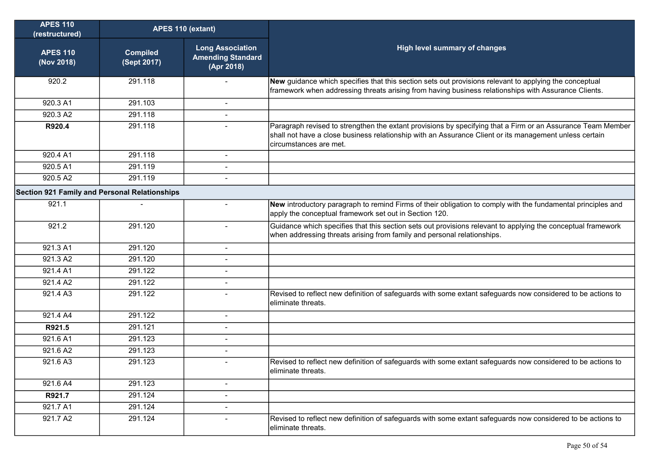| <b>APES 110</b><br>(restructured)             | APES 110 (extant)              |                                                                   |                                                                                                                                                                                                                                                 |
|-----------------------------------------------|--------------------------------|-------------------------------------------------------------------|-------------------------------------------------------------------------------------------------------------------------------------------------------------------------------------------------------------------------------------------------|
| <b>APES 110</b><br>(Nov 2018)                 | <b>Compiled</b><br>(Sept 2017) | <b>Long Association</b><br><b>Amending Standard</b><br>(Apr 2018) | High level summary of changes                                                                                                                                                                                                                   |
| 920.2                                         | 291.118                        |                                                                   | New guidance which specifies that this section sets out provisions relevant to applying the conceptual<br>framework when addressing threats arising from having business relationships with Assurance Clients.                                  |
| 920.3 A1                                      | 291.103                        | $\blacksquare$                                                    |                                                                                                                                                                                                                                                 |
| 920.3 A2                                      | 291.118                        | $\blacksquare$                                                    |                                                                                                                                                                                                                                                 |
| R920.4                                        | 291.118                        |                                                                   | Paragraph revised to strengthen the extant provisions by specifying that a Firm or an Assurance Team Member<br>shall not have a close business relationship with an Assurance Client or its management unless certain<br>circumstances are met. |
| 920.4 A1                                      | 291.118                        | -                                                                 |                                                                                                                                                                                                                                                 |
| 920.5 A1                                      | 291.119                        | $\blacksquare$                                                    |                                                                                                                                                                                                                                                 |
| 920.5 A2                                      | 291.119                        | $\blacksquare$                                                    |                                                                                                                                                                                                                                                 |
| Section 921 Family and Personal Relationships |                                |                                                                   |                                                                                                                                                                                                                                                 |
| 921.1                                         |                                |                                                                   | New introductory paragraph to remind Firms of their obligation to comply with the fundamental principles and<br>apply the conceptual framework set out in Section 120.                                                                          |
| 921.2                                         | 291.120                        | $\sim$                                                            | Guidance which specifies that this section sets out provisions relevant to applying the conceptual framework<br>when addressing threats arising from family and personal relationships.                                                         |
| 921.3 A1                                      | 291.120                        | $\blacksquare$                                                    |                                                                                                                                                                                                                                                 |
| 921.3 A2                                      | 291.120                        | $\mathbf{r}$                                                      |                                                                                                                                                                                                                                                 |
| 921.4 A1                                      | 291.122                        | $\blacksquare$                                                    |                                                                                                                                                                                                                                                 |
| 921.4 A2                                      | 291.122                        | $\blacksquare$                                                    |                                                                                                                                                                                                                                                 |
| 921.4 A3                                      | 291.122                        |                                                                   | Revised to reflect new definition of safeguards with some extant safeguards now considered to be actions to<br>eliminate threats.                                                                                                               |
| 921.4 A4                                      | 291.122                        | $\blacksquare$                                                    |                                                                                                                                                                                                                                                 |
| R921.5                                        | 291.121                        | $\blacksquare$                                                    |                                                                                                                                                                                                                                                 |
| 921.6 A1                                      | 291.123                        |                                                                   |                                                                                                                                                                                                                                                 |
| 921.6 A2                                      | 291.123                        | $\blacksquare$                                                    |                                                                                                                                                                                                                                                 |
| 921.6 A3                                      | 291.123                        | $\blacksquare$                                                    | Revised to reflect new definition of safeguards with some extant safeguards now considered to be actions to<br>eliminate threats.                                                                                                               |
| 921.6 A4                                      | 291.123                        | -                                                                 |                                                                                                                                                                                                                                                 |
| R921.7                                        | 291.124                        | ÷                                                                 |                                                                                                                                                                                                                                                 |
| 921.7 A1                                      | 291.124                        | $\overline{\phantom{0}}$                                          |                                                                                                                                                                                                                                                 |
| 921.7 A2                                      | 291.124                        |                                                                   | Revised to reflect new definition of safeguards with some extant safeguards now considered to be actions to<br>eliminate threats.                                                                                                               |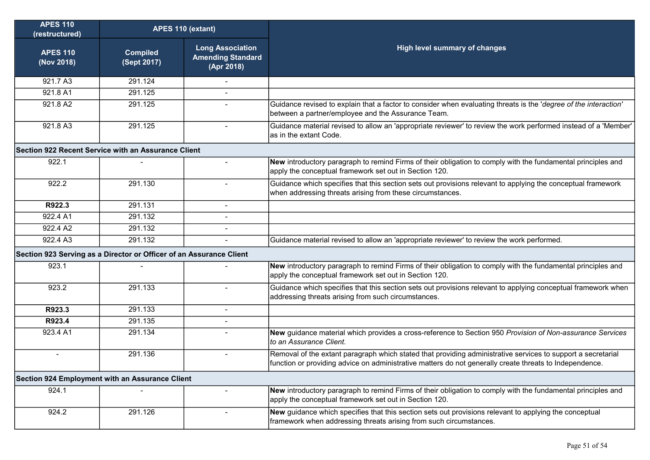| <b>APES 110</b><br>(restructured)                   | APES 110 (extant)                                                   |                                                                   |                                                                                                                                                                                                                         |  |
|-----------------------------------------------------|---------------------------------------------------------------------|-------------------------------------------------------------------|-------------------------------------------------------------------------------------------------------------------------------------------------------------------------------------------------------------------------|--|
| <b>APES 110</b><br>(Nov 2018)                       | <b>Compiled</b><br>(Sept 2017)                                      | <b>Long Association</b><br><b>Amending Standard</b><br>(Apr 2018) | High level summary of changes                                                                                                                                                                                           |  |
| 921.7 A3                                            | 291.124                                                             |                                                                   |                                                                                                                                                                                                                         |  |
| 921.8 A1                                            | 291.125                                                             |                                                                   |                                                                                                                                                                                                                         |  |
| 921.8 A2                                            | 291.125                                                             |                                                                   | Guidance revised to explain that a factor to consider when evaluating threats is the 'degree of the interaction'<br>between a partner/employee and the Assurance Team.                                                  |  |
| 921.8 A3                                            | 291.125                                                             |                                                                   | Guidance material revised to allow an 'appropriate reviewer' to review the work performed instead of a 'Member'<br>as in the extant Code.                                                                               |  |
| Section 922 Recent Service with an Assurance Client |                                                                     |                                                                   |                                                                                                                                                                                                                         |  |
| 922.1                                               |                                                                     | $\blacksquare$                                                    | New introductory paragraph to remind Firms of their obligation to comply with the fundamental principles and<br>apply the conceptual framework set out in Section 120.                                                  |  |
| 922.2                                               | 291.130                                                             | $\blacksquare$                                                    | Guidance which specifies that this section sets out provisions relevant to applying the conceptual framework<br>when addressing threats arising from these circumstances.                                               |  |
| R922.3                                              | 291.131                                                             | $\blacksquare$                                                    |                                                                                                                                                                                                                         |  |
| 922.4 A1                                            | 291.132                                                             | $\blacksquare$                                                    |                                                                                                                                                                                                                         |  |
| 922.4 A2                                            | 291.132                                                             |                                                                   |                                                                                                                                                                                                                         |  |
| 922.4 A3                                            | 291.132                                                             | $\blacksquare$                                                    | Guidance material revised to allow an 'appropriate reviewer' to review the work performed.                                                                                                                              |  |
|                                                     | Section 923 Serving as a Director or Officer of an Assurance Client |                                                                   |                                                                                                                                                                                                                         |  |
| 923.1                                               |                                                                     |                                                                   | New introductory paragraph to remind Firms of their obligation to comply with the fundamental principles and<br>apply the conceptual framework set out in Section 120.                                                  |  |
| 923.2                                               | 291.133                                                             |                                                                   | Guidance which specifies that this section sets out provisions relevant to applying conceptual framework when<br>addressing threats arising from such circumstances.                                                    |  |
| R923.3                                              | 291.133                                                             | $\overline{\phantom{0}}$                                          |                                                                                                                                                                                                                         |  |
| R923.4                                              | 291.135                                                             |                                                                   |                                                                                                                                                                                                                         |  |
| 923.4 A1                                            | 291.134                                                             |                                                                   | New guidance material which provides a cross-reference to Section 950 Provision of Non-assurance Services<br>to an Assurance Client.                                                                                    |  |
| ۰                                                   | 291.136                                                             | $\blacksquare$                                                    | Removal of the extant paragraph which stated that providing administrative services to support a secretarial<br>function or providing advice on administrative matters do not generally create threats to Independence. |  |
| Section 924 Employment with an Assurance Client     |                                                                     |                                                                   |                                                                                                                                                                                                                         |  |
| 924.1                                               |                                                                     |                                                                   | New introductory paragraph to remind Firms of their obligation to comply with the fundamental principles and<br>apply the conceptual framework set out in Section 120.                                                  |  |
| 924.2                                               | 291.126                                                             | $\blacksquare$                                                    | New guidance which specifies that this section sets out provisions relevant to applying the conceptual<br>framework when addressing threats arising from such circumstances.                                            |  |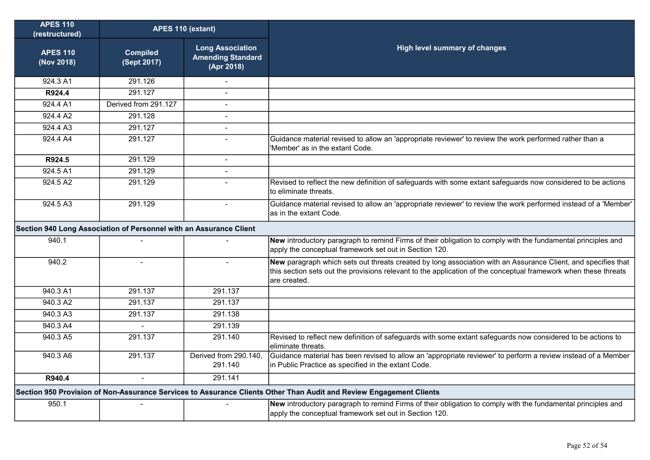| <b>APES 110</b><br>(restructured)                                                                                   | APES 110 (extant)              |                                                                   |                                                                                                                                                                                                                                                  |
|---------------------------------------------------------------------------------------------------------------------|--------------------------------|-------------------------------------------------------------------|--------------------------------------------------------------------------------------------------------------------------------------------------------------------------------------------------------------------------------------------------|
| <b>APES 110</b><br>(Nov 2018)                                                                                       | <b>Compiled</b><br>(Sept 2017) | <b>Long Association</b><br><b>Amending Standard</b><br>(Apr 2018) | <b>High level summary of changes</b>                                                                                                                                                                                                             |
| 924.3 A1                                                                                                            | 291.126                        |                                                                   |                                                                                                                                                                                                                                                  |
| R924.4                                                                                                              | 291.127                        |                                                                   |                                                                                                                                                                                                                                                  |
| 924.4 A1                                                                                                            | Derived from 291.127           | $\blacksquare$                                                    |                                                                                                                                                                                                                                                  |
| 924.4 A2                                                                                                            | 291.128                        | $\overline{\phantom{a}}$                                          |                                                                                                                                                                                                                                                  |
| 924.4A3                                                                                                             | 291.127                        | $\overline{a}$                                                    |                                                                                                                                                                                                                                                  |
| 924.4 A4                                                                                                            | 291.127                        | $\sim$                                                            | Guidance material revised to allow an 'appropriate reviewer' to review the work performed rather than a<br>'Member' as in the extant Code.                                                                                                       |
| R924.5                                                                                                              | 291.129                        | $\blacksquare$                                                    |                                                                                                                                                                                                                                                  |
| 924.5A1                                                                                                             | 291.129                        | $\blacksquare$                                                    |                                                                                                                                                                                                                                                  |
| 924.5 A2                                                                                                            | 291.129                        | $\overline{a}$                                                    | Revised to reflect the new definition of safeguards with some extant safeguards now considered to be actions<br>to eliminate threats.                                                                                                            |
| 924.5A3                                                                                                             | 291.129                        | $\blacksquare$                                                    | Guidance material revised to allow an 'appropriate reviewer' to review the work performed instead of a 'Member'<br>as in the extant Code.                                                                                                        |
| Section 940 Long Association of Personnel with an Assurance Client                                                  |                                |                                                                   |                                                                                                                                                                                                                                                  |
| 940.1                                                                                                               |                                |                                                                   | New introductory paragraph to remind Firms of their obligation to comply with the fundamental principles and<br>apply the conceptual framework set out in Section 120.                                                                           |
| 940.2                                                                                                               | $\sim$                         | $\sim$                                                            | New paragraph which sets out threats created by long association with an Assurance Client, and specifies that<br>this section sets out the provisions relevant to the application of the conceptual framework when these threats<br>are created. |
| 940.3 A1                                                                                                            | 291.137                        | 291.137                                                           |                                                                                                                                                                                                                                                  |
| 940.3 A2                                                                                                            | 291.137                        | 291.137                                                           |                                                                                                                                                                                                                                                  |
| 940.3 A3                                                                                                            | 291.137                        | 291.138                                                           |                                                                                                                                                                                                                                                  |
| 940.3 A4                                                                                                            |                                | 291.139                                                           |                                                                                                                                                                                                                                                  |
| 940.3 A5                                                                                                            | 291.137                        | 291.140                                                           | Revised to reflect new definition of safeguards with some extant safeguards now considered to be actions to<br>eliminate threats.                                                                                                                |
| 940.3 A6                                                                                                            | 291.137                        | Derived from 290.140,<br>291.140                                  | Guidance material has been revised to allow an 'appropriate reviewer' to perform a review instead of a Member<br>in Public Practice as specified in the extant Code.                                                                             |
| R940.4                                                                                                              |                                | 291.141                                                           |                                                                                                                                                                                                                                                  |
| Section 950 Provision of Non-Assurance Services to Assurance Clients Other Than Audit and Review Engagement Clients |                                |                                                                   |                                                                                                                                                                                                                                                  |
| 950.1                                                                                                               |                                |                                                                   | New introductory paragraph to remind Firms of their obligation to comply with the fundamental principles and<br>apply the conceptual framework set out in Section 120.                                                                           |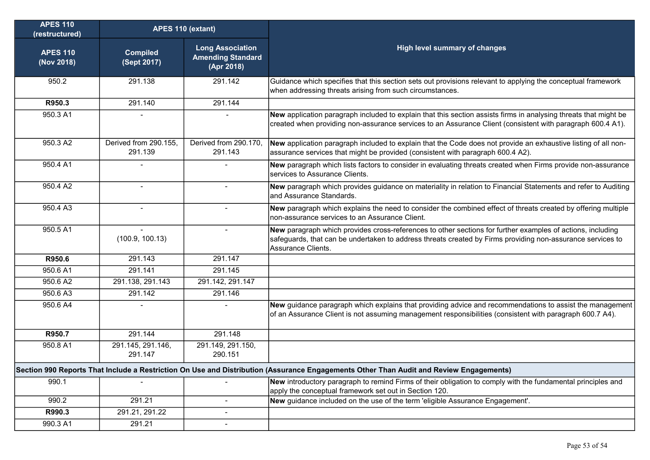| <b>APES 110</b><br>(restructured) | APES 110 (extant)                |                                                                   |                                                                                                                                                                                                                                                |
|-----------------------------------|----------------------------------|-------------------------------------------------------------------|------------------------------------------------------------------------------------------------------------------------------------------------------------------------------------------------------------------------------------------------|
| <b>APES 110</b><br>(Nov 2018)     | <b>Compiled</b><br>(Sept 2017)   | <b>Long Association</b><br><b>Amending Standard</b><br>(Apr 2018) | <b>High level summary of changes</b>                                                                                                                                                                                                           |
| 950.2                             | 291.138                          | 291.142                                                           | Guidance which specifies that this section sets out provisions relevant to applying the conceptual framework<br>when addressing threats arising from such circumstances.                                                                       |
| R950.3                            | 291.140                          | 291.144                                                           |                                                                                                                                                                                                                                                |
| 950.3 A1                          |                                  |                                                                   | New application paragraph included to explain that this section assists firms in analysing threats that might be<br>created when providing non-assurance services to an Assurance Client (consistent with paragraph 600.4 A1).                 |
| 950.3 A2                          | Derived from 290.155,<br>291.139 | Derived from 290.170,<br>291.143                                  | New application paragraph included to explain that the Code does not provide an exhaustive listing of all non-<br>assurance services that might be provided (consistent with paragraph 600.4 A2).                                              |
| 950.4 A1                          |                                  |                                                                   | New paragraph which lists factors to consider in evaluating threats created when Firms provide non-assurance<br>services to Assurance Clients.                                                                                                 |
| 950.4 A2                          | $\blacksquare$                   | $\blacksquare$                                                    | New paragraph which provides guidance on materiality in relation to Financial Statements and refer to Auditing<br>and Assurance Standards.                                                                                                     |
| 950.4 A3                          |                                  |                                                                   | New paragraph which explains the need to consider the combined effect of threats created by offering multiple<br>non-assurance services to an Assurance Client.                                                                                |
| 950.5 A1                          | (100.9, 100.13)                  | $\blacksquare$                                                    | New paragraph which provides cross-references to other sections for further examples of actions, including<br>safeguards, that can be undertaken to address threats created by Firms providing non-assurance services to<br>Assurance Clients. |
| R950.6                            | 291.143                          | 291.147                                                           |                                                                                                                                                                                                                                                |
| 950.6 A1                          | 291.141                          | 291.145                                                           |                                                                                                                                                                                                                                                |
| 950.6 A2                          | 291.138, 291.143                 | 291.142, 291.147                                                  |                                                                                                                                                                                                                                                |
| 950.6 A3                          | 291.142                          | 291.146                                                           |                                                                                                                                                                                                                                                |
| 950.6 A4                          |                                  | $\blacksquare$                                                    | New guidance paragraph which explains that providing advice and recommendations to assist the management<br>of an Assurance Client is not assuming management responsibilities (consistent with paragraph 600.7 A4).                           |
| R950.7                            | 291.144                          | 291.148                                                           |                                                                                                                                                                                                                                                |
| 950.8 A1                          | 291.145, 291.146,<br>291.147     | 291.149, 291.150,<br>290.151                                      |                                                                                                                                                                                                                                                |
|                                   |                                  |                                                                   | Section 990 Reports That Include a Restriction On Use and Distribution (Assurance Engagements Other Than Audit and Review Engagements)                                                                                                         |
| 990.1                             |                                  |                                                                   | New introductory paragraph to remind Firms of their obligation to comply with the fundamental principles and<br>apply the conceptual framework set out in Section 120.                                                                         |
| 990.2                             | 291.21                           | $\overline{a}$                                                    | New guidance included on the use of the term 'eligible Assurance Engagement'.                                                                                                                                                                  |
| R990.3                            | 291.21, 291.22                   | $\overline{a}$                                                    |                                                                                                                                                                                                                                                |
| 990.3 A1                          | 291.21                           | $\blacksquare$                                                    |                                                                                                                                                                                                                                                |